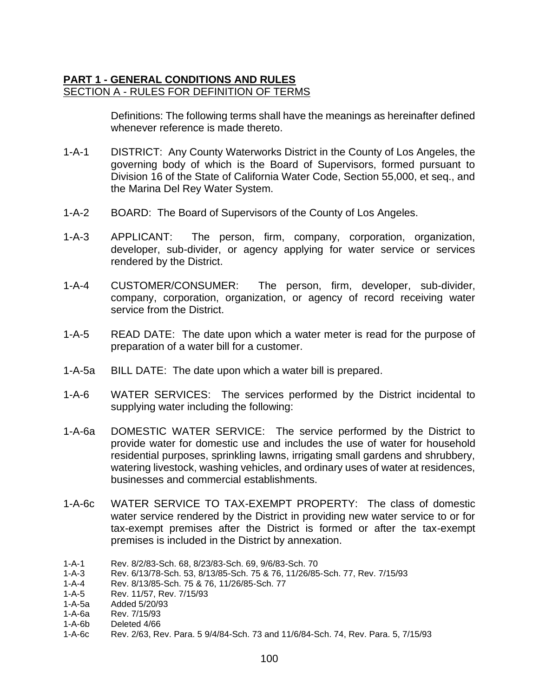## **PART 1 - GENERAL CONDITIONS AND RULES** SECTION A - RULES FOR DEFINITION OF TERMS

Definitions: The following terms shall have the meanings as hereinafter defined whenever reference is made thereto.

- 1-A-1 DISTRICT: Any County Waterworks District in the County of Los Angeles, the governing body of which is the Board of Supervisors, formed pursuant to Division 16 of the State of California Water Code, Section 55,000, et seq., and the Marina Del Rey Water System.
- 1-A-2 BOARD: The Board of Supervisors of the County of Los Angeles.
- 1-A-3 APPLICANT: The person, firm, company, corporation, organization, developer, sub-divider, or agency applying for water service or services rendered by the District.
- 1-A-4 CUSTOMER/CONSUMER: The person, firm, developer, sub-divider, company, corporation, organization, or agency of record receiving water service from the District.
- 1-A-5 READ DATE: The date upon which a water meter is read for the purpose of preparation of a water bill for a customer.
- 1-A-5a BILL DATE: The date upon which a water bill is prepared.
- 1-A-6 WATER SERVICES: The services performed by the District incidental to supplying water including the following:
- 1-A-6a DOMESTIC WATER SERVICE: The service performed by the District to provide water for domestic use and includes the use of water for household residential purposes, sprinkling lawns, irrigating small gardens and shrubbery, watering livestock, washing vehicles, and ordinary uses of water at residences, businesses and commercial establishments.
- 1-A-6c WATER SERVICE TO TAX-EXEMPT PROPERTY: The class of domestic water service rendered by the District in providing new water service to or for tax-exempt premises after the District is formed or after the tax-exempt premises is included in the District by annexation.

Rev. 7/15/93

<sup>1-</sup>A-1 Rev. 8/2/83-Sch. 68, 8/23/83-Sch. 69, 9/6/83-Sch. 70

<sup>1-</sup>A-3 Rev. 6/13/78-Sch. 53, 8/13/85-Sch. 75 & 76, 11/26/85-Sch. 77, Rev. 7/15/93

<sup>1-</sup>A-4 Rev. 8/13/85-Sch. 75 & 76, 11/26/85-Sch. 77

<sup>1-</sup>A-5 Rev. 11/57, Rev. 7/15/93

<sup>1-</sup>A-5a Added 5/20/93

<sup>1-</sup>A-6b Deleted 4/66

<sup>1-</sup>A-6c Rev. 2/63, Rev. Para. 5 9/4/84-Sch. 73 and 11/6/84-Sch. 74, Rev. Para. 5, 7/15/93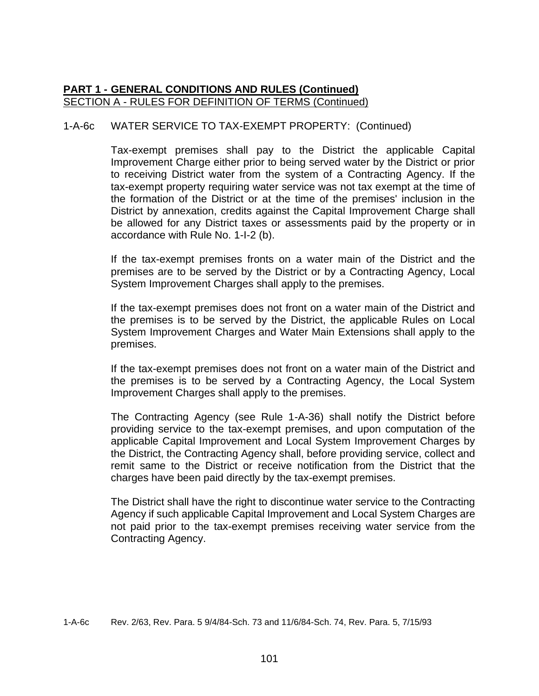### 1-A-6c WATER SERVICE TO TAX-EXEMPT PROPERTY: (Continued)

Tax-exempt premises shall pay to the District the applicable Capital Improvement Charge either prior to being served water by the District or prior to receiving District water from the system of a Contracting Agency. If the tax-exempt property requiring water service was not tax exempt at the time of the formation of the District or at the time of the premises' inclusion in the District by annexation, credits against the Capital Improvement Charge shall be allowed for any District taxes or assessments paid by the property or in accordance with Rule No. 1-I-2 (b).

If the tax-exempt premises fronts on a water main of the District and the premises are to be served by the District or by a Contracting Agency, Local System Improvement Charges shall apply to the premises.

If the tax-exempt premises does not front on a water main of the District and the premises is to be served by the District, the applicable Rules on Local System Improvement Charges and Water Main Extensions shall apply to the premises.

If the tax-exempt premises does not front on a water main of the District and the premises is to be served by a Contracting Agency, the Local System Improvement Charges shall apply to the premises.

The Contracting Agency (see Rule 1-A-36) shall notify the District before providing service to the tax-exempt premises, and upon computation of the applicable Capital Improvement and Local System Improvement Charges by the District, the Contracting Agency shall, before providing service, collect and remit same to the District or receive notification from the District that the charges have been paid directly by the tax-exempt premises.

The District shall have the right to discontinue water service to the Contracting Agency if such applicable Capital Improvement and Local System Charges are not paid prior to the tax-exempt premises receiving water service from the Contracting Agency.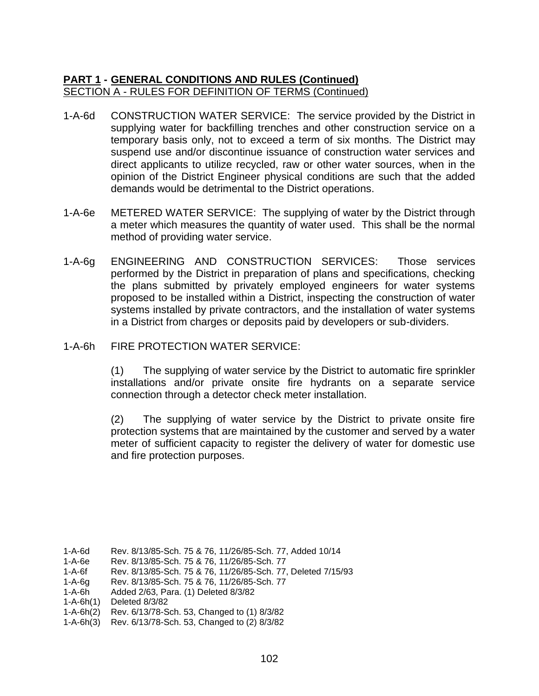- 1-A-6d CONSTRUCTION WATER SERVICE: The service provided by the District in supplying water for backfilling trenches and other construction service on a temporary basis only, not to exceed a term of six months. The District may suspend use and/or discontinue issuance of construction water services and direct applicants to utilize recycled, raw or other water sources, when in the opinion of the District Engineer physical conditions are such that the added demands would be detrimental to the District operations.
- 1-A-6e METERED WATER SERVICE: The supplying of water by the District through a meter which measures the quantity of water used. This shall be the normal method of providing water service.
- 1-A-6g ENGINEERING AND CONSTRUCTION SERVICES: Those services performed by the District in preparation of plans and specifications, checking the plans submitted by privately employed engineers for water systems proposed to be installed within a District, inspecting the construction of water systems installed by private contractors, and the installation of water systems in a District from charges or deposits paid by developers or sub-dividers.
- 1-A-6h FIRE PROTECTION WATER SERVICE:

(1) The supplying of water service by the District to automatic fire sprinkler installations and/or private onsite fire hydrants on a separate service connection through a detector check meter installation.

(2) The supplying of water service by the District to private onsite fire protection systems that are maintained by the customer and served by a water meter of sufficient capacity to register the delivery of water for domestic use and fire protection purposes.

1-A-6g Rev. 8/13/85-Sch. 75 & 76, 11/26/85-Sch. 77

<sup>1-</sup>A-6d Rev. 8/13/85-Sch. 75 & 76, 11/26/85-Sch. 77, Added 10/14

<sup>1-</sup>A-6e Rev. 8/13/85-Sch. 75 & 76, 11/26/85-Sch. 77

<sup>1-</sup>A-6f Rev. 8/13/85-Sch. 75 & 76, 11/26/85-Sch. 77, Deleted 7/15/93

<sup>1-</sup>A-6h Added 2/63, Para. (1) Deleted 8/3/82

<sup>1-</sup>A-6h(1) Deleted 8/3/82

<sup>1-</sup>A-6h(2) Rev. 6/13/78-Sch. 53, Changed to (1) 8/3/82

<sup>1-</sup>A-6h(3) Rev. 6/13/78-Sch. 53, Changed to (2) 8/3/82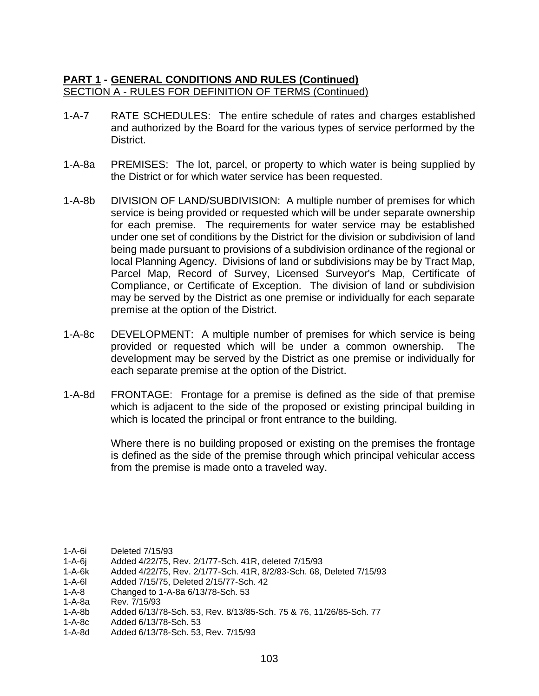- 1-A-7 RATE SCHEDULES: The entire schedule of rates and charges established and authorized by the Board for the various types of service performed by the District.
- 1-A-8a PREMISES: The lot, parcel, or property to which water is being supplied by the District or for which water service has been requested.
- 1-A-8b DIVISION OF LAND/SUBDIVISION: A multiple number of premises for which service is being provided or requested which will be under separate ownership for each premise. The requirements for water service may be established under one set of conditions by the District for the division or subdivision of land being made pursuant to provisions of a subdivision ordinance of the regional or local Planning Agency. Divisions of land or subdivisions may be by Tract Map, Parcel Map, Record of Survey, Licensed Surveyor's Map, Certificate of Compliance, or Certificate of Exception. The division of land or subdivision may be served by the District as one premise or individually for each separate premise at the option of the District.
- 1-A-8c DEVELOPMENT: A multiple number of premises for which service is being provided or requested which will be under a common ownership. The development may be served by the District as one premise or individually for each separate premise at the option of the District.
- 1-A-8d FRONTAGE: Frontage for a premise is defined as the side of that premise which is adjacent to the side of the proposed or existing principal building in which is located the principal or front entrance to the building.

Where there is no building proposed or existing on the premises the frontage is defined as the side of the premise through which principal vehicular access from the premise is made onto a traveled way.

- 1-A-6j Added 4/22/75, Rev. 2/1/77-Sch. 41R, deleted 7/15/93
- 1-A-6k Added 4/22/75, Rev. 2/1/77-Sch. 41R, 8/2/83-Sch. 68, Deleted 7/15/93
- 1-A-6l Added 7/15/75, Deleted 2/15/77-Sch. 42
- 1-A-8 Changed to 1-A-8a 6/13/78-Sch. 53
- Rev. 7/15/93
- 1-A-8b Added 6/13/78-Sch. 53, Rev. 8/13/85-Sch. 75 & 76, 11/26/85-Sch. 77
- 1-A-8c Added 6/13/78-Sch. 53
- 1-A-8d Added 6/13/78-Sch. 53, Rev. 7/15/93

<sup>1-</sup>A-6i Deleted 7/15/93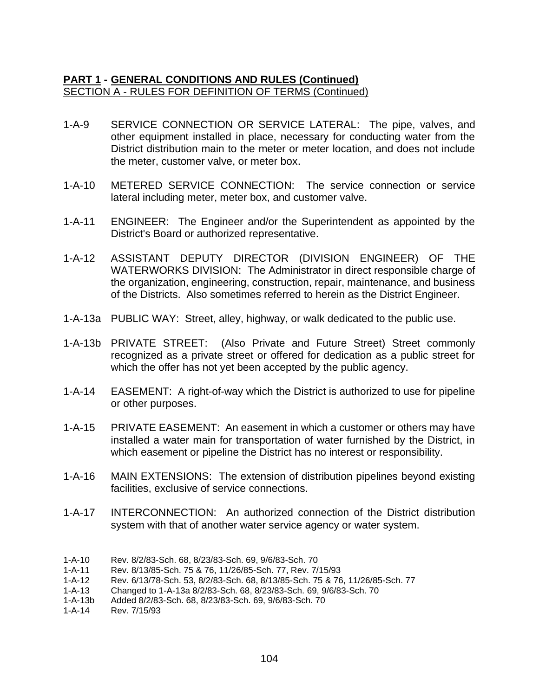- 1-A-9 SERVICE CONNECTION OR SERVICE LATERAL: The pipe, valves, and other equipment installed in place, necessary for conducting water from the District distribution main to the meter or meter location, and does not include the meter, customer valve, or meter box.
- 1-A-10 METERED SERVICE CONNECTION: The service connection or service lateral including meter, meter box, and customer valve.
- 1-A-11 ENGINEER: The Engineer and/or the Superintendent as appointed by the District's Board or authorized representative.
- 1-A-12 ASSISTANT DEPUTY DIRECTOR (DIVISION ENGINEER) OF THE WATERWORKS DIVISION: The Administrator in direct responsible charge of the organization, engineering, construction, repair, maintenance, and business of the Districts. Also sometimes referred to herein as the District Engineer.
- 1-A-13a PUBLIC WAY: Street, alley, highway, or walk dedicated to the public use.
- 1-A-13b PRIVATE STREET: (Also Private and Future Street) Street commonly recognized as a private street or offered for dedication as a public street for which the offer has not yet been accepted by the public agency.
- 1-A-14 EASEMENT: A right-of-way which the District is authorized to use for pipeline or other purposes.
- 1-A-15 PRIVATE EASEMENT: An easement in which a customer or others may have installed a water main for transportation of water furnished by the District, in which easement or pipeline the District has no interest or responsibility.
- 1-A-16 MAIN EXTENSIONS: The extension of distribution pipelines beyond existing facilities, exclusive of service connections.
- 1-A-17 INTERCONNECTION: An authorized connection of the District distribution system with that of another water service agency or water system.

- Rev. 6/13/78-Sch. 53, 8/2/83-Sch. 68, 8/13/85-Sch. 75 & 76, 11/26/85-Sch. 77
- 1-A-13 Changed to 1-A-13a 8/2/83-Sch. 68, 8/23/83-Sch. 69, 9/6/83-Sch. 70
- 1-A-13b Added 8/2/83-Sch. 68, 8/23/83-Sch. 69, 9/6/83-Sch. 70

<sup>1-</sup>A-10 Rev. 8/2/83-Sch. 68, 8/23/83-Sch. 69, 9/6/83-Sch. 70

<sup>1-</sup>A-11 Rev. 8/13/85-Sch. 75 & 76, 11/26/85-Sch. 77, Rev. 7/15/93

<sup>1-</sup>A-14 Rev. 7/15/93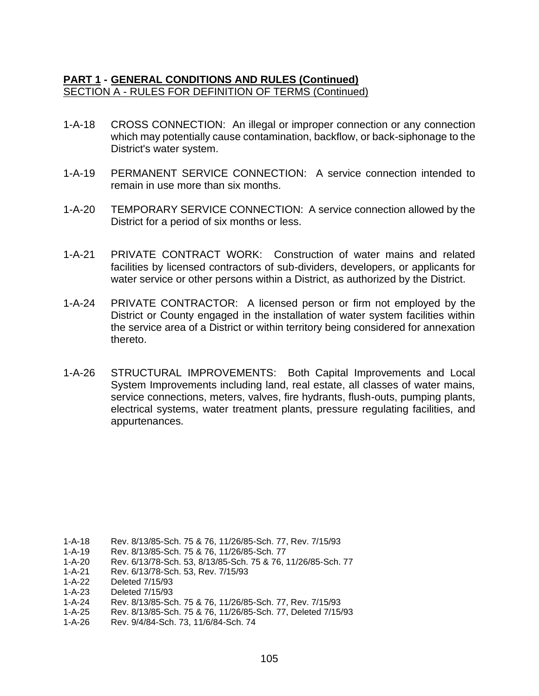- 1-A-18 CROSS CONNECTION: An illegal or improper connection or any connection which may potentially cause contamination, backflow, or back-siphonage to the District's water system.
- 1-A-19 PERMANENT SERVICE CONNECTION: A service connection intended to remain in use more than six months.
- 1-A-20 TEMPORARY SERVICE CONNECTION: A service connection allowed by the District for a period of six months or less.
- 1-A-21 PRIVATE CONTRACT WORK: Construction of water mains and related facilities by licensed contractors of sub-dividers, developers, or applicants for water service or other persons within a District, as authorized by the District.
- 1-A-24 PRIVATE CONTRACTOR: A licensed person or firm not employed by the District or County engaged in the installation of water system facilities within the service area of a District or within territory being considered for annexation thereto.
- 1-A-26 STRUCTURAL IMPROVEMENTS: Both Capital Improvements and Local System Improvements including land, real estate, all classes of water mains, service connections, meters, valves, fire hydrants, flush-outs, pumping plants, electrical systems, water treatment plants, pressure regulating facilities, and appurtenances.

1-A-26 Rev. 9/4/84-Sch. 73, 11/6/84-Sch. 74

<sup>1-</sup>A-18 Rev. 8/13/85-Sch. 75 & 76, 11/26/85-Sch. 77, Rev. 7/15/93<br>1-A-19 Rev. 8/13/85-Sch. 75 & 76, 11/26/85-Sch. 77

Rev. 8/13/85-Sch. 75 & 76, 11/26/85-Sch. 77

<sup>1-</sup>A-20 Rev. 6/13/78-Sch. 53, 8/13/85-Sch. 75 & 76, 11/26/85-Sch. 77

<sup>1-</sup>A-21 Rev. 6/13/78-Sch. 53, Rev. 7/15/93

<sup>1-</sup>A-22 Deleted 7/15/93

<sup>1-</sup>A-23 Deleted 7/15/93

<sup>1-</sup>A-24 Rev. 8/13/85-Sch. 75 & 76, 11/26/85-Sch. 77, Rev. 7/15/93

<sup>1-</sup>A-25 Rev. 8/13/85-Sch. 75 & 76, 11/26/85-Sch. 77, Deleted 7/15/93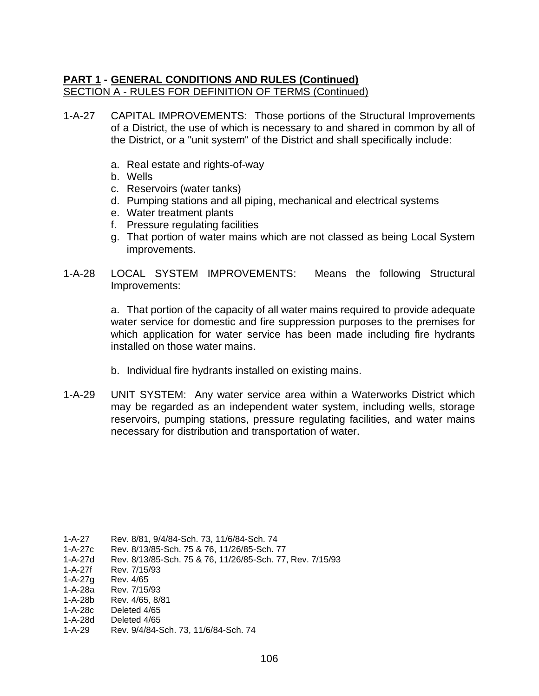- 1-A-27 CAPITAL IMPROVEMENTS: Those portions of the Structural Improvements of a District, the use of which is necessary to and shared in common by all of the District, or a "unit system" of the District and shall specifically include:
	- a. Real estate and rights-of-way
	- b. Wells
	- c. Reservoirs (water tanks)
	- d. Pumping stations and all piping, mechanical and electrical systems
	- e. Water treatment plants
	- f. Pressure regulating facilities
	- g. That portion of water mains which are not classed as being Local System improvements.
- 1-A-28 LOCAL SYSTEM IMPROVEMENTS: Means the following Structural Improvements:

a. That portion of the capacity of all water mains required to provide adequate water service for domestic and fire suppression purposes to the premises for which application for water service has been made including fire hydrants installed on those water mains.

- b. Individual fire hydrants installed on existing mains.
- 1-A-29 UNIT SYSTEM: Any water service area within a Waterworks District which may be regarded as an independent water system, including wells, storage reservoirs, pumping stations, pressure regulating facilities, and water mains necessary for distribution and transportation of water.

- 1-A-27d Rev. 8/13/85-Sch. 75 & 76, 11/26/85-Sch. 77, Rev. 7/15/93
- 1-A-27f Rev. 7/15/93
- 1-A-27g Rev. 4/65
- 1-A-28a Rev. 7/15/93
- 1-A-28b Rev. 4/65, 8/81
- 1-A-28c Deleted 4/65 1-A-28d Deleted 4/65
- 1-A-29 Rev. 9/4/84-Sch. 73, 11/6/84-Sch. 74

<sup>1-</sup>A-27 Rev. 8/81, 9/4/84-Sch. 73, 11/6/84-Sch. 74

<sup>1-</sup>A-27c Rev. 8/13/85-Sch. 75 & 76, 11/26/85-Sch. 77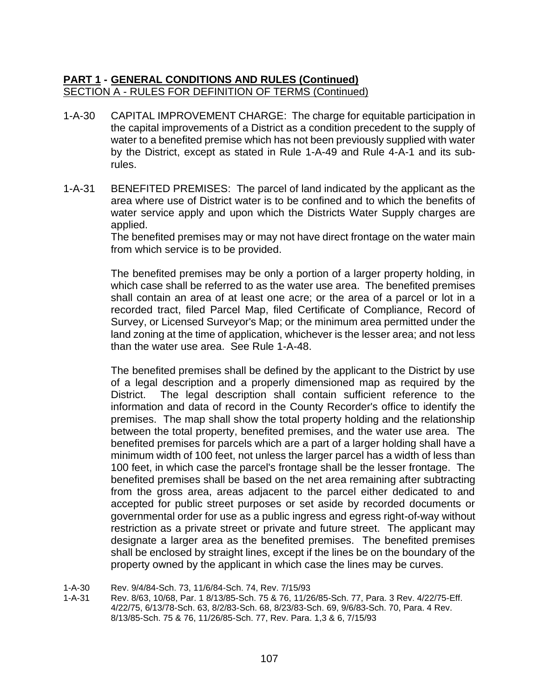- 1-A-30 CAPITAL IMPROVEMENT CHARGE: The charge for equitable participation in the capital improvements of a District as a condition precedent to the supply of water to a benefited premise which has not been previously supplied with water by the District, except as stated in Rule 1-A-49 and Rule 4-A-1 and its subrules.
- 1-A-31 BENEFITED PREMISES: The parcel of land indicated by the applicant as the area where use of District water is to be confined and to which the benefits of water service apply and upon which the Districts Water Supply charges are applied.

The benefited premises may or may not have direct frontage on the water main from which service is to be provided.

The benefited premises may be only a portion of a larger property holding, in which case shall be referred to as the water use area. The benefited premises shall contain an area of at least one acre; or the area of a parcel or lot in a recorded tract, filed Parcel Map, filed Certificate of Compliance, Record of Survey, or Licensed Surveyor's Map; or the minimum area permitted under the land zoning at the time of application, whichever is the lesser area; and not less than the water use area. See Rule 1-A-48.

The benefited premises shall be defined by the applicant to the District by use of a legal description and a properly dimensioned map as required by the District. The legal description shall contain sufficient reference to the information and data of record in the County Recorder's office to identify the premises. The map shall show the total property holding and the relationship between the total property, benefited premises, and the water use area. The benefited premises for parcels which are a part of a larger holding shall have a minimum width of 100 feet, not unless the larger parcel has a width of less than 100 feet, in which case the parcel's frontage shall be the lesser frontage. The benefited premises shall be based on the net area remaining after subtracting from the gross area, areas adjacent to the parcel either dedicated to and accepted for public street purposes or set aside by recorded documents or governmental order for use as a public ingress and egress right-of-way without restriction as a private street or private and future street. The applicant may designate a larger area as the benefited premises. The benefited premises shall be enclosed by straight lines, except if the lines be on the boundary of the property owned by the applicant in which case the lines may be curves.

1-A-30 Rev. 9/4/84-Sch. 73, 11/6/84-Sch. 74, Rev. 7/15/93

1-A-31 Rev. 8/63, 10/68, Par. 1 8/13/85-Sch. 75 & 76, 11/26/85-Sch. 77, Para. 3 Rev. 4/22/75-Eff. 4/22/75, 6/13/78-Sch. 63, 8/2/83-Sch. 68, 8/23/83-Sch. 69, 9/6/83-Sch. 70, Para. 4 Rev. 8/13/85-Sch. 75 & 76, 11/26/85-Sch. 77, Rev. Para. 1,3 & 6, 7/15/93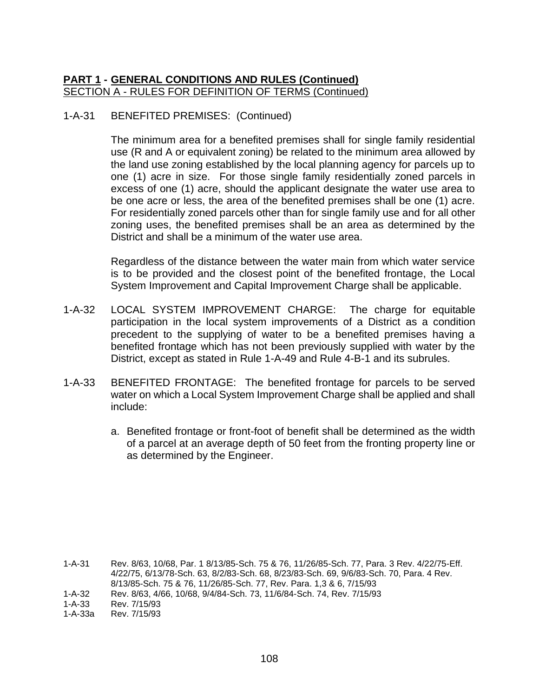## 1-A-31 BENEFITED PREMISES: (Continued)

The minimum area for a benefited premises shall for single family residential use (R and A or equivalent zoning) be related to the minimum area allowed by the land use zoning established by the local planning agency for parcels up to one (1) acre in size. For those single family residentially zoned parcels in excess of one (1) acre, should the applicant designate the water use area to be one acre or less, the area of the benefited premises shall be one (1) acre. For residentially zoned parcels other than for single family use and for all other zoning uses, the benefited premises shall be an area as determined by the District and shall be a minimum of the water use area.

Regardless of the distance between the water main from which water service is to be provided and the closest point of the benefited frontage, the Local System Improvement and Capital Improvement Charge shall be applicable.

- 1-A-32 LOCAL SYSTEM IMPROVEMENT CHARGE: The charge for equitable participation in the local system improvements of a District as a condition precedent to the supplying of water to be a benefited premises having a benefited frontage which has not been previously supplied with water by the District, except as stated in Rule 1-A-49 and Rule 4-B-1 and its subrules.
- 1-A-33 BENEFITED FRONTAGE: The benefited frontage for parcels to be served water on which a Local System Improvement Charge shall be applied and shall include:
	- a. Benefited frontage or front-foot of benefit shall be determined as the width of a parcel at an average depth of 50 feet from the fronting property line or as determined by the Engineer.

1-A-31 Rev. 8/63, 10/68, Par. 1 8/13/85-Sch. 75 & 76, 11/26/85-Sch. 77, Para. 3 Rev. 4/22/75-Eff. 4/22/75, 6/13/78-Sch. 63, 8/2/83-Sch. 68, 8/23/83-Sch. 69, 9/6/83-Sch. 70, Para. 4 Rev. 8/13/85-Sch. 75 & 76, 11/26/85-Sch. 77, Rev. Para. 1,3 & 6, 7/15/93

1-A-33 Rev. 7/15/93

<sup>1-</sup>A-32 Rev. 8/63, 4/66, 10/68, 9/4/84-Sch. 73, 11/6/84-Sch. 74, Rev. 7/15/93

Rev. 7/15/93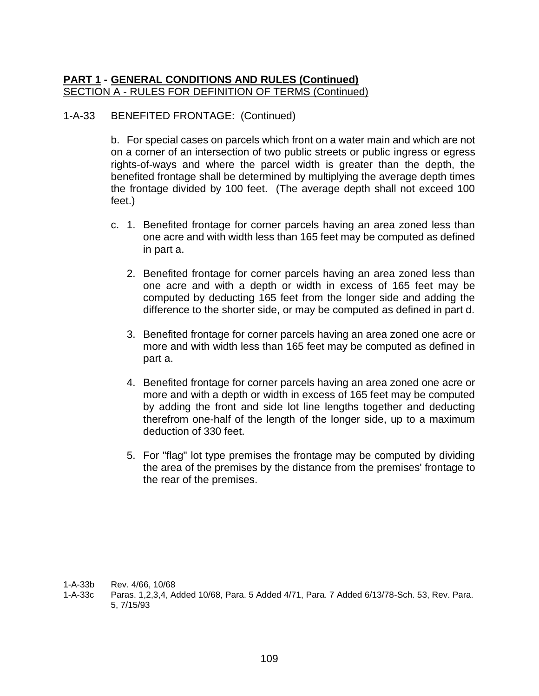## 1-A-33 BENEFITED FRONTAGE: (Continued)

b. For special cases on parcels which front on a water main and which are not on a corner of an intersection of two public streets or public ingress or egress rights-of-ways and where the parcel width is greater than the depth, the benefited frontage shall be determined by multiplying the average depth times the frontage divided by 100 feet. (The average depth shall not exceed 100 feet.)

- c. 1. Benefited frontage for corner parcels having an area zoned less than one acre and with width less than 165 feet may be computed as defined in part a.
	- 2. Benefited frontage for corner parcels having an area zoned less than one acre and with a depth or width in excess of 165 feet may be computed by deducting 165 feet from the longer side and adding the difference to the shorter side, or may be computed as defined in part d.
	- 3. Benefited frontage for corner parcels having an area zoned one acre or more and with width less than 165 feet may be computed as defined in part a.
	- 4. Benefited frontage for corner parcels having an area zoned one acre or more and with a depth or width in excess of 165 feet may be computed by adding the front and side lot line lengths together and deducting therefrom one-half of the length of the longer side, up to a maximum deduction of 330 feet.
	- 5. For "flag" lot type premises the frontage may be computed by dividing the area of the premises by the distance from the premises' frontage to the rear of the premises.

1-A-33b Rev. 4/66, 10/68

1-A-33c Paras. 1,2,3,4, Added 10/68, Para. 5 Added 4/71, Para. 7 Added 6/13/78-Sch. 53, Rev. Para. 5, 7/15/93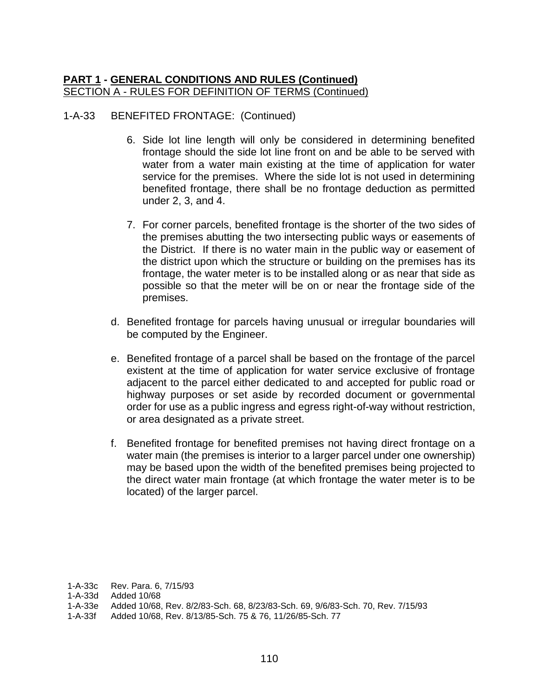#### 1-A-33 BENEFITED FRONTAGE: (Continued)

- 6. Side lot line length will only be considered in determining benefited frontage should the side lot line front on and be able to be served with water from a water main existing at the time of application for water service for the premises. Where the side lot is not used in determining benefited frontage, there shall be no frontage deduction as permitted under 2, 3, and 4.
- 7. For corner parcels, benefited frontage is the shorter of the two sides of the premises abutting the two intersecting public ways or easements of the District. If there is no water main in the public way or easement of the district upon which the structure or building on the premises has its frontage, the water meter is to be installed along or as near that side as possible so that the meter will be on or near the frontage side of the premises.
- d. Benefited frontage for parcels having unusual or irregular boundaries will be computed by the Engineer.
- e. Benefited frontage of a parcel shall be based on the frontage of the parcel existent at the time of application for water service exclusive of frontage adjacent to the parcel either dedicated to and accepted for public road or highway purposes or set aside by recorded document or governmental order for use as a public ingress and egress right-of-way without restriction, or area designated as a private street.
- f. Benefited frontage for benefited premises not having direct frontage on a water main (the premises is interior to a larger parcel under one ownership) may be based upon the width of the benefited premises being projected to the direct water main frontage (at which frontage the water meter is to be located) of the larger parcel.

1-A-33c Rev. Para. 6, 7/15/93

1-A-33d Added 10/68

1-A-33f Added 10/68, Rev. 8/13/85-Sch. 75 & 76, 11/26/85-Sch. 77

<sup>1-</sup>A-33e Added 10/68, Rev. 8/2/83-Sch. 68, 8/23/83-Sch. 69, 9/6/83-Sch. 70, Rev. 7/15/93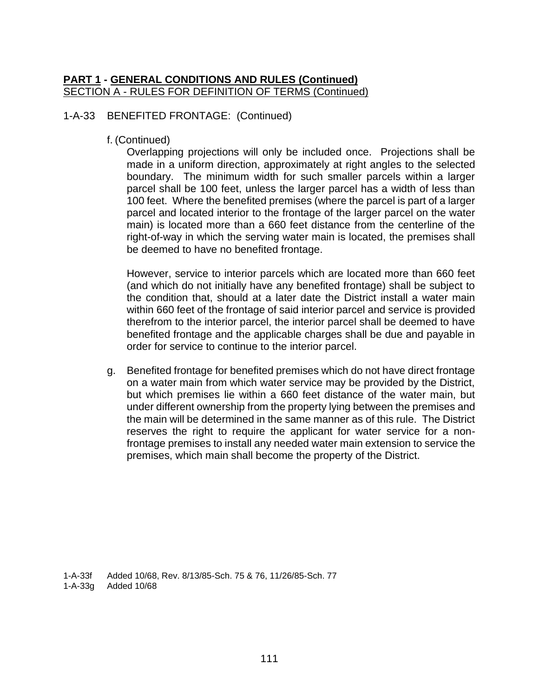#### 1-A-33 BENEFITED FRONTAGE: (Continued)

f. (Continued)

Overlapping projections will only be included once. Projections shall be made in a uniform direction, approximately at right angles to the selected boundary. The minimum width for such smaller parcels within a larger parcel shall be 100 feet, unless the larger parcel has a width of less than 100 feet. Where the benefited premises (where the parcel is part of a larger parcel and located interior to the frontage of the larger parcel on the water main) is located more than a 660 feet distance from the centerline of the right-of-way in which the serving water main is located, the premises shall be deemed to have no benefited frontage.

However, service to interior parcels which are located more than 660 feet (and which do not initially have any benefited frontage) shall be subject to the condition that, should at a later date the District install a water main within 660 feet of the frontage of said interior parcel and service is provided therefrom to the interior parcel, the interior parcel shall be deemed to have benefited frontage and the applicable charges shall be due and payable in order for service to continue to the interior parcel.

g. Benefited frontage for benefited premises which do not have direct frontage on a water main from which water service may be provided by the District, but which premises lie within a 660 feet distance of the water main, but under different ownership from the property lying between the premises and the main will be determined in the same manner as of this rule. The District reserves the right to require the applicant for water service for a nonfrontage premises to install any needed water main extension to service the premises, which main shall become the property of the District.

1-A-33f Added 10/68, Rev. 8/13/85-Sch. 75 & 76, 11/26/85-Sch. 77 1-A-33g Added 10/68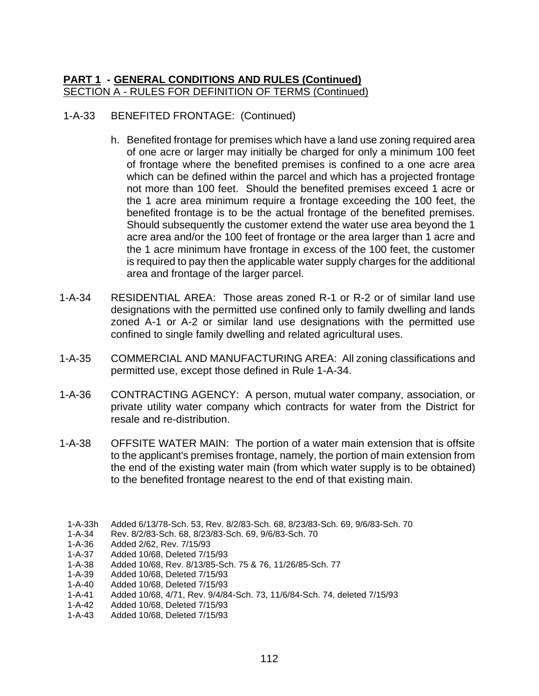## 1-A-33 BENEFITED FRONTAGE: (Continued)

- h. Benefited frontage for premises which have a land use zoning required area of one acre or larger may initially be charged for only a minimum 100 feet of frontage where the benefited premises is confined to a one acre area which can be defined within the parcel and which has a projected frontage not more than 100 feet. Should the benefited premises exceed 1 acre or the 1 acre area minimum require a frontage exceeding the 100 feet, the benefited frontage is to be the actual frontage of the benefited premises. Should subsequently the customer extend the water use area beyond the 1 acre area and/or the 100 feet of frontage or the area larger than 1 acre and the 1 acre minimum have frontage in excess of the 100 feet, the customer is required to pay then the applicable water supply charges for the additional area and frontage of the larger parcel.
- 1-A-34 RESIDENTIAL AREA: Those areas zoned R-1 or R-2 or of similar land use designations with the permitted use confined only to family dwelling and lands zoned A-1 or A-2 or similar land use designations with the permitted use confined to single family dwelling and related agricultural uses.
- 1-A-35 COMMERCIAL AND MANUFACTURING AREA: All zoning classifications and permitted use, except those defined in Rule 1-A-34.
- 1-A-36 CONTRACTING AGENCY: A person, mutual water company, association, or private utility water company which contracts for water from the District for resale and re-distribution.
- 1-A-38 OFFSITE WATER MAIN: The portion of a water main extension that is offsite to the applicant's premises frontage, namely, the portion of main extension from the end of the existing water main (from which water supply is to be obtained) to the benefited frontage nearest to the end of that existing main.
	- 1-A-33h Added 6/13/78-Sch. 53, Rev. 8/2/83-Sch. 68, 8/23/83-Sch. 69, 9/6/83-Sch. 70
	- 1-A-34 Rev. 8/2/83-Sch. 68, 8/23/83-Sch. 69, 9/6/83-Sch. 70
	- 1-A-36 Added 2/62, Rev. 7/15/93
	- 1-A-37 Added 10/68, Deleted 7/15/93
	- 1-A-38 Added 10/68, Rev. 8/13/85-Sch. 75 & 76, 11/26/85-Sch. 77
	- 1-A-39 Added 10/68, Deleted 7/15/93
	- 1-A-40 Added 10/68, Deleted 7/15/93
	- 1-A-41 Added 10/68, 4/71, Rev. 9/4/84-Sch. 73, 11/6/84-Sch. 74, deleted 7/15/93
	- 1-A-42 Added 10/68, Deleted 7/15/93
	- 1-A-43 Added 10/68, Deleted 7/15/93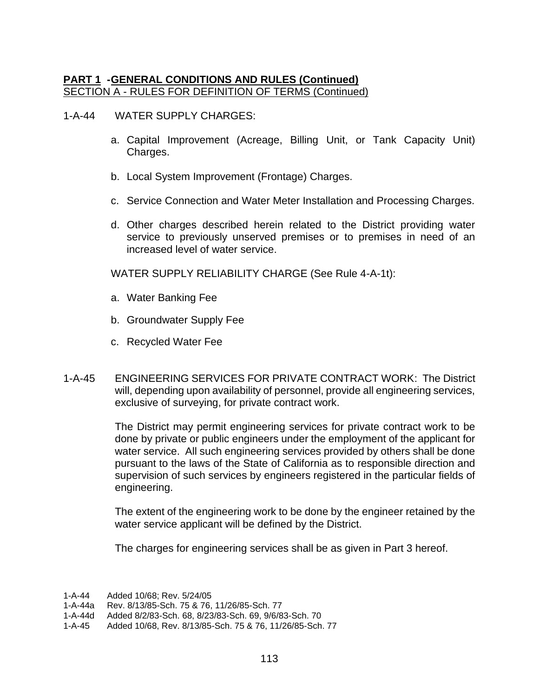1-A-44 WATER SUPPLY CHARGES:

- a. Capital Improvement (Acreage, Billing Unit, or Tank Capacity Unit) Charges.
- b. Local System Improvement (Frontage) Charges.
- c. Service Connection and Water Meter Installation and Processing Charges.
- d. Other charges described herein related to the District providing water service to previously unserved premises or to premises in need of an increased level of water service.

WATER SUPPLY RELIABILITY CHARGE (See Rule 4-A-1t):

- a. Water Banking Fee
- b. Groundwater Supply Fee
- c. Recycled Water Fee
- 1-A-45 ENGINEERING SERVICES FOR PRIVATE CONTRACT WORK: The District will, depending upon availability of personnel, provide all engineering services, exclusive of surveying, for private contract work.

The District may permit engineering services for private contract work to be done by private or public engineers under the employment of the applicant for water service. All such engineering services provided by others shall be done pursuant to the laws of the State of California as to responsible direction and supervision of such services by engineers registered in the particular fields of engineering.

The extent of the engineering work to be done by the engineer retained by the water service applicant will be defined by the District.

The charges for engineering services shall be as given in Part 3 hereof.

<sup>1-</sup>A-44 Added 10/68; Rev. 5/24/05

<sup>1-</sup>A-44a Rev. 8/13/85-Sch. 75 & 76, 11/26/85-Sch. 77

<sup>1-</sup>A-44d Added 8/2/83-Sch. 68, 8/23/83-Sch. 69, 9/6/83-Sch. 70

<sup>1-</sup>A-45 Added 10/68, Rev. 8/13/85-Sch. 75 & 76, 11/26/85-Sch. 77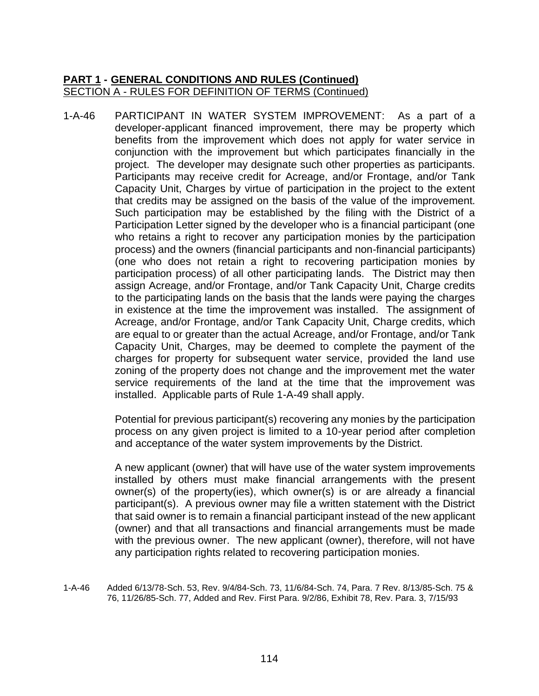1-A-46 PARTICIPANT IN WATER SYSTEM IMPROVEMENT: As a part of a developer-applicant financed improvement, there may be property which benefits from the improvement which does not apply for water service in conjunction with the improvement but which participates financially in the project. The developer may designate such other properties as participants. Participants may receive credit for Acreage, and/or Frontage, and/or Tank Capacity Unit, Charges by virtue of participation in the project to the extent that credits may be assigned on the basis of the value of the improvement. Such participation may be established by the filing with the District of a Participation Letter signed by the developer who is a financial participant (one who retains a right to recover any participation monies by the participation process) and the owners (financial participants and non-financial participants) (one who does not retain a right to recovering participation monies by participation process) of all other participating lands. The District may then assign Acreage, and/or Frontage, and/or Tank Capacity Unit, Charge credits to the participating lands on the basis that the lands were paying the charges in existence at the time the improvement was installed. The assignment of Acreage, and/or Frontage, and/or Tank Capacity Unit, Charge credits, which are equal to or greater than the actual Acreage, and/or Frontage, and/or Tank Capacity Unit, Charges, may be deemed to complete the payment of the charges for property for subsequent water service, provided the land use zoning of the property does not change and the improvement met the water service requirements of the land at the time that the improvement was installed. Applicable parts of Rule 1-A-49 shall apply.

> Potential for previous participant(s) recovering any monies by the participation process on any given project is limited to a 10-year period after completion and acceptance of the water system improvements by the District.

> A new applicant (owner) that will have use of the water system improvements installed by others must make financial arrangements with the present owner(s) of the property(ies), which owner(s) is or are already a financial participant(s). A previous owner may file a written statement with the District that said owner is to remain a financial participant instead of the new applicant (owner) and that all transactions and financial arrangements must be made with the previous owner. The new applicant (owner), therefore, will not have any participation rights related to recovering participation monies.

1-A-46 Added 6/13/78-Sch. 53, Rev. 9/4/84-Sch. 73, 11/6/84-Sch. 74, Para. 7 Rev. 8/13/85-Sch. 75 & 76, 11/26/85-Sch. 77, Added and Rev. First Para. 9/2/86, Exhibit 78, Rev. Para. 3, 7/15/93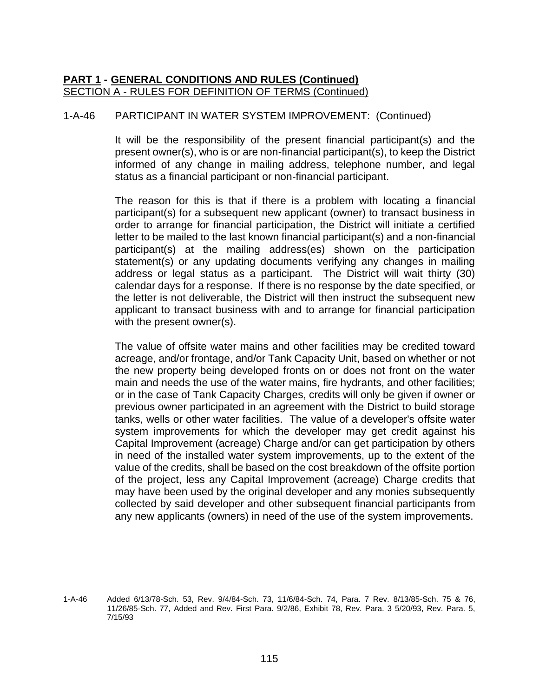## 1-A-46 PARTICIPANT IN WATER SYSTEM IMPROVEMENT: (Continued)

It will be the responsibility of the present financial participant(s) and the present owner(s), who is or are non-financial participant(s), to keep the District informed of any change in mailing address, telephone number, and legal status as a financial participant or non-financial participant.

The reason for this is that if there is a problem with locating a financial participant(s) for a subsequent new applicant (owner) to transact business in order to arrange for financial participation, the District will initiate a certified letter to be mailed to the last known financial participant(s) and a non-financial participant(s) at the mailing address(es) shown on the participation statement(s) or any updating documents verifying any changes in mailing address or legal status as a participant. The District will wait thirty (30) calendar days for a response. If there is no response by the date specified, or the letter is not deliverable, the District will then instruct the subsequent new applicant to transact business with and to arrange for financial participation with the present owner(s).

The value of offsite water mains and other facilities may be credited toward acreage, and/or frontage, and/or Tank Capacity Unit, based on whether or not the new property being developed fronts on or does not front on the water main and needs the use of the water mains, fire hydrants, and other facilities; or in the case of Tank Capacity Charges, credits will only be given if owner or previous owner participated in an agreement with the District to build storage tanks, wells or other water facilities. The value of a developer's offsite water system improvements for which the developer may get credit against his Capital Improvement (acreage) Charge and/or can get participation by others in need of the installed water system improvements, up to the extent of the value of the credits, shall be based on the cost breakdown of the offsite portion of the project, less any Capital Improvement (acreage) Charge credits that may have been used by the original developer and any monies subsequently collected by said developer and other subsequent financial participants from any new applicants (owners) in need of the use of the system improvements.

<sup>1-</sup>A-46 Added 6/13/78-Sch. 53, Rev. 9/4/84-Sch. 73, 11/6/84-Sch. 74, Para. 7 Rev. 8/13/85-Sch. 75 & 76, 11/26/85-Sch. 77, Added and Rev. First Para. 9/2/86, Exhibit 78, Rev. Para. 3 5/20/93, Rev. Para. 5, 7/15/93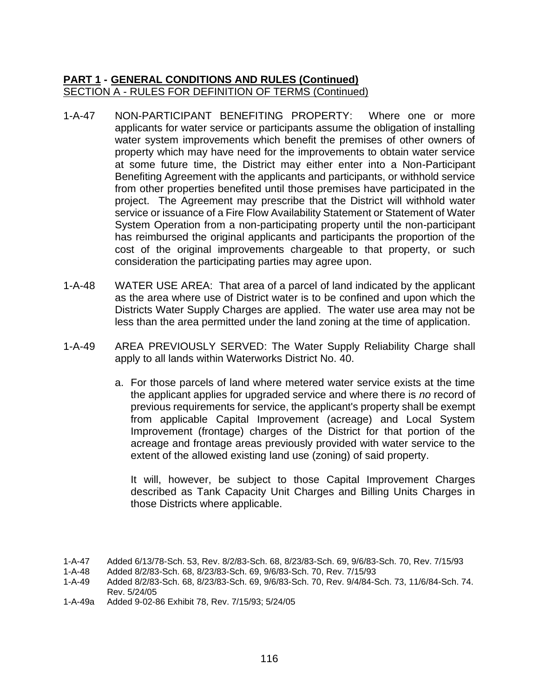- 1-A-47 NON-PARTICIPANT BENEFITING PROPERTY: Where one or more applicants for water service or participants assume the obligation of installing water system improvements which benefit the premises of other owners of property which may have need for the improvements to obtain water service at some future time, the District may either enter into a Non-Participant Benefiting Agreement with the applicants and participants, or withhold service from other properties benefited until those premises have participated in the project. The Agreement may prescribe that the District will withhold water service or issuance of a Fire Flow Availability Statement or Statement of Water System Operation from a non-participating property until the non-participant has reimbursed the original applicants and participants the proportion of the cost of the original improvements chargeable to that property, or such consideration the participating parties may agree upon.
- 1-A-48 WATER USE AREA: That area of a parcel of land indicated by the applicant as the area where use of District water is to be confined and upon which the Districts Water Supply Charges are applied. The water use area may not be less than the area permitted under the land zoning at the time of application.
- 1-A-49 AREA PREVIOUSLY SERVED: The Water Supply Reliability Charge shall apply to all lands within Waterworks District No. 40.
	- a. For those parcels of land where metered water service exists at the time the applicant applies for upgraded service and where there is *no* record of previous requirements for service, the applicant's property shall be exempt from applicable Capital Improvement (acreage) and Local System Improvement (frontage) charges of the District for that portion of the acreage and frontage areas previously provided with water service to the extent of the allowed existing land use (zoning) of said property.

It will, however, be subject to those Capital Improvement Charges described as Tank Capacity Unit Charges and Billing Units Charges in those Districts where applicable.

<sup>1-</sup>A-47 Added 6/13/78-Sch. 53, Rev. 8/2/83-Sch. 68, 8/23/83-Sch. 69, 9/6/83-Sch. 70, Rev. 7/15/93

<sup>1-</sup>A-48 Added 8/2/83-Sch. 68, 8/23/83-Sch. 69, 9/6/83-Sch. 70, Rev. 7/15/93

<sup>1-</sup>A-49 Added 8/2/83-Sch. 68, 8/23/83-Sch. 69, 9/6/83-Sch. 70, Rev. 9/4/84-Sch. 73, 11/6/84-Sch. 74. Rev. 5/24/05

<sup>1-</sup>A-49a Added 9-02-86 Exhibit 78, Rev. 7/15/93; 5/24/05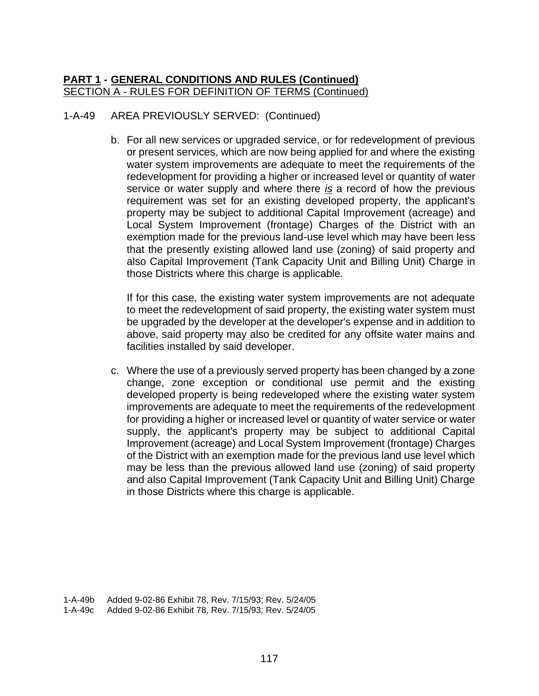# 1-A-49 AREA PREVIOUSLY SERVED: (Continued)

b. For all new services or upgraded service, or for redevelopment of previous or present services, which are now being applied for and where the existing water system improvements are adequate to meet the requirements of the redevelopment for providing a higher or increased level or quantity of water service or water supply and where there *is* a record of how the previous requirement was set for an existing developed property, the applicant's property may be subject to additional Capital Improvement (acreage) and Local System Improvement (frontage) Charges of the District with an exemption made for the previous land-use level which may have been less that the presently existing allowed land use (zoning) of said property and also Capital Improvement (Tank Capacity Unit and Billing Unit) Charge in those Districts where this charge is applicable.

If for this case, the existing water system improvements are not adequate to meet the redevelopment of said property, the existing water system must be upgraded by the developer at the developer's expense and in addition to above, said property may also be credited for any offsite water mains and facilities installed by said developer.

c. Where the use of a previously served property has been changed by a zone change, zone exception or conditional use permit and the existing developed property is being redeveloped where the existing water system improvements are adequate to meet the requirements of the redevelopment for providing a higher or increased level or quantity of water service or water supply, the applicant's property may be subject to additional Capital Improvement (acreage) and Local System Improvement (frontage) Charges of the District with an exemption made for the previous land use level which may be less than the previous allowed land use (zoning) of said property and also Capital Improvement (Tank Capacity Unit and Billing Unit) Charge in those Districts where this charge is applicable.

1-A-49b Added 9-02-86 Exhibit 78, Rev. 7/15/93; Rev. 5/24/05 1-A-49c Added 9-02-86 Exhibit 78, Rev. 7/15/93; Rev. 5/24/05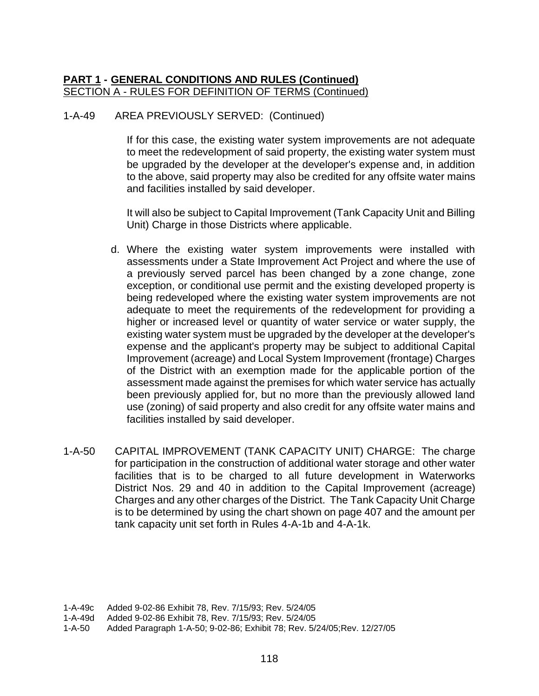#### 1-A-49 AREA PREVIOUSLY SERVED: (Continued)

If for this case, the existing water system improvements are not adequate to meet the redevelopment of said property, the existing water system must be upgraded by the developer at the developer's expense and, in addition to the above, said property may also be credited for any offsite water mains and facilities installed by said developer.

It will also be subject to Capital Improvement (Tank Capacity Unit and Billing Unit) Charge in those Districts where applicable.

- d. Where the existing water system improvements were installed with assessments under a State Improvement Act Project and where the use of a previously served parcel has been changed by a zone change, zone exception, or conditional use permit and the existing developed property is being redeveloped where the existing water system improvements are not adequate to meet the requirements of the redevelopment for providing a higher or increased level or quantity of water service or water supply, the existing water system must be upgraded by the developer at the developer's expense and the applicant's property may be subject to additional Capital Improvement (acreage) and Local System Improvement (frontage) Charges of the District with an exemption made for the applicable portion of the assessment made against the premises for which water service has actually been previously applied for, but no more than the previously allowed land use (zoning) of said property and also credit for any offsite water mains and facilities installed by said developer.
- 1-A-50 CAPITAL IMPROVEMENT (TANK CAPACITY UNIT) CHARGE: The charge for participation in the construction of additional water storage and other water facilities that is to be charged to all future development in Waterworks District Nos. 29 and 40 in addition to the Capital Improvement (acreage) Charges and any other charges of the District. The Tank Capacity Unit Charge is to be determined by using the chart shown on page 407 and the amount per tank capacity unit set forth in Rules 4-A-1b and 4-A-1k.

<sup>1-</sup>A-49c Added 9-02-86 Exhibit 78, Rev. 7/15/93; Rev. 5/24/05

<sup>1-</sup>A-49d Added 9-02-86 Exhibit 78, Rev. 7/15/93; Rev. 5/24/05

<sup>1-</sup>A-50 Added Paragraph 1-A-50; 9-02-86; Exhibit 78; Rev. 5/24/05;Rev. 12/27/05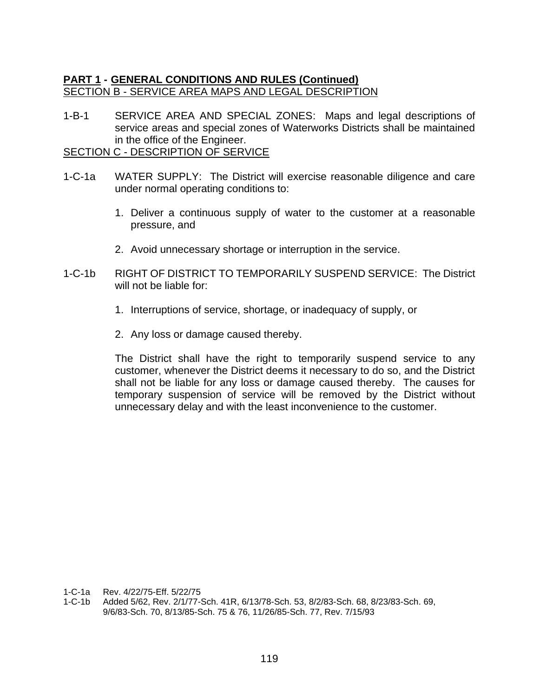## **PART 1 - GENERAL CONDITIONS AND RULES (Continued)** SECTION B - SERVICE AREA MAPS AND LEGAL DESCRIPTION

1-B-1 SERVICE AREA AND SPECIAL ZONES: Maps and legal descriptions of service areas and special zones of Waterworks Districts shall be maintained in the office of the Engineer.

SECTION C - DESCRIPTION OF SERVICE

- 1-C-1a WATER SUPPLY: The District will exercise reasonable diligence and care under normal operating conditions to:
	- 1. Deliver a continuous supply of water to the customer at a reasonable pressure, and
	- 2. Avoid unnecessary shortage or interruption in the service.
- 1-C-1b RIGHT OF DISTRICT TO TEMPORARILY SUSPEND SERVICE: The District will not be liable for:
	- 1. Interruptions of service, shortage, or inadequacy of supply, or
	- 2. Any loss or damage caused thereby.

The District shall have the right to temporarily suspend service to any customer, whenever the District deems it necessary to do so, and the District shall not be liable for any loss or damage caused thereby. The causes for temporary suspension of service will be removed by the District without unnecessary delay and with the least inconvenience to the customer.

1-C-1a Rev. 4/22/75-Eff. 5/22/75

1-C-1b Added 5/62, Rev. 2/1/77-Sch. 41R, 6/13/78-Sch. 53, 8/2/83-Sch. 68, 8/23/83-Sch. 69, 9/6/83-Sch. 70, 8/13/85-Sch. 75 & 76, 11/26/85-Sch. 77, Rev. 7/15/93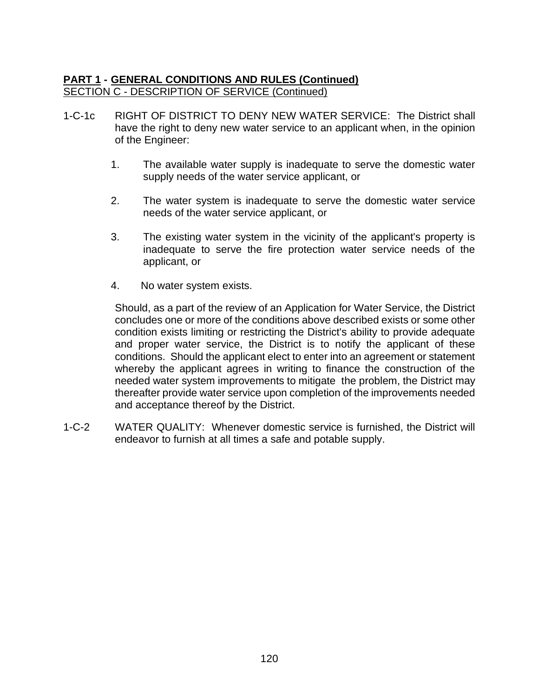## **PART 1 - GENERAL CONDITIONS AND RULES (Continued)** SECTION C - DESCRIPTION OF SERVICE (Continued)

- 1-C-1c RIGHT OF DISTRICT TO DENY NEW WATER SERVICE: The District shall have the right to deny new water service to an applicant when, in the opinion of the Engineer:
	- 1. The available water supply is inadequate to serve the domestic water supply needs of the water service applicant, or
	- 2. The water system is inadequate to serve the domestic water service needs of the water service applicant, or
	- 3. The existing water system in the vicinity of the applicant's property is inadequate to serve the fire protection water service needs of the applicant, or
	- 4. No water system exists.

Should, as a part of the review of an Application for Water Service, the District concludes one or more of the conditions above described exists or some other condition exists limiting or restricting the District's ability to provide adequate and proper water service, the District is to notify the applicant of these conditions. Should the applicant elect to enter into an agreement or statement whereby the applicant agrees in writing to finance the construction of the needed water system improvements to mitigate the problem, the District may thereafter provide water service upon completion of the improvements needed and acceptance thereof by the District.

1-C-2 WATER QUALITY: Whenever domestic service is furnished, the District will endeavor to furnish at all times a safe and potable supply.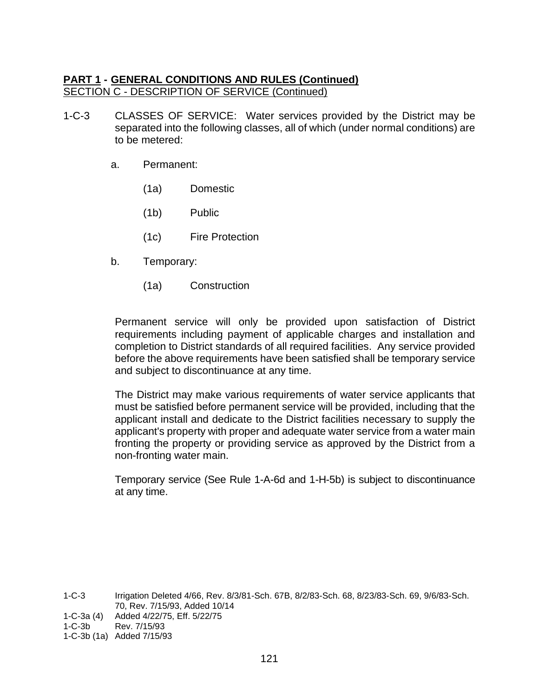### **PART 1 - GENERAL CONDITIONS AND RULES (Continued)** SECTION C - DESCRIPTION OF SERVICE (Continued)

- 1-C-3 CLASSES OF SERVICE: Water services provided by the District may be separated into the following classes, all of which (under normal conditions) are to be metered:
	- a. Permanent:
		- (1a) Domestic
		- (1b) Public
		- (1c) Fire Protection
	- b. Temporary:
		- (1a) Construction

Permanent service will only be provided upon satisfaction of District requirements including payment of applicable charges and installation and completion to District standards of all required facilities. Any service provided before the above requirements have been satisfied shall be temporary service and subject to discontinuance at any time.

The District may make various requirements of water service applicants that must be satisfied before permanent service will be provided, including that the applicant install and dedicate to the District facilities necessary to supply the applicant's property with proper and adequate water service from a water main fronting the property or providing service as approved by the District from a non-fronting water main.

Temporary service (See Rule 1-A-6d and 1-H-5b) is subject to discontinuance at any time.

1-C-3 Irrigation Deleted 4/66, Rev. 8/3/81-Sch. 67B, 8/2/83-Sch. 68, 8/23/83-Sch. 69, 9/6/83-Sch. 70, Rev. 7/15/93, Added 10/14

1-C-3a (4) Added 4/22/75, Eff. 5/22/75

<sup>1-</sup>C-3b Rev. 7/15/93

<sup>1-</sup>C-3b (1a) Added 7/15/93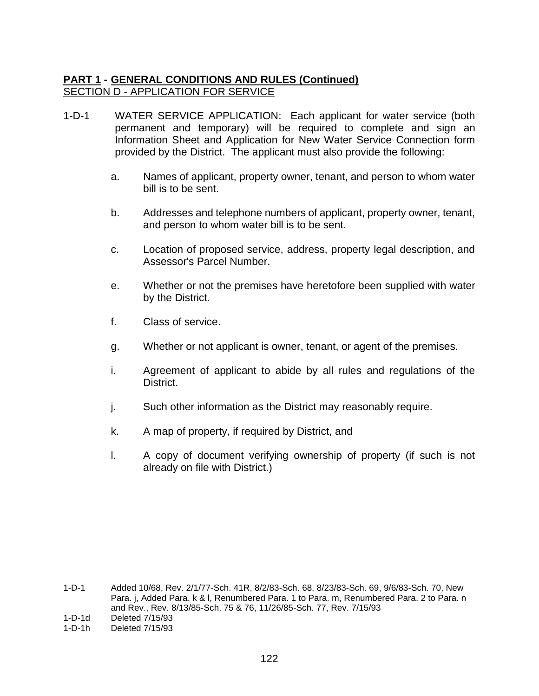## **PART 1 - GENERAL CONDITIONS AND RULES (Continued)** SECTION D - APPLICATION FOR SERVICE

- 1-D-1 WATER SERVICE APPLICATION: Each applicant for water service (both permanent and temporary) will be required to complete and sign an Information Sheet and Application for New Water Service Connection form provided by the District. The applicant must also provide the following:
	- a. Names of applicant, property owner, tenant, and person to whom water bill is to be sent.
	- b. Addresses and telephone numbers of applicant, property owner, tenant, and person to whom water bill is to be sent.
	- c. Location of proposed service, address, property legal description, and Assessor's Parcel Number.
	- e. Whether or not the premises have heretofore been supplied with water by the District.
	- f. Class of service.
	- g. Whether or not applicant is owner, tenant, or agent of the premises.
	- i. Agreement of applicant to abide by all rules and regulations of the District.
	- j. Such other information as the District may reasonably require.
	- k. A map of property, if required by District, and
	- l. A copy of document verifying ownership of property (if such is not already on file with District.)

<sup>1-</sup>D-1 Added 10/68, Rev. 2/1/77-Sch. 41R, 8/2/83-Sch. 68, 8/23/83-Sch. 69, 9/6/83-Sch. 70, New Para. j, Added Para. k & I, Renumbered Para. 1 to Para. m, Renumbered Para. 2 to Para. n and Rev., Rev. 8/13/85-Sch. 75 & 76, 11/26/85-Sch. 77, Rev. 7/15/93

<sup>1-</sup>D-1d Deleted 7/15/93

<sup>1-</sup>D-1h Deleted 7/15/93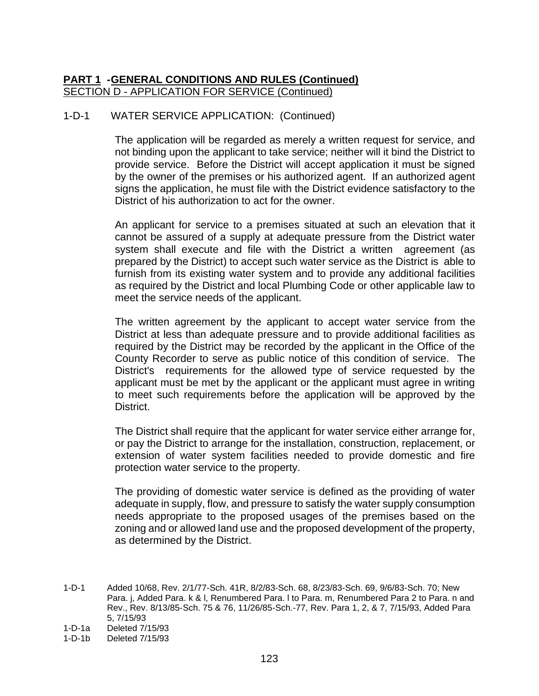## **PART 1 -GENERAL CONDITIONS AND RULES (Continued)** SECTION D - APPLICATION FOR SERVICE (Continued)

## 1-D-1 WATER SERVICE APPLICATION: (Continued)

The application will be regarded as merely a written request for service, and not binding upon the applicant to take service; neither will it bind the District to provide service. Before the District will accept application it must be signed by the owner of the premises or his authorized agent. If an authorized agent signs the application, he must file with the District evidence satisfactory to the District of his authorization to act for the owner.

An applicant for service to a premises situated at such an elevation that it cannot be assured of a supply at adequate pressure from the District water system shall execute and file with the District a written agreement (as prepared by the District) to accept such water service as the District is able to furnish from its existing water system and to provide any additional facilities as required by the District and local Plumbing Code or other applicable law to meet the service needs of the applicant.

The written agreement by the applicant to accept water service from the District at less than adequate pressure and to provide additional facilities as required by the District may be recorded by the applicant in the Office of the County Recorder to serve as public notice of this condition of service. The District's requirements for the allowed type of service requested by the applicant must be met by the applicant or the applicant must agree in writing to meet such requirements before the application will be approved by the District.

The District shall require that the applicant for water service either arrange for, or pay the District to arrange for the installation, construction, replacement, or extension of water system facilities needed to provide domestic and fire protection water service to the property.

The providing of domestic water service is defined as the providing of water adequate in supply, flow, and pressure to satisfy the water supply consumption needs appropriate to the proposed usages of the premises based on the zoning and or allowed land use and the proposed development of the property, as determined by the District.

1-D-1 Added 10/68, Rev. 2/1/77-Sch. 41R, 8/2/83-Sch. 68, 8/23/83-Sch. 69, 9/6/83-Sch. 70; New Para. j, Added Para. k & l, Renumbered Para. l to Para. m, Renumbered Para 2 to Para. n and Rev., Rev. 8/13/85-Sch. 75 & 76, 11/26/85-Sch.-77, Rev. Para 1, 2, & 7, 7/15/93, Added Para 5, 7/15/93

1-D-1b Deleted 7/15/93

<sup>1-</sup>D-1a Deleted 7/15/93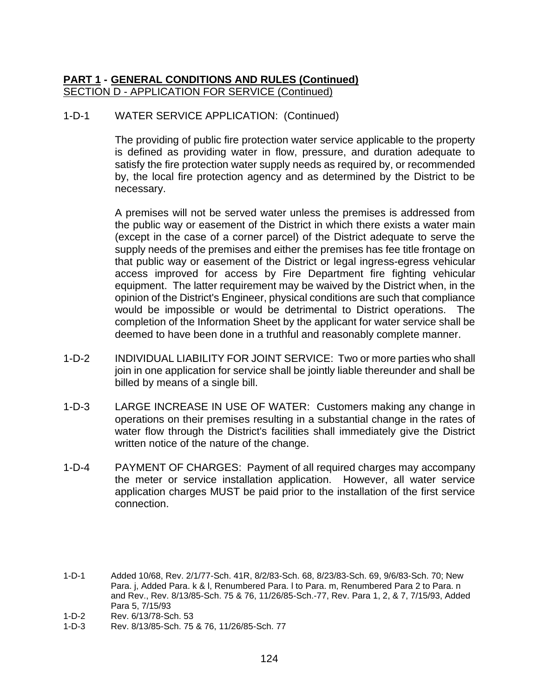## **PART 1 - GENERAL CONDITIONS AND RULES (Continued)** SECTION D - APPLICATION FOR SERVICE (Continued)

## 1-D-1 WATER SERVICE APPLICATION: (Continued)

The providing of public fire protection water service applicable to the property is defined as providing water in flow, pressure, and duration adequate to satisfy the fire protection water supply needs as required by, or recommended by, the local fire protection agency and as determined by the District to be necessary.

A premises will not be served water unless the premises is addressed from the public way or easement of the District in which there exists a water main (except in the case of a corner parcel) of the District adequate to serve the supply needs of the premises and either the premises has fee title frontage on that public way or easement of the District or legal ingress-egress vehicular access improved for access by Fire Department fire fighting vehicular equipment. The latter requirement may be waived by the District when, in the opinion of the District's Engineer, physical conditions are such that compliance would be impossible or would be detrimental to District operations. The completion of the Information Sheet by the applicant for water service shall be deemed to have been done in a truthful and reasonably complete manner.

- 1-D-2 INDIVIDUAL LIABILITY FOR JOINT SERVICE: Two or more parties who shall join in one application for service shall be jointly liable thereunder and shall be billed by means of a single bill.
- 1-D-3 LARGE INCREASE IN USE OF WATER: Customers making any change in operations on their premises resulting in a substantial change in the rates of water flow through the District's facilities shall immediately give the District written notice of the nature of the change.
- 1-D-4 PAYMENT OF CHARGES: Payment of all required charges may accompany the meter or service installation application. However, all water service application charges MUST be paid prior to the installation of the first service connection.

- 1-D-2 Rev. 6/13/78-Sch. 53
- 1-D-3 Rev. 8/13/85-Sch. 75 & 76, 11/26/85-Sch. 77

<sup>1-</sup>D-1 Added 10/68, Rev. 2/1/77-Sch. 41R, 8/2/83-Sch. 68, 8/23/83-Sch. 69, 9/6/83-Sch. 70; New Para. j, Added Para. k & l, Renumbered Para. l to Para. m, Renumbered Para 2 to Para. n and Rev., Rev. 8/13/85-Sch. 75 & 76, 11/26/85-Sch.-77, Rev. Para 1, 2, & 7, 7/15/93, Added Para 5, 7/15/93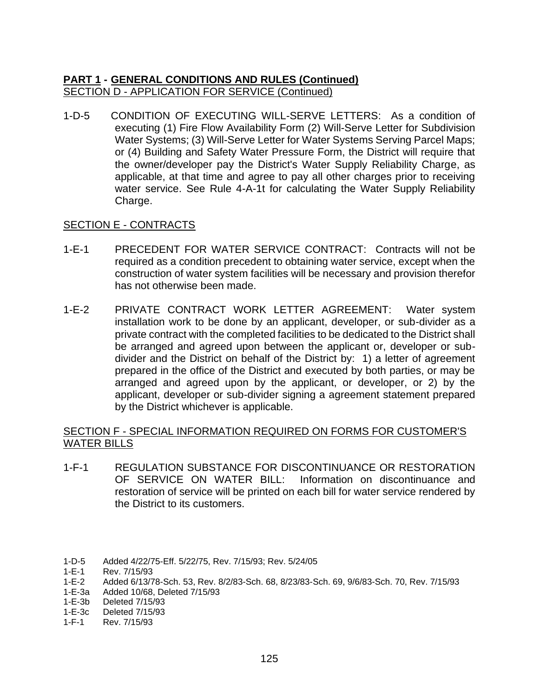## **PART 1 - GENERAL CONDITIONS AND RULES (Continued)** SECTION D - APPLICATION FOR SERVICE (Continued)

1-D-5 CONDITION OF EXECUTING WILL-SERVE LETTERS: As a condition of executing (1) Fire Flow Availability Form (2) Will-Serve Letter for Subdivision Water Systems; (3) Will-Serve Letter for Water Systems Serving Parcel Maps; or (4) Building and Safety Water Pressure Form, the District will require that the owner/developer pay the District's Water Supply Reliability Charge, as applicable, at that time and agree to pay all other charges prior to receiving water service. See Rule 4-A-1t for calculating the Water Supply Reliability Charge.

## **SECTION E - CONTRACTS**

- 1-E-1 PRECEDENT FOR WATER SERVICE CONTRACT: Contracts will not be required as a condition precedent to obtaining water service, except when the construction of water system facilities will be necessary and provision therefor has not otherwise been made.
- 1-E-2 PRIVATE CONTRACT WORK LETTER AGREEMENT: Water system installation work to be done by an applicant, developer, or sub-divider as a private contract with the completed facilities to be dedicated to the District shall be arranged and agreed upon between the applicant or, developer or subdivider and the District on behalf of the District by: 1) a letter of agreement prepared in the office of the District and executed by both parties, or may be arranged and agreed upon by the applicant, or developer, or 2) by the applicant, developer or sub-divider signing a agreement statement prepared by the District whichever is applicable.

## SECTION F - SPECIAL INFORMATION REQUIRED ON FORMS FOR CUSTOMER'S WATER BILLS

1-F-1 REGULATION SUBSTANCE FOR DISCONTINUANCE OR RESTORATION OF SERVICE ON WATER BILL: Information on discontinuance and restoration of service will be printed on each bill for water service rendered by the District to its customers.

- 1-E-3c Deleted 7/15/93
- 1-F-1 Rev. 7/15/93

<sup>1-</sup>D-5 Added 4/22/75-Eff. 5/22/75, Rev. 7/15/93; Rev. 5/24/05<br>1-E-1 Rev. 7/15/93

Rev. 7/15/93

<sup>1-</sup>E-2 Added 6/13/78-Sch. 53, Rev. 8/2/83-Sch. 68, 8/23/83-Sch. 69, 9/6/83-Sch. 70, Rev. 7/15/93

<sup>1-</sup>E-3a Added 10/68, Deleted 7/15/93

<sup>1-</sup>E-3b Deleted 7/15/93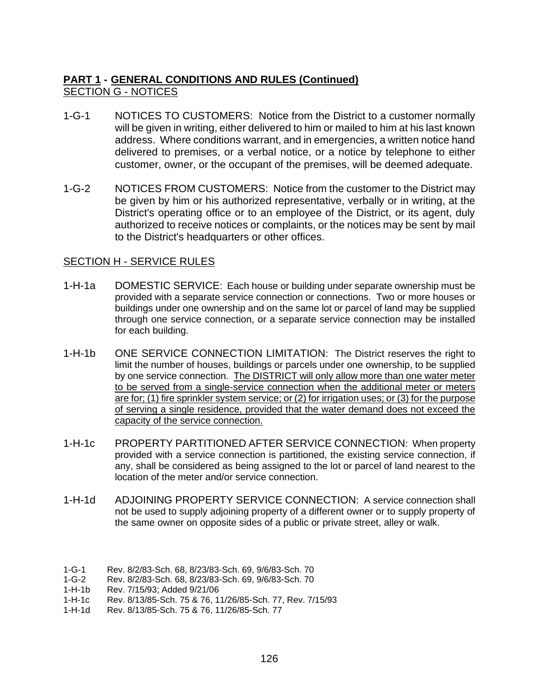# **PART 1 - GENERAL CONDITIONS AND RULES (Continued)** SECTION G - NOTICES

- 1-G-1 NOTICES TO CUSTOMERS: Notice from the District to a customer normally will be given in writing, either delivered to him or mailed to him at his last known address. Where conditions warrant, and in emergencies, a written notice hand delivered to premises, or a verbal notice, or a notice by telephone to either customer, owner, or the occupant of the premises, will be deemed adequate.
- 1-G-2 NOTICES FROM CUSTOMERS: Notice from the customer to the District may be given by him or his authorized representative, verbally or in writing, at the District's operating office or to an employee of the District, or its agent, duly authorized to receive notices or complaints, or the notices may be sent by mail to the District's headquarters or other offices.

#### SECTION H - SERVICE RULES

- 1-H-1a DOMESTIC SERVICE: Each house or building under separate ownership must be provided with a separate service connection or connections. Two or more houses or buildings under one ownership and on the same lot or parcel of land may be supplied through one service connection, or a separate service connection may be installed for each building.
- 1-H-1b ONE SERVICE CONNECTION LIMITATION: The District reserves the right to limit the number of houses, buildings or parcels under one ownership, to be supplied by one service connection. The DISTRICT will only allow more than one water meter to be served from a single-service connection when the additional meter or meters are for; (1) fire sprinkler system service; or (2) for irrigation uses; or (3) for the purpose of serving a single residence, provided that the water demand does not exceed the capacity of the service connection.
- 1-H-1c PROPERTY PARTITIONED AFTER SERVICE CONNECTION: When property provided with a service connection is partitioned, the existing service connection, if any, shall be considered as being assigned to the lot or parcel of land nearest to the location of the meter and/or service connection.
- 1-H-1d ADJOINING PROPERTY SERVICE CONNECTION: A service connection shall not be used to supply adjoining property of a different owner or to supply property of the same owner on opposite sides of a public or private street, alley or walk.

1-G-2 Rev. 8/2/83-Sch. 68, 8/23/83-Sch. 69, 9/6/83-Sch. 70

- 1-H-1c Rev. 8/13/85-Sch. 75 & 76, 11/26/85-Sch. 77, Rev. 7/15/93
- 1-H-1d Rev. 8/13/85-Sch. 75 & 76, 11/26/85-Sch. 77

<sup>1-</sup>G-1 Rev. 8/2/83-Sch. 68, 8/23/83-Sch. 69, 9/6/83-Sch. 70

Rev. 7/15/93; Added 9/21/06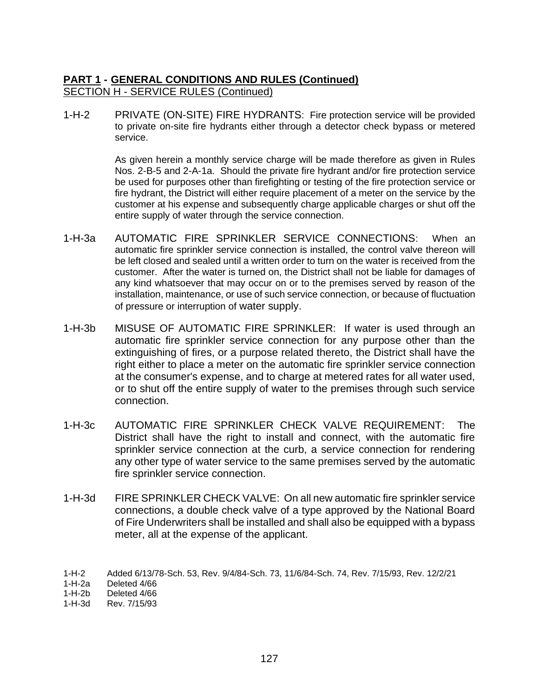1-H-2 PRIVATE (ON-SITE) FIRE HYDRANTS: Fire protection service will be provided to private on-site fire hydrants either through a detector check bypass or metered service.

> As given herein a monthly service charge will be made therefore as given in Rules Nos. 2-B-5 and 2-A-1a. Should the private fire hydrant and/or fire protection service be used for purposes other than firefighting or testing of the fire protection service or fire hydrant, the District will either require placement of a meter on the service by the customer at his expense and subsequently charge applicable charges or shut off the entire supply of water through the service connection.

- 1-H-3a AUTOMATIC FIRE SPRINKLER SERVICE CONNECTIONS: When an automatic fire sprinkler service connection is installed, the control valve thereon will be left closed and sealed until a written order to turn on the water is received from the customer. After the water is turned on, the District shall not be liable for damages of any kind whatsoever that may occur on or to the premises served by reason of the installation, maintenance, or use of such service connection, or because of fluctuation of pressure or interruption of water supply.
- 1-H-3b MISUSE OF AUTOMATIC FIRE SPRINKLER: If water is used through an automatic fire sprinkler service connection for any purpose other than the extinguishing of fires, or a purpose related thereto, the District shall have the right either to place a meter on the automatic fire sprinkler service connection at the consumer's expense, and to charge at metered rates for all water used, or to shut off the entire supply of water to the premises through such service connection.
- 1-H-3c AUTOMATIC FIRE SPRINKLER CHECK VALVE REQUIREMENT: The District shall have the right to install and connect, with the automatic fire sprinkler service connection at the curb, a service connection for rendering any other type of water service to the same premises served by the automatic fire sprinkler service connection.
- 1-H-3d FIRE SPRINKLER CHECK VALVE: On all new automatic fire sprinkler service connections, a double check valve of a type approved by the National Board of Fire Underwriters shall be installed and shall also be equipped with a bypass meter, all at the expense of the applicant.

<sup>1-</sup>H-2 Added 6/13/78-Sch. 53, Rev. 9/4/84-Sch. 73, 11/6/84-Sch. 74, Rev. 7/15/93, Rev. 12/2/21

<sup>1-</sup>H-2a Deleted 4/66

Deleted 4/66

<sup>1-</sup>H-3d Rev. 7/15/93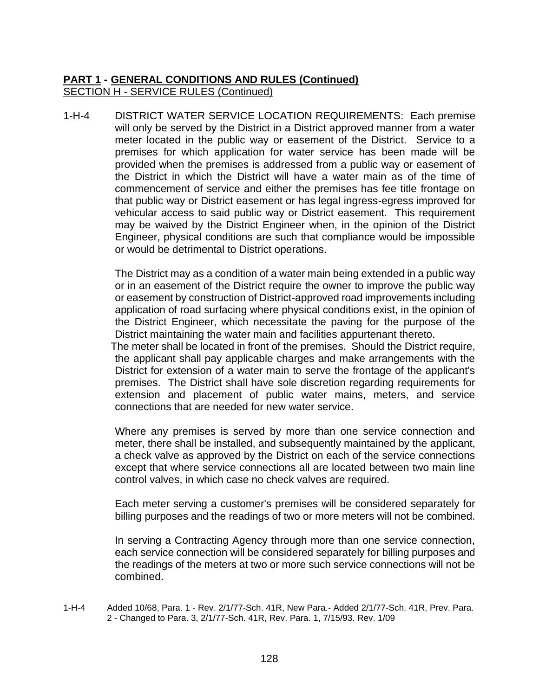1-H-4 DISTRICT WATER SERVICE LOCATION REQUIREMENTS: Each premise will only be served by the District in a District approved manner from a water meter located in the public way or easement of the District. Service to a premises for which application for water service has been made will be provided when the premises is addressed from a public way or easement of the District in which the District will have a water main as of the time of commencement of service and either the premises has fee title frontage on that public way or District easement or has legal ingress-egress improved for vehicular access to said public way or District easement. This requirement may be waived by the District Engineer when, in the opinion of the District Engineer, physical conditions are such that compliance would be impossible or would be detrimental to District operations.

> The District may as a condition of a water main being extended in a public way or in an easement of the District require the owner to improve the public way or easement by construction of District-approved road improvements including application of road surfacing where physical conditions exist, in the opinion of the District Engineer, which necessitate the paving for the purpose of the District maintaining the water main and facilities appurtenant thereto.

> The meter shall be located in front of the premises. Should the District require, the applicant shall pay applicable charges and make arrangements with the District for extension of a water main to serve the frontage of the applicant's premises. The District shall have sole discretion regarding requirements for extension and placement of public water mains, meters, and service connections that are needed for new water service.

Where any premises is served by more than one service connection and meter, there shall be installed, and subsequently maintained by the applicant, a check valve as approved by the District on each of the service connections except that where service connections all are located between two main line control valves, in which case no check valves are required.

Each meter serving a customer's premises will be considered separately for billing purposes and the readings of two or more meters will not be combined.

In serving a Contracting Agency through more than one service connection, each service connection will be considered separately for billing purposes and the readings of the meters at two or more such service connections will not be combined.

1-H-4 Added 10/68, Para. 1 - Rev. 2/1/77-Sch. 41R, New Para.- Added 2/1/77-Sch. 41R, Prev. Para. 2 - Changed to Para. 3, 2/1/77-Sch. 41R, Rev. Para. 1, 7/15/93. Rev. 1/09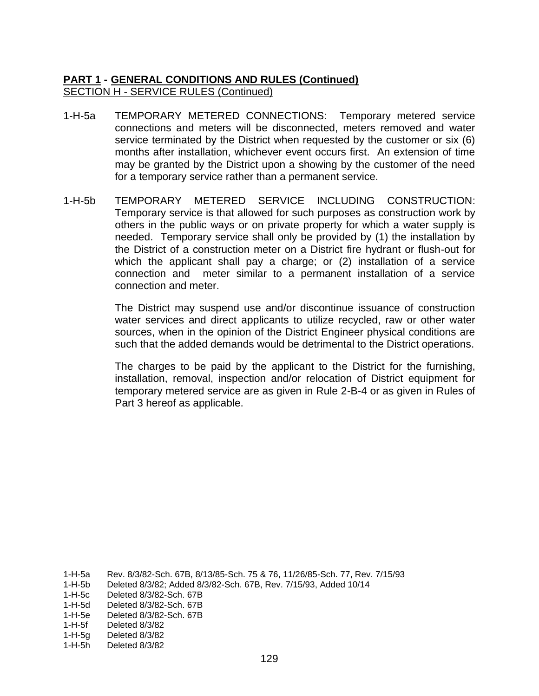- 1-H-5a TEMPORARY METERED CONNECTIONS: Temporary metered service connections and meters will be disconnected, meters removed and water service terminated by the District when requested by the customer or six (6) months after installation, whichever event occurs first. An extension of time may be granted by the District upon a showing by the customer of the need for a temporary service rather than a permanent service.
- 1-H-5b TEMPORARY METERED SERVICE INCLUDING CONSTRUCTION: Temporary service is that allowed for such purposes as construction work by others in the public ways or on private property for which a water supply is needed. Temporary service shall only be provided by (1) the installation by the District of a construction meter on a District fire hydrant or flush-out for which the applicant shall pay a charge; or (2) installation of a service connection and meter similar to a permanent installation of a service connection and meter.

The District may suspend use and/or discontinue issuance of construction water services and direct applicants to utilize recycled, raw or other water sources, when in the opinion of the District Engineer physical conditions are such that the added demands would be detrimental to the District operations.

The charges to be paid by the applicant to the District for the furnishing, installation, removal, inspection and/or relocation of District equipment for temporary metered service are as given in Rule 2-B-4 or as given in Rules of Part 3 hereof as applicable.

1-H-5a Rev. 8/3/82-Sch. 67B, 8/13/85-Sch. 75 & 76, 11/26/85-Sch. 77, Rev. 7/15/93

- 1-H-5b Deleted 8/3/82; Added 8/3/82-Sch. 67B, Rev. 7/15/93, Added 10/14
- 1-H-5c Deleted 8/3/82-Sch. 67B
- 1-H-5d Deleted 8/3/82-Sch. 67B
- 1-H-5e Deleted 8/3/82-Sch. 67B
- 1-H-5f Deleted 8/3/82
- 1-H-5g Deleted 8/3/82
- 1-H-5h Deleted 8/3/82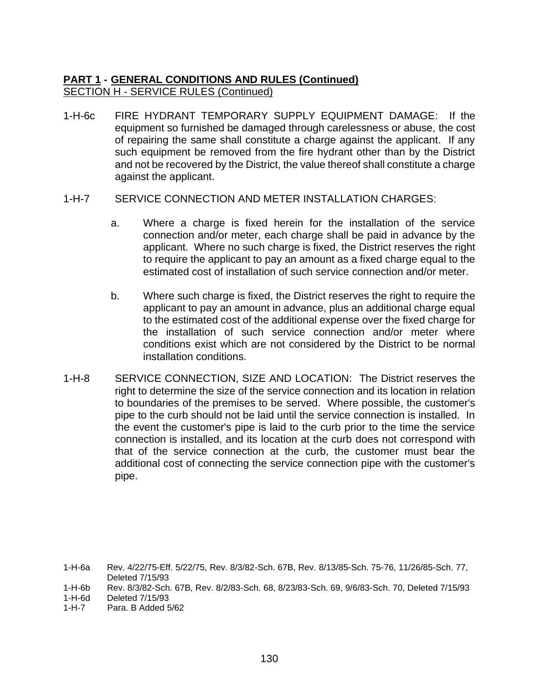1-H-6c FIRE HYDRANT TEMPORARY SUPPLY EQUIPMENT DAMAGE: If the equipment so furnished be damaged through carelessness or abuse, the cost of repairing the same shall constitute a charge against the applicant. If any such equipment be removed from the fire hydrant other than by the District and not be recovered by the District, the value thereof shall constitute a charge against the applicant.

#### 1-H-7 SERVICE CONNECTION AND METER INSTALLATION CHARGES:

- a. Where a charge is fixed herein for the installation of the service connection and/or meter, each charge shall be paid in advance by the applicant. Where no such charge is fixed, the District reserves the right to require the applicant to pay an amount as a fixed charge equal to the estimated cost of installation of such service connection and/or meter.
- b. Where such charge is fixed, the District reserves the right to require the applicant to pay an amount in advance, plus an additional charge equal to the estimated cost of the additional expense over the fixed charge for the installation of such service connection and/or meter where conditions exist which are not considered by the District to be normal installation conditions.
- 1-H-8 SERVICE CONNECTION, SIZE AND LOCATION: The District reserves the right to determine the size of the service connection and its location in relation to boundaries of the premises to be served. Where possible, the customer's pipe to the curb should not be laid until the service connection is installed. In the event the customer's pipe is laid to the curb prior to the time the service connection is installed, and its location at the curb does not correspond with that of the service connection at the curb, the customer must bear the additional cost of connecting the service connection pipe with the customer's pipe.

<sup>1-</sup>H-6a Rev. 4/22/75-Eff. 5/22/75, Rev. 8/3/82-Sch. 67B, Rev. 8/13/85-Sch. 75-76, 11/26/85-Sch. 77, Deleted 7/15/93

<sup>1-</sup>H-6b Rev. 8/3/82-Sch. 67B, Rev. 8/2/83-Sch. 68, 8/23/83-Sch. 69, 9/6/83-Sch. 70, Deleted 7/15/93

<sup>1-</sup>H-6d Deleted 7/15/93

<sup>1-</sup>H-7 Para. B Added 5/62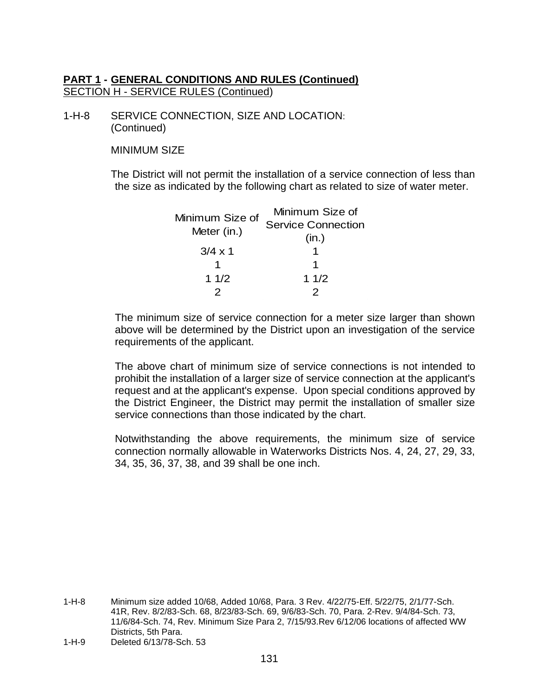1-H-8 SERVICE CONNECTION, SIZE AND LOCATION: (Continued)

MINIMUM SIZE

The District will not permit the installation of a service connection of less than the size as indicated by the following chart as related to size of water meter.

| Minimum Size of<br><b>Service Connection</b> |
|----------------------------------------------|
|                                              |
|                                              |
|                                              |
|                                              |
|                                              |
|                                              |

The minimum size of service connection for a meter size larger than shown above will be determined by the District upon an investigation of the service requirements of the applicant.

The above chart of minimum size of service connections is not intended to prohibit the installation of a larger size of service connection at the applicant's request and at the applicant's expense. Upon special conditions approved by the District Engineer, the District may permit the installation of smaller size service connections than those indicated by the chart.

Notwithstanding the above requirements, the minimum size of service connection normally allowable in Waterworks Districts Nos. 4, 24, 27, 29, 33, 34, 35, 36, 37, 38, and 39 shall be one inch.

1-H-8 Minimum size added 10/68, Added 10/68, Para. 3 Rev. 4/22/75-Eff. 5/22/75, 2/1/77-Sch. 41R, Rev. 8/2/83-Sch. 68, 8/23/83-Sch. 69, 9/6/83-Sch. 70, Para. 2-Rev. 9/4/84-Sch. 73, 11/6/84-Sch. 74, Rev. Minimum Size Para 2, 7/15/93.Rev 6/12/06 locations of affected WW Districts, 5th Para.

<sup>1-</sup>H-9 Deleted 6/13/78-Sch. 53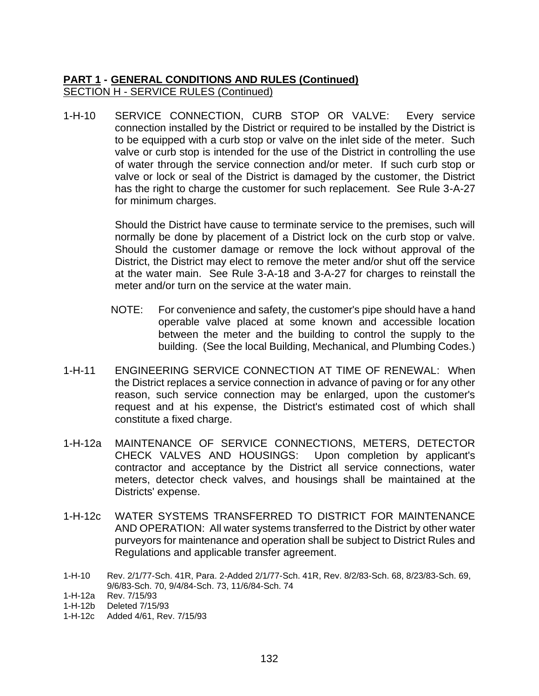1-H-10 SERVICE CONNECTION, CURB STOP OR VALVE: Every service connection installed by the District or required to be installed by the District is to be equipped with a curb stop or valve on the inlet side of the meter. Such valve or curb stop is intended for the use of the District in controlling the use of water through the service connection and/or meter. If such curb stop or valve or lock or seal of the District is damaged by the customer, the District has the right to charge the customer for such replacement. See Rule 3-A-27 for minimum charges.

> Should the District have cause to terminate service to the premises, such will normally be done by placement of a District lock on the curb stop or valve. Should the customer damage or remove the lock without approval of the District, the District may elect to remove the meter and/or shut off the service at the water main. See Rule 3-A-18 and 3-A-27 for charges to reinstall the meter and/or turn on the service at the water main.

- NOTE: For convenience and safety, the customer's pipe should have a hand operable valve placed at some known and accessible location between the meter and the building to control the supply to the building. (See the local Building, Mechanical, and Plumbing Codes.)
- 1-H-11 ENGINEERING SERVICE CONNECTION AT TIME OF RENEWAL: When the District replaces a service connection in advance of paving or for any other reason, such service connection may be enlarged, upon the customer's request and at his expense, the District's estimated cost of which shall constitute a fixed charge.
- 1-H-12a MAINTENANCE OF SERVICE CONNECTIONS, METERS, DETECTOR CHECK VALVES AND HOUSINGS: Upon completion by applicant's contractor and acceptance by the District all service connections, water meters, detector check valves, and housings shall be maintained at the Districts' expense.
- 1-H-12c WATER SYSTEMS TRANSFERRED TO DISTRICT FOR MAINTENANCE AND OPERATION: All water systems transferred to the District by other water purveyors for maintenance and operation shall be subject to District Rules and Regulations and applicable transfer agreement.
- 1-H-10 Rev. 2/1/77-Sch. 41R, Para. 2-Added 2/1/77-Sch. 41R, Rev. 8/2/83-Sch. 68, 8/23/83-Sch. 69, 9/6/83-Sch. 70, 9/4/84-Sch. 73, 11/6/84-Sch. 74

<sup>1-</sup>H-12a Rev. 7/15/93

<sup>1-</sup>H-12b Deleted 7/15/93

<sup>1-</sup>H-12c Added 4/61, Rev. 7/15/93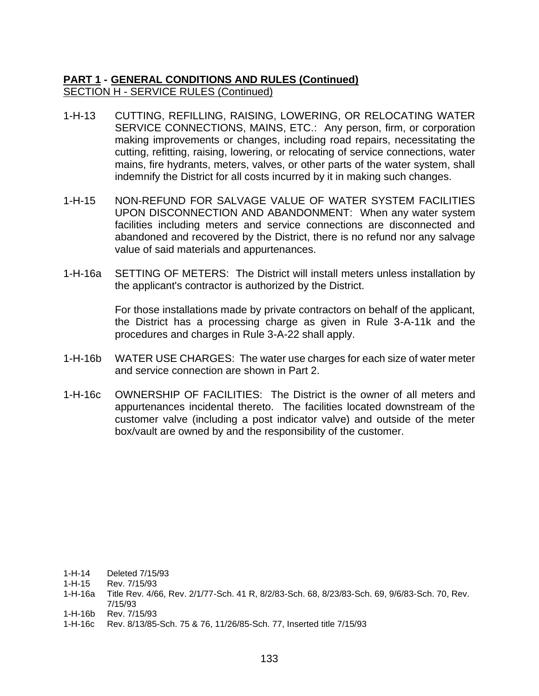- 1-H-13 CUTTING, REFILLING, RAISING, LOWERING, OR RELOCATING WATER SERVICE CONNECTIONS, MAINS, ETC.: Any person, firm, or corporation making improvements or changes, including road repairs, necessitating the cutting, refitting, raising, lowering, or relocating of service connections, water mains, fire hydrants, meters, valves, or other parts of the water system, shall indemnify the District for all costs incurred by it in making such changes.
- 1-H-15 NON-REFUND FOR SALVAGE VALUE OF WATER SYSTEM FACILITIES UPON DISCONNECTION AND ABANDONMENT: When any water system facilities including meters and service connections are disconnected and abandoned and recovered by the District, there is no refund nor any salvage value of said materials and appurtenances.
- 1-H-16a SETTING OF METERS: The District will install meters unless installation by the applicant's contractor is authorized by the District.

For those installations made by private contractors on behalf of the applicant, the District has a processing charge as given in Rule 3-A-11k and the procedures and charges in Rule 3-A-22 shall apply.

- 1-H-16b WATER USE CHARGES: The water use charges for each size of water meter and service connection are shown in Part 2.
- 1-H-16c OWNERSHIP OF FACILITIES: The District is the owner of all meters and appurtenances incidental thereto. The facilities located downstream of the customer valve (including a post indicator valve) and outside of the meter box/vault are owned by and the responsibility of the customer.

1-H-14 Deleted 7/15/93

- 1-H-15 Rev. 7/15/93
- 1-H-16a Title Rev. 4/66, Rev. 2/1/77-Sch. 41 R, 8/2/83-Sch. 68, 8/23/83-Sch. 69, 9/6/83-Sch. 70, Rev. 7/15/93
- 1-H-16b Rev. 7/15/93
- 1-H-16c Rev. 8/13/85-Sch. 75 & 76, 11/26/85-Sch. 77, Inserted title 7/15/93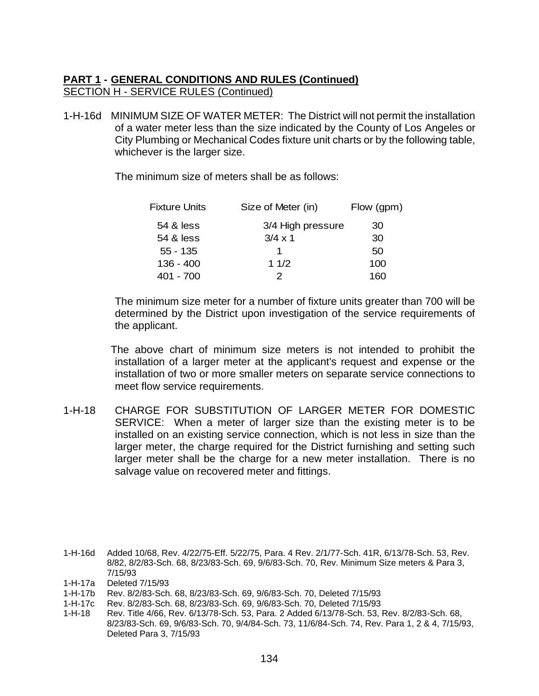1-H-16d MINIMUM SIZE OF WATER METER: The District will not permit the installation of a water meter less than the size indicated by the County of Los Angeles or City Plumbing or Mechanical Codes fixture unit charts or by the following table, whichever is the larger size.

The minimum size of meters shall be as follows:

| Fixture Units | Size of Meter (in) | Flow (gpm) |
|---------------|--------------------|------------|
| 54 & less     | 3/4 High pressure  | 30         |
| 54 & less     | $3/4 \times 1$     | 30         |
| $55 - 135$    |                    | 50         |
| $136 - 400$   | 11/2               | 100        |
| 401 - 700     |                    | 160        |

The minimum size meter for a number of fixture units greater than 700 will be determined by the District upon investigation of the service requirements of the applicant.

The above chart of minimum size meters is not intended to prohibit the installation of a larger meter at the applicant's request and expense or the installation of two or more smaller meters on separate service connections to meet flow service requirements.

1-H-18 CHARGE FOR SUBSTITUTION OF LARGER METER FOR DOMESTIC SERVICE: When a meter of larger size than the existing meter is to be installed on an existing service connection, which is not less in size than the larger meter, the charge required for the District furnishing and setting such larger meter shall be the charge for a new meter installation. There is no salvage value on recovered meter and fittings.

1-H-16d Added 10/68, Rev. 4/22/75-Eff. 5/22/75, Para. 4 Rev. 2/1/77-Sch. 41R, 6/13/78-Sch. 53, Rev. 8/82, 8/2/83-Sch. 68, 8/23/83-Sch. 69, 9/6/83-Sch. 70, Rev. Minimum Size meters & Para 3, 7/15/93

- 1-H-17a Deleted 7/15/93
- 1-H-17b Rev. 8/2/83-Sch. 68, 8/23/83-Sch. 69, 9/6/83-Sch. 70, Deleted 7/15/93
- 1-H-17c Rev. 8/2/83-Sch. 68, 8/23/83-Sch. 69, 9/6/83-Sch. 70, Deleted 7/15/93
- 1-H-18 Rev. Title 4/66, Rev. 6/13/78-Sch. 53, Para. 2 Added 6/13/78-Sch. 53, Rev. 8/2/83-Sch. 68, 8/23/83-Sch. 69, 9/6/83-Sch. 70, 9/4/84-Sch. 73, 11/6/84-Sch. 74, Rev. Para 1, 2 & 4, 7/15/93, Deleted Para 3, 7/15/93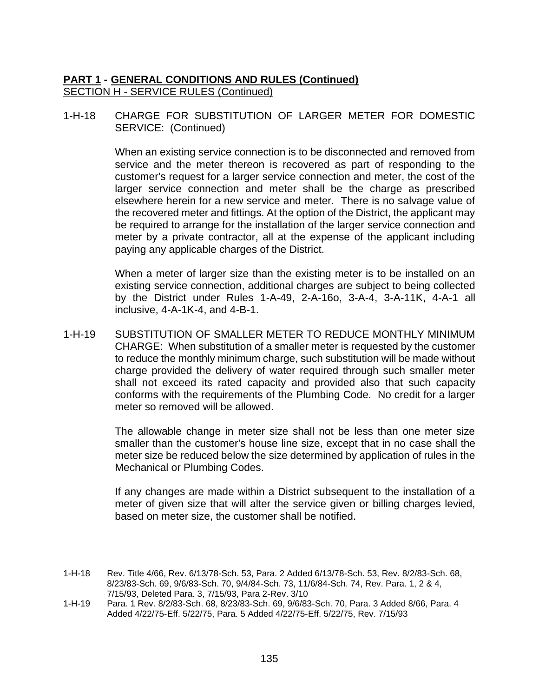1-H-18 CHARGE FOR SUBSTITUTION OF LARGER METER FOR DOMESTIC SERVICE: (Continued)

> When an existing service connection is to be disconnected and removed from service and the meter thereon is recovered as part of responding to the customer's request for a larger service connection and meter, the cost of the larger service connection and meter shall be the charge as prescribed elsewhere herein for a new service and meter. There is no salvage value of the recovered meter and fittings. At the option of the District, the applicant may be required to arrange for the installation of the larger service connection and meter by a private contractor, all at the expense of the applicant including paying any applicable charges of the District.

> When a meter of larger size than the existing meter is to be installed on an existing service connection, additional charges are subject to being collected by the District under Rules 1-A-49, 2-A-16o, 3-A-4, 3-A-11K, 4-A-1 all inclusive, 4-A-1K-4, and 4-B-1.

1-H-19 SUBSTITUTION OF SMALLER METER TO REDUCE MONTHLY MINIMUM CHARGE: When substitution of a smaller meter is requested by the customer to reduce the monthly minimum charge, such substitution will be made without charge provided the delivery of water required through such smaller meter shall not exceed its rated capacity and provided also that such capacity conforms with the requirements of the Plumbing Code. No credit for a larger meter so removed will be allowed.

> The allowable change in meter size shall not be less than one meter size smaller than the customer's house line size, except that in no case shall the meter size be reduced below the size determined by application of rules in the Mechanical or Plumbing Codes.

> If any changes are made within a District subsequent to the installation of a meter of given size that will alter the service given or billing charges levied, based on meter size, the customer shall be notified.

- 1-H-18 Rev. Title 4/66, Rev. 6/13/78-Sch. 53, Para. 2 Added 6/13/78-Sch. 53, Rev. 8/2/83-Sch. 68, 8/23/83-Sch. 69, 9/6/83-Sch. 70, 9/4/84-Sch. 73, 11/6/84-Sch. 74, Rev. Para. 1, 2 & 4, 7/15/93, Deleted Para. 3, 7/15/93, Para 2-Rev. 3/10
- 1-H-19 Para. 1 Rev. 8/2/83-Sch. 68, 8/23/83-Sch. 69, 9/6/83-Sch. 70, Para. 3 Added 8/66, Para. 4 Added 4/22/75-Eff. 5/22/75, Para. 5 Added 4/22/75-Eff. 5/22/75, Rev. 7/15/93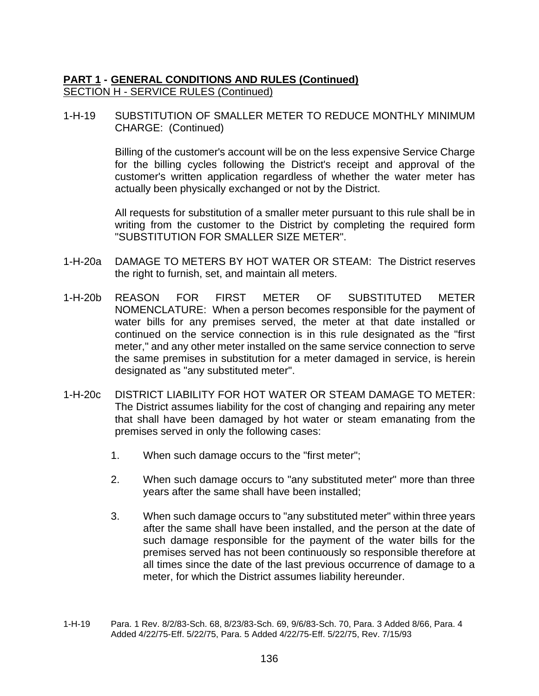1-H-19 SUBSTITUTION OF SMALLER METER TO REDUCE MONTHLY MINIMUM CHARGE: (Continued)

> Billing of the customer's account will be on the less expensive Service Charge for the billing cycles following the District's receipt and approval of the customer's written application regardless of whether the water meter has actually been physically exchanged or not by the District.

> All requests for substitution of a smaller meter pursuant to this rule shall be in writing from the customer to the District by completing the required form "SUBSTITUTION FOR SMALLER SIZE METER".

- 1-H-20a DAMAGE TO METERS BY HOT WATER OR STEAM: The District reserves the right to furnish, set, and maintain all meters.
- 1-H-20b REASON FOR FIRST METER OF SUBSTITUTED METER NOMENCLATURE: When a person becomes responsible for the payment of water bills for any premises served, the meter at that date installed or continued on the service connection is in this rule designated as the "first meter," and any other meter installed on the same service connection to serve the same premises in substitution for a meter damaged in service, is herein designated as "any substituted meter".
- 1-H-20c DISTRICT LIABILITY FOR HOT WATER OR STEAM DAMAGE TO METER: The District assumes liability for the cost of changing and repairing any meter that shall have been damaged by hot water or steam emanating from the premises served in only the following cases:
	- 1. When such damage occurs to the "first meter";
	- 2. When such damage occurs to "any substituted meter" more than three years after the same shall have been installed;
	- 3. When such damage occurs to "any substituted meter" within three years after the same shall have been installed, and the person at the date of such damage responsible for the payment of the water bills for the premises served has not been continuously so responsible therefore at all times since the date of the last previous occurrence of damage to a meter, for which the District assumes liability hereunder.
- 1-H-19 Para. 1 Rev. 8/2/83-Sch. 68, 8/23/83-Sch. 69, 9/6/83-Sch. 70, Para. 3 Added 8/66, Para. 4 Added 4/22/75-Eff. 5/22/75, Para. 5 Added 4/22/75-Eff. 5/22/75, Rev. 7/15/93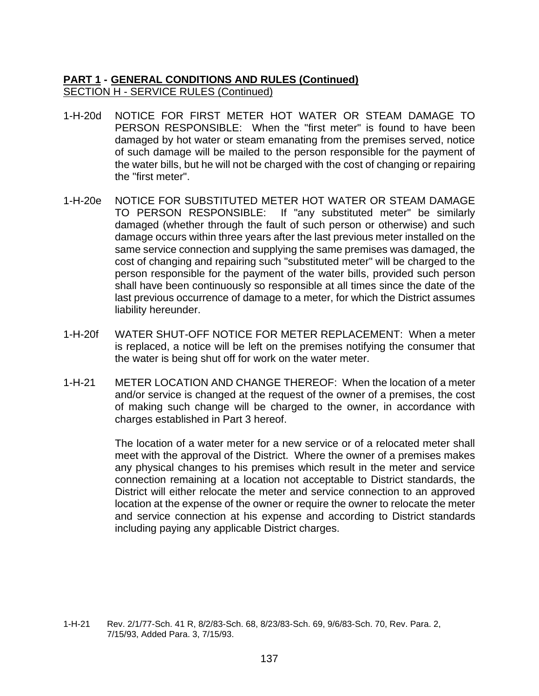- 1-H-20d NOTICE FOR FIRST METER HOT WATER OR STEAM DAMAGE TO PERSON RESPONSIBLE: When the "first meter" is found to have been damaged by hot water or steam emanating from the premises served, notice of such damage will be mailed to the person responsible for the payment of the water bills, but he will not be charged with the cost of changing or repairing the "first meter".
- 1-H-20e NOTICE FOR SUBSTITUTED METER HOT WATER OR STEAM DAMAGE TO PERSON RESPONSIBLE: If "any substituted meter" be similarly damaged (whether through the fault of such person or otherwise) and such damage occurs within three years after the last previous meter installed on the same service connection and supplying the same premises was damaged, the cost of changing and repairing such "substituted meter" will be charged to the person responsible for the payment of the water bills, provided such person shall have been continuously so responsible at all times since the date of the last previous occurrence of damage to a meter, for which the District assumes liability hereunder.
- 1-H-20f WATER SHUT-OFF NOTICE FOR METER REPLACEMENT: When a meter is replaced, a notice will be left on the premises notifying the consumer that the water is being shut off for work on the water meter.
- 1-H-21 METER LOCATION AND CHANGE THEREOF: When the location of a meter and/or service is changed at the request of the owner of a premises, the cost of making such change will be charged to the owner, in accordance with charges established in Part 3 hereof.

The location of a water meter for a new service or of a relocated meter shall meet with the approval of the District. Where the owner of a premises makes any physical changes to his premises which result in the meter and service connection remaining at a location not acceptable to District standards, the District will either relocate the meter and service connection to an approved location at the expense of the owner or require the owner to relocate the meter and service connection at his expense and according to District standards including paying any applicable District charges.

<sup>1-</sup>H-21 Rev. 2/1/77-Sch. 41 R, 8/2/83-Sch. 68, 8/23/83-Sch. 69, 9/6/83-Sch. 70, Rev. Para. 2, 7/15/93, Added Para. 3, 7/15/93.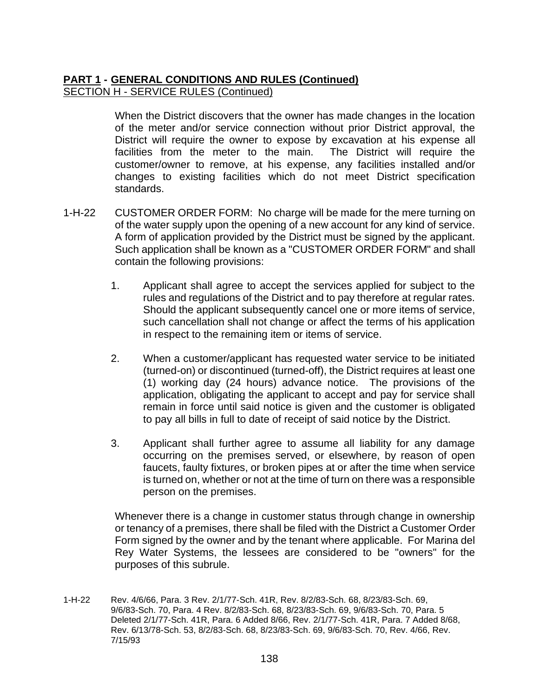When the District discovers that the owner has made changes in the location of the meter and/or service connection without prior District approval, the District will require the owner to expose by excavation at his expense all facilities from the meter to the main. The District will require the customer/owner to remove, at his expense, any facilities installed and/or changes to existing facilities which do not meet District specification standards.

- 1-H-22 CUSTOMER ORDER FORM: No charge will be made for the mere turning on of the water supply upon the opening of a new account for any kind of service. A form of application provided by the District must be signed by the applicant. Such application shall be known as a "CUSTOMER ORDER FORM" and shall contain the following provisions:
	- 1. Applicant shall agree to accept the services applied for subject to the rules and regulations of the District and to pay therefore at regular rates. Should the applicant subsequently cancel one or more items of service, such cancellation shall not change or affect the terms of his application in respect to the remaining item or items of service.
	- 2. When a customer/applicant has requested water service to be initiated (turned-on) or discontinued (turned-off), the District requires at least one (1) working day (24 hours) advance notice. The provisions of the application, obligating the applicant to accept and pay for service shall remain in force until said notice is given and the customer is obligated to pay all bills in full to date of receipt of said notice by the District.
	- 3. Applicant shall further agree to assume all liability for any damage occurring on the premises served, or elsewhere, by reason of open faucets, faulty fixtures, or broken pipes at or after the time when service is turned on, whether or not at the time of turn on there was a responsible person on the premises.

Whenever there is a change in customer status through change in ownership or tenancy of a premises, there shall be filed with the District a Customer Order Form signed by the owner and by the tenant where applicable. For Marina del Rey Water Systems, the lessees are considered to be "owners" for the purposes of this subrule.

1-H-22 Rev. 4/6/66, Para. 3 Rev. 2/1/77-Sch. 41R, Rev. 8/2/83-Sch. 68, 8/23/83-Sch. 69, 9/6/83-Sch. 70, Para. 4 Rev. 8/2/83-Sch. 68, 8/23/83-Sch. 69, 9/6/83-Sch. 70, Para. 5 Deleted 2/1/77-Sch. 41R, Para. 6 Added 8/66, Rev. 2/1/77-Sch. 41R, Para. 7 Added 8/68, Rev. 6/13/78-Sch. 53, 8/2/83-Sch. 68, 8/23/83-Sch. 69, 9/6/83-Sch. 70, Rev. 4/66, Rev. 7/15/93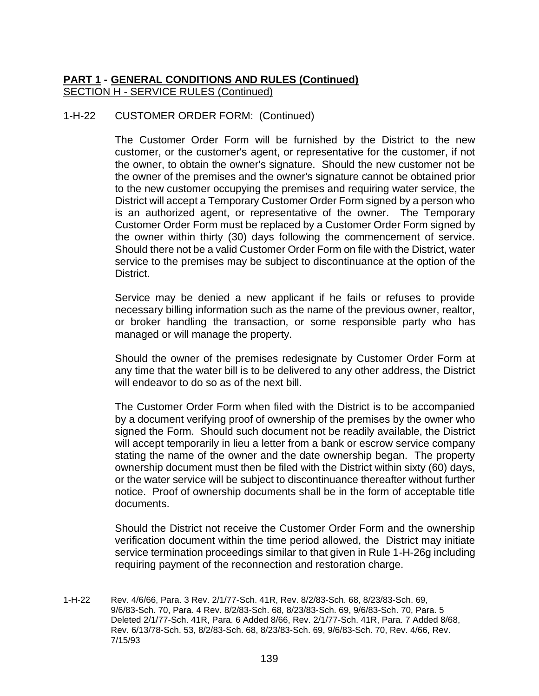# 1-H-22 CUSTOMER ORDER FORM: (Continued)

The Customer Order Form will be furnished by the District to the new customer, or the customer's agent, or representative for the customer, if not the owner, to obtain the owner's signature. Should the new customer not be the owner of the premises and the owner's signature cannot be obtained prior to the new customer occupying the premises and requiring water service, the District will accept a Temporary Customer Order Form signed by a person who is an authorized agent, or representative of the owner. The Temporary Customer Order Form must be replaced by a Customer Order Form signed by the owner within thirty (30) days following the commencement of service. Should there not be a valid Customer Order Form on file with the District, water service to the premises may be subject to discontinuance at the option of the District.

Service may be denied a new applicant if he fails or refuses to provide necessary billing information such as the name of the previous owner, realtor, or broker handling the transaction, or some responsible party who has managed or will manage the property.

Should the owner of the premises redesignate by Customer Order Form at any time that the water bill is to be delivered to any other address, the District will endeavor to do so as of the next bill.

The Customer Order Form when filed with the District is to be accompanied by a document verifying proof of ownership of the premises by the owner who signed the Form. Should such document not be readily available, the District will accept temporarily in lieu a letter from a bank or escrow service company stating the name of the owner and the date ownership began. The property ownership document must then be filed with the District within sixty (60) days, or the water service will be subject to discontinuance thereafter without further notice. Proof of ownership documents shall be in the form of acceptable title documents.

Should the District not receive the Customer Order Form and the ownership verification document within the time period allowed, the District may initiate service termination proceedings similar to that given in Rule 1-H-26g including requiring payment of the reconnection and restoration charge.

1-H-22 Rev. 4/6/66, Para. 3 Rev. 2/1/77-Sch. 41R, Rev. 8/2/83-Sch. 68, 8/23/83-Sch. 69, 9/6/83-Sch. 70, Para. 4 Rev. 8/2/83-Sch. 68, 8/23/83-Sch. 69, 9/6/83-Sch. 70, Para. 5 Deleted 2/1/77-Sch. 41R, Para. 6 Added 8/66, Rev. 2/1/77-Sch. 41R, Para. 7 Added 8/68, Rev. 6/13/78-Sch. 53, 8/2/83-Sch. 68, 8/23/83-Sch. 69, 9/6/83-Sch. 70, Rev. 4/66, Rev. 7/15/93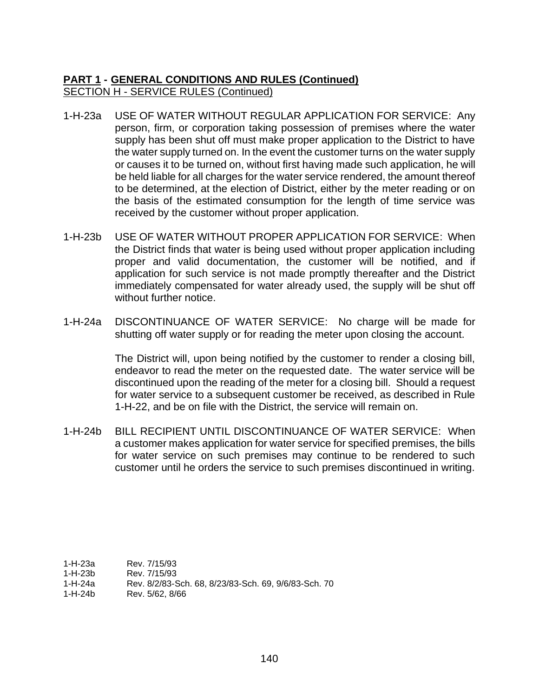- 1-H-23a USE OF WATER WITHOUT REGULAR APPLICATION FOR SERVICE: Any person, firm, or corporation taking possession of premises where the water supply has been shut off must make proper application to the District to have the water supply turned on. In the event the customer turns on the water supply or causes it to be turned on, without first having made such application, he will be held liable for all charges for the water service rendered, the amount thereof to be determined, at the election of District, either by the meter reading or on the basis of the estimated consumption for the length of time service was received by the customer without proper application.
- 1-H-23b USE OF WATER WITHOUT PROPER APPLICATION FOR SERVICE: When the District finds that water is being used without proper application including proper and valid documentation, the customer will be notified, and if application for such service is not made promptly thereafter and the District immediately compensated for water already used, the supply will be shut off without further notice.
- 1-H-24a DISCONTINUANCE OF WATER SERVICE: No charge will be made for shutting off water supply or for reading the meter upon closing the account.

The District will, upon being notified by the customer to render a closing bill, endeavor to read the meter on the requested date. The water service will be discontinued upon the reading of the meter for a closing bill. Should a request for water service to a subsequent customer be received, as described in Rule 1-H-22, and be on file with the District, the service will remain on.

1-H-24b BILL RECIPIENT UNTIL DISCONTINUANCE OF WATER SERVICE: When a customer makes application for water service for specified premises, the bills for water service on such premises may continue to be rendered to such customer until he orders the service to such premises discontinued in writing.

1-H-23a Rev. 7/15/93

1-H-23b Rev. 7/15/93

- 1-H-24a Rev. 8/2/83-Sch. 68, 8/23/83-Sch. 69, 9/6/83-Sch. 70
- 1-H-24b Rev. 5/62, 8/66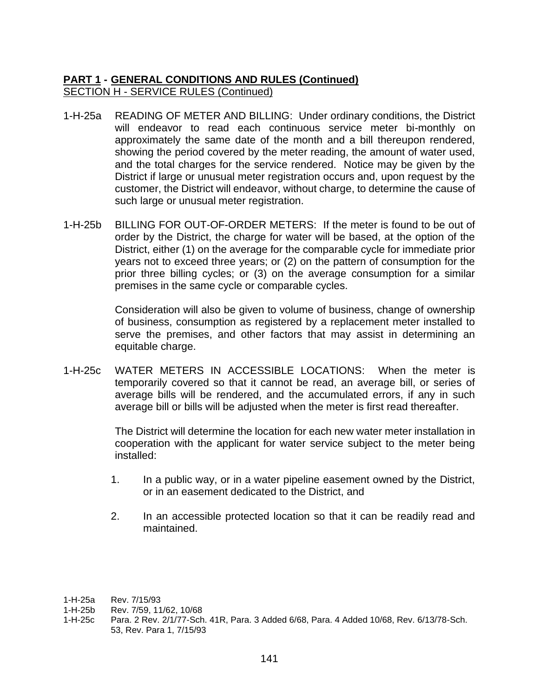- 1-H-25a READING OF METER AND BILLING: Under ordinary conditions, the District will endeavor to read each continuous service meter bi-monthly on approximately the same date of the month and a bill thereupon rendered, showing the period covered by the meter reading, the amount of water used, and the total charges for the service rendered. Notice may be given by the District if large or unusual meter registration occurs and, upon request by the customer, the District will endeavor, without charge, to determine the cause of such large or unusual meter registration.
- 1-H-25b BILLING FOR OUT-OF-ORDER METERS: If the meter is found to be out of order by the District, the charge for water will be based, at the option of the District, either (1) on the average for the comparable cycle for immediate prior years not to exceed three years; or (2) on the pattern of consumption for the prior three billing cycles; or (3) on the average consumption for a similar premises in the same cycle or comparable cycles.

Consideration will also be given to volume of business, change of ownership of business, consumption as registered by a replacement meter installed to serve the premises, and other factors that may assist in determining an equitable charge.

1-H-25c WATER METERS IN ACCESSIBLE LOCATIONS: When the meter is temporarily covered so that it cannot be read, an average bill, or series of average bills will be rendered, and the accumulated errors, if any in such average bill or bills will be adjusted when the meter is first read thereafter.

> The District will determine the location for each new water meter installation in cooperation with the applicant for water service subject to the meter being installed:

- 1. In a public way, or in a water pipeline easement owned by the District, or in an easement dedicated to the District, and
- 2. In an accessible protected location so that it can be readily read and maintained.

1-H-25c Para. 2 Rev. 2/1/77-Sch. 41R, Para. 3 Added 6/68, Para. 4 Added 10/68, Rev. 6/13/78-Sch. 53, Rev. Para 1, 7/15/93

<sup>1-</sup>H-25a Rev. 7/15/93

<sup>1-</sup>H-25b Rev. 7/59, 11/62, 10/68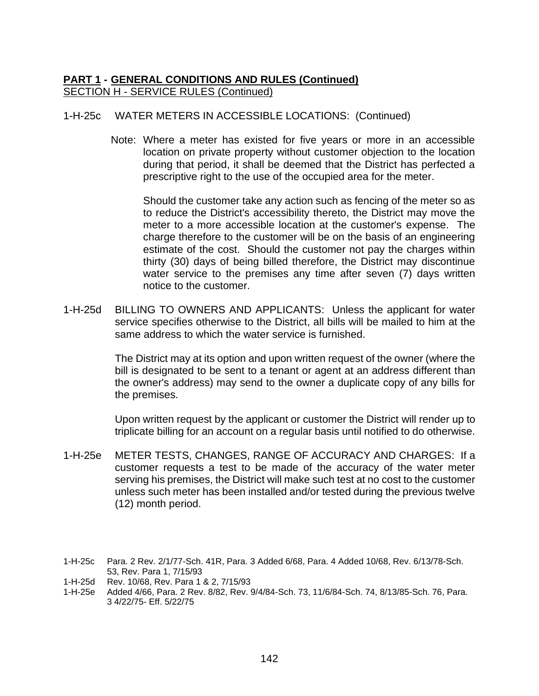#### 1-H-25c WATER METERS IN ACCESSIBLE LOCATIONS: (Continued)

Note: Where a meter has existed for five years or more in an accessible location on private property without customer objection to the location during that period, it shall be deemed that the District has perfected a prescriptive right to the use of the occupied area for the meter.

Should the customer take any action such as fencing of the meter so as to reduce the District's accessibility thereto, the District may move the meter to a more accessible location at the customer's expense. The charge therefore to the customer will be on the basis of an engineering estimate of the cost. Should the customer not pay the charges within thirty (30) days of being billed therefore, the District may discontinue water service to the premises any time after seven (7) days written notice to the customer.

1-H-25d BILLING TO OWNERS AND APPLICANTS: Unless the applicant for water service specifies otherwise to the District, all bills will be mailed to him at the same address to which the water service is furnished.

> The District may at its option and upon written request of the owner (where the bill is designated to be sent to a tenant or agent at an address different than the owner's address) may send to the owner a duplicate copy of any bills for the premises.

> Upon written request by the applicant or customer the District will render up to triplicate billing for an account on a regular basis until notified to do otherwise.

1-H-25e METER TESTS, CHANGES, RANGE OF ACCURACY AND CHARGES: If a customer requests a test to be made of the accuracy of the water meter serving his premises, the District will make such test at no cost to the customer unless such meter has been installed and/or tested during the previous twelve (12) month period.

<sup>1-</sup>H-25c Para. 2 Rev. 2/1/77-Sch. 41R, Para. 3 Added 6/68, Para. 4 Added 10/68, Rev. 6/13/78-Sch. 53, Rev. Para 1, 7/15/93

<sup>1-</sup>H-25d Rev. 10/68, Rev. Para 1 & 2, 7/15/93

<sup>1-</sup>H-25e Added 4/66, Para. 2 Rev. 8/82, Rev. 9/4/84-Sch. 73, 11/6/84-Sch. 74, 8/13/85-Sch. 76, Para. 3 4/22/75- Eff. 5/22/75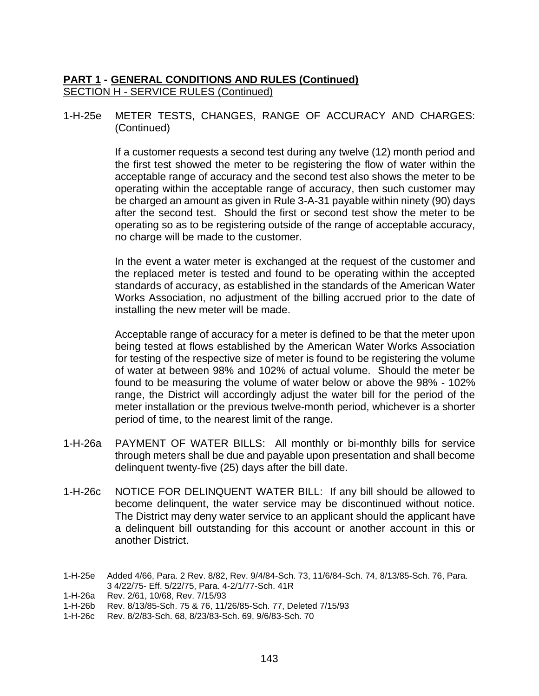1-H-25e METER TESTS, CHANGES, RANGE OF ACCURACY AND CHARGES: (Continued)

> If a customer requests a second test during any twelve (12) month period and the first test showed the meter to be registering the flow of water within the acceptable range of accuracy and the second test also shows the meter to be operating within the acceptable range of accuracy, then such customer may be charged an amount as given in Rule 3-A-31 payable within ninety (90) days after the second test. Should the first or second test show the meter to be operating so as to be registering outside of the range of acceptable accuracy, no charge will be made to the customer.

> In the event a water meter is exchanged at the request of the customer and the replaced meter is tested and found to be operating within the accepted standards of accuracy, as established in the standards of the American Water Works Association, no adjustment of the billing accrued prior to the date of installing the new meter will be made.

> Acceptable range of accuracy for a meter is defined to be that the meter upon being tested at flows established by the American Water Works Association for testing of the respective size of meter is found to be registering the volume of water at between 98% and 102% of actual volume. Should the meter be found to be measuring the volume of water below or above the 98% - 102% range, the District will accordingly adjust the water bill for the period of the meter installation or the previous twelve-month period, whichever is a shorter period of time, to the nearest limit of the range.

- 1-H-26a PAYMENT OF WATER BILLS: All monthly or bi-monthly bills for service through meters shall be due and payable upon presentation and shall become delinquent twenty-five (25) days after the bill date.
- 1-H-26c NOTICE FOR DELINQUENT WATER BILL: If any bill should be allowed to become delinquent, the water service may be discontinued without notice. The District may deny water service to an applicant should the applicant have a delinquent bill outstanding for this account or another account in this or another District.

1-H-26c Rev. 8/2/83-Sch. 68, 8/23/83-Sch. 69, 9/6/83-Sch. 70

<sup>1-</sup>H-25e Added 4/66, Para. 2 Rev. 8/82, Rev. 9/4/84-Sch. 73, 11/6/84-Sch. 74, 8/13/85-Sch. 76, Para. 3 4/22/75- Eff. 5/22/75, Para. 4-2/1/77-Sch. 41R

<sup>1-</sup>H-26a Rev. 2/61, 10/68, Rev. 7/15/93

<sup>1-</sup>H-26b Rev. 8/13/85-Sch. 75 & 76, 11/26/85-Sch. 77, Deleted 7/15/93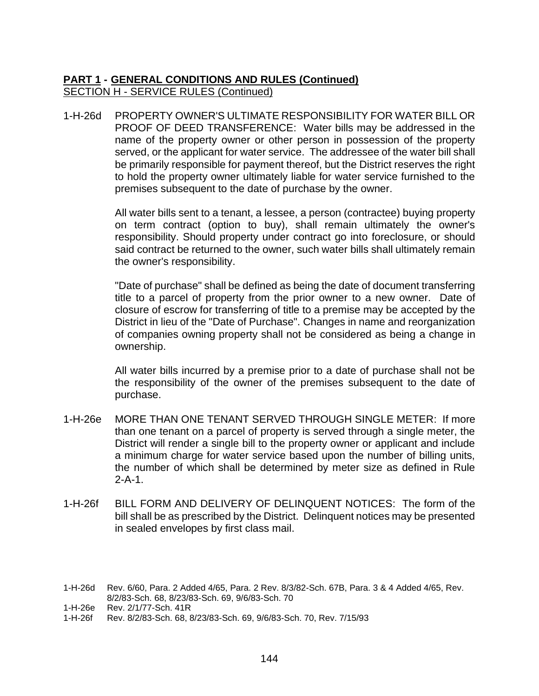1-H-26d PROPERTY OWNER'S ULTIMATE RESPONSIBILITY FOR WATER BILL OR PROOF OF DEED TRANSFERENCE: Water bills may be addressed in the name of the property owner or other person in possession of the property served, or the applicant for water service. The addressee of the water bill shall be primarily responsible for payment thereof, but the District reserves the right to hold the property owner ultimately liable for water service furnished to the premises subsequent to the date of purchase by the owner.

> All water bills sent to a tenant, a lessee, a person (contractee) buying property on term contract (option to buy), shall remain ultimately the owner's responsibility. Should property under contract go into foreclosure, or should said contract be returned to the owner, such water bills shall ultimately remain the owner's responsibility.

> "Date of purchase" shall be defined as being the date of document transferring title to a parcel of property from the prior owner to a new owner. Date of closure of escrow for transferring of title to a premise may be accepted by the District in lieu of the "Date of Purchase". Changes in name and reorganization of companies owning property shall not be considered as being a change in ownership.

> All water bills incurred by a premise prior to a date of purchase shall not be the responsibility of the owner of the premises subsequent to the date of purchase.

- 1-H-26e MORE THAN ONE TENANT SERVED THROUGH SINGLE METER: If more than one tenant on a parcel of property is served through a single meter, the District will render a single bill to the property owner or applicant and include a minimum charge for water service based upon the number of billing units, the number of which shall be determined by meter size as defined in Rule 2-A-1.
- 1-H-26f BILL FORM AND DELIVERY OF DELINQUENT NOTICES: The form of the bill shall be as prescribed by the District. Delinquent notices may be presented in sealed envelopes by first class mail.

<sup>1-</sup>H-26d Rev. 6/60, Para. 2 Added 4/65, Para. 2 Rev. 8/3/82-Sch. 67B, Para. 3 & 4 Added 4/65, Rev. 8/2/83-Sch. 68, 8/23/83-Sch. 69, 9/6/83-Sch. 70

<sup>1-</sup>H-26e Rev. 2/1/77-Sch. 41R

<sup>1-</sup>H-26f Rev. 8/2/83-Sch. 68, 8/23/83-Sch. 69, 9/6/83-Sch. 70, Rev. 7/15/93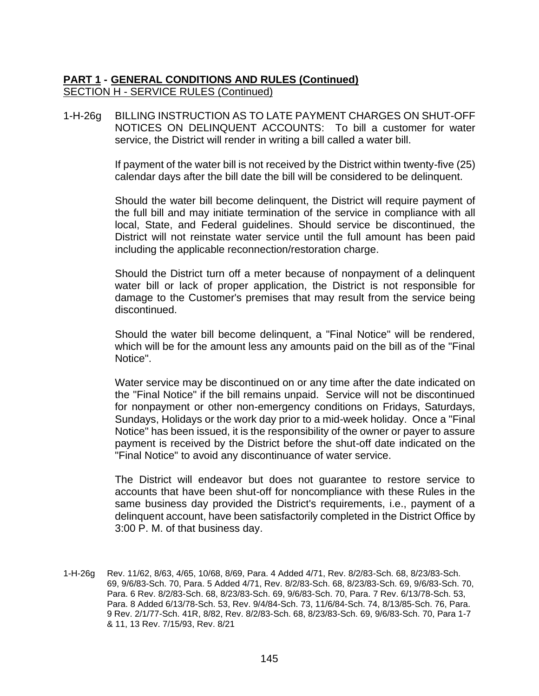1-H-26g BILLING INSTRUCTION AS TO LATE PAYMENT CHARGES ON SHUT-OFF NOTICES ON DELINQUENT ACCOUNTS: To bill a customer for water service, the District will render in writing a bill called a water bill.

> If payment of the water bill is not received by the District within twenty-five (25) calendar days after the bill date the bill will be considered to be delinquent.

> Should the water bill become delinquent, the District will require payment of the full bill and may initiate termination of the service in compliance with all local, State, and Federal guidelines. Should service be discontinued, the District will not reinstate water service until the full amount has been paid including the applicable reconnection/restoration charge.

> Should the District turn off a meter because of nonpayment of a delinquent water bill or lack of proper application, the District is not responsible for damage to the Customer's premises that may result from the service being discontinued.

> Should the water bill become delinquent, a "Final Notice" will be rendered, which will be for the amount less any amounts paid on the bill as of the "Final Notice".

> Water service may be discontinued on or any time after the date indicated on the "Final Notice" if the bill remains unpaid. Service will not be discontinued for nonpayment or other non-emergency conditions on Fridays, Saturdays, Sundays, Holidays or the work day prior to a mid-week holiday. Once a "Final Notice" has been issued, it is the responsibility of the owner or payer to assure payment is received by the District before the shut-off date indicated on the "Final Notice" to avoid any discontinuance of water service.

> The District will endeavor but does not guarantee to restore service to accounts that have been shut-off for noncompliance with these Rules in the same business day provided the District's requirements, i.e., payment of a delinquent account, have been satisfactorily completed in the District Office by 3:00 P. M. of that business day.

1-H-26g Rev. 11/62, 8/63, 4/65, 10/68, 8/69, Para. 4 Added 4/71, Rev. 8/2/83-Sch. 68, 8/23/83-Sch. 69, 9/6/83-Sch. 70, Para. 5 Added 4/71, Rev. 8/2/83-Sch. 68, 8/23/83-Sch. 69, 9/6/83-Sch. 70, Para. 6 Rev. 8/2/83-Sch. 68, 8/23/83-Sch. 69, 9/6/83-Sch. 70, Para. 7 Rev. 6/13/78-Sch. 53, Para. 8 Added 6/13/78-Sch. 53, Rev. 9/4/84-Sch. 73, 11/6/84-Sch. 74, 8/13/85-Sch. 76, Para. 9 Rev. 2/1/77-Sch. 41R, 8/82, Rev. 8/2/83-Sch. 68, 8/23/83-Sch. 69, 9/6/83-Sch. 70, Para 1-7 & 11, 13 Rev. 7/15/93, Rev. 8/21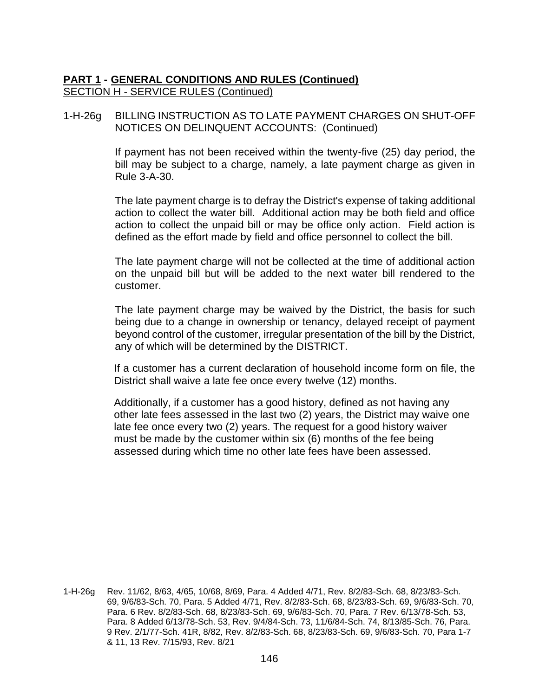#### 1-H-26g BILLING INSTRUCTION AS TO LATE PAYMENT CHARGES ON SHUT-OFF NOTICES ON DELINQUENT ACCOUNTS: (Continued)

If payment has not been received within the twenty-five (25) day period, the bill may be subject to a charge, namely, a late payment charge as given in Rule 3-A-30.

The late payment charge is to defray the District's expense of taking additional action to collect the water bill. Additional action may be both field and office action to collect the unpaid bill or may be office only action. Field action is defined as the effort made by field and office personnel to collect the bill.

The late payment charge will not be collected at the time of additional action on the unpaid bill but will be added to the next water bill rendered to the customer.

The late payment charge may be waived by the District, the basis for such being due to a change in ownership or tenancy, delayed receipt of payment beyond control of the customer, irregular presentation of the bill by the District, any of which will be determined by the DISTRICT.

If a customer has a current declaration of household income form on file, the District shall waive a late fee once every twelve (12) months.

Additionally, if a customer has a good history, defined as not having any other late fees assessed in the last two (2) years, the District may waive one late fee once every two (2) years. The request for a good history waiver must be made by the customer within six (6) months of the fee being assessed during which time no other late fees have been assessed.

1-H-26g Rev. 11/62, 8/63, 4/65, 10/68, 8/69, Para. 4 Added 4/71, Rev. 8/2/83-Sch. 68, 8/23/83-Sch. 69, 9/6/83-Sch. 70, Para. 5 Added 4/71, Rev. 8/2/83-Sch. 68, 8/23/83-Sch. 69, 9/6/83-Sch. 70, Para. 6 Rev. 8/2/83-Sch. 68, 8/23/83-Sch. 69, 9/6/83-Sch. 70, Para. 7 Rev. 6/13/78-Sch. 53, Para. 8 Added 6/13/78-Sch. 53, Rev. 9/4/84-Sch. 73, 11/6/84-Sch. 74, 8/13/85-Sch. 76, Para. 9 Rev. 2/1/77-Sch. 41R, 8/82, Rev. 8/2/83-Sch. 68, 8/23/83-Sch. 69, 9/6/83-Sch. 70, Para 1-7 & 11, 13 Rev. 7/15/93, Rev. 8/21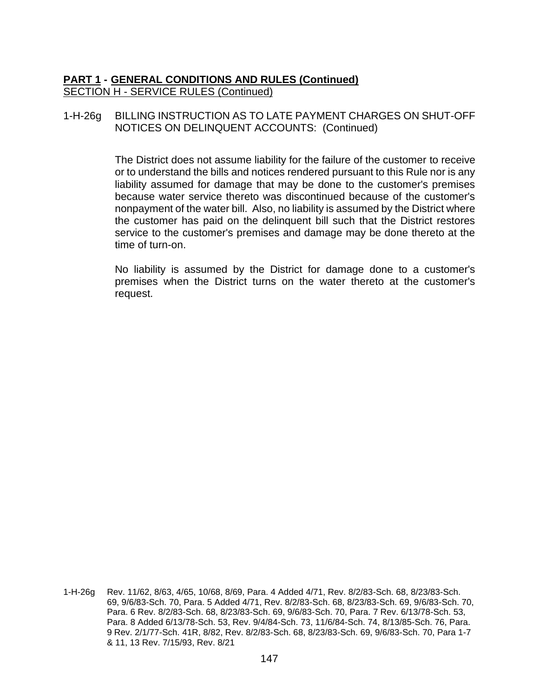1-H-26g BILLING INSTRUCTION AS TO LATE PAYMENT CHARGES ON SHUT-OFF NOTICES ON DELINQUENT ACCOUNTS: (Continued)

> The District does not assume liability for the failure of the customer to receive or to understand the bills and notices rendered pursuant to this Rule nor is any liability assumed for damage that may be done to the customer's premises because water service thereto was discontinued because of the customer's nonpayment of the water bill. Also, no liability is assumed by the District where the customer has paid on the delinquent bill such that the District restores service to the customer's premises and damage may be done thereto at the time of turn-on.

> No liability is assumed by the District for damage done to a customer's premises when the District turns on the water thereto at the customer's request.

1-H-26g Rev. 11/62, 8/63, 4/65, 10/68, 8/69, Para. 4 Added 4/71, Rev. 8/2/83-Sch. 68, 8/23/83-Sch. 69, 9/6/83-Sch. 70, Para. 5 Added 4/71, Rev. 8/2/83-Sch. 68, 8/23/83-Sch. 69, 9/6/83-Sch. 70, Para. 6 Rev. 8/2/83-Sch. 68, 8/23/83-Sch. 69, 9/6/83-Sch. 70, Para. 7 Rev. 6/13/78-Sch. 53, Para. 8 Added 6/13/78-Sch. 53, Rev. 9/4/84-Sch. 73, 11/6/84-Sch. 74, 8/13/85-Sch. 76, Para. 9 Rev. 2/1/77-Sch. 41R, 8/82, Rev. 8/2/83-Sch. 68, 8/23/83-Sch. 69, 9/6/83-Sch. 70, Para 1-7 & 11, 13 Rev. 7/15/93, Rev. 8/21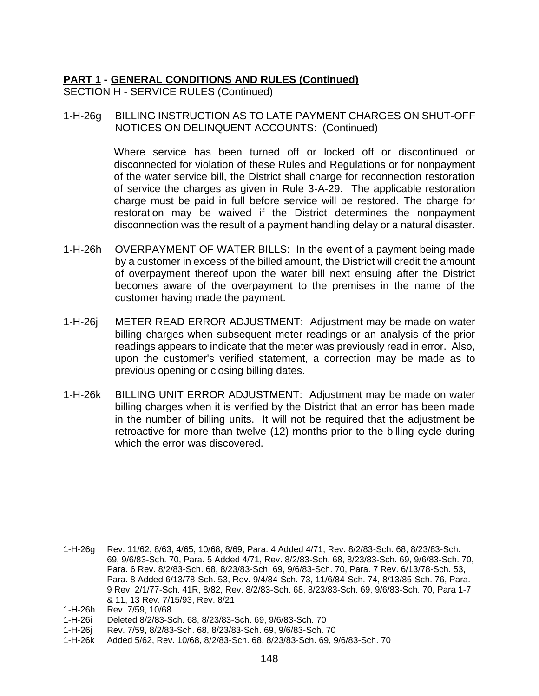1-H-26g BILLING INSTRUCTION AS TO LATE PAYMENT CHARGES ON SHUT-OFF NOTICES ON DELINQUENT ACCOUNTS: (Continued)

> Where service has been turned off or locked off or discontinued or disconnected for violation of these Rules and Regulations or for nonpayment of the water service bill, the District shall charge for reconnection restoration of service the charges as given in Rule 3-A-29. The applicable restoration charge must be paid in full before service will be restored. The charge for restoration may be waived if the District determines the nonpayment disconnection was the result of a payment handling delay or a natural disaster.

- 1-H-26h OVERPAYMENT OF WATER BILLS: In the event of a payment being made by a customer in excess of the billed amount, the District will credit the amount of overpayment thereof upon the water bill next ensuing after the District becomes aware of the overpayment to the premises in the name of the customer having made the payment.
- 1-H-26j METER READ ERROR ADJUSTMENT: Adjustment may be made on water billing charges when subsequent meter readings or an analysis of the prior readings appears to indicate that the meter was previously read in error. Also, upon the customer's verified statement, a correction may be made as to previous opening or closing billing dates.
- 1-H-26k BILLING UNIT ERROR ADJUSTMENT: Adjustment may be made on water billing charges when it is verified by the District that an error has been made in the number of billing units. It will not be required that the adjustment be retroactive for more than twelve (12) months prior to the billing cycle during which the error was discovered.

- 1-H-26i Deleted 8/2/83-Sch. 68, 8/23/83-Sch. 69, 9/6/83-Sch. 70
- 1-H-26j Rev. 7/59, 8/2/83-Sch. 68, 8/23/83-Sch. 69, 9/6/83-Sch. 70
- 1-H-26k Added 5/62, Rev. 10/68, 8/2/83-Sch. 68, 8/23/83-Sch. 69, 9/6/83-Sch. 70

<sup>1-</sup>H-26g Rev. 11/62, 8/63, 4/65, 10/68, 8/69, Para. 4 Added 4/71, Rev. 8/2/83-Sch. 68, 8/23/83-Sch. 69, 9/6/83-Sch. 70, Para. 5 Added 4/71, Rev. 8/2/83-Sch. 68, 8/23/83-Sch. 69, 9/6/83-Sch. 70, Para. 6 Rev. 8/2/83-Sch. 68, 8/23/83-Sch. 69, 9/6/83-Sch. 70, Para. 7 Rev. 6/13/78-Sch. 53, Para. 8 Added 6/13/78-Sch. 53, Rev. 9/4/84-Sch. 73, 11/6/84-Sch. 74, 8/13/85-Sch. 76, Para. 9 Rev. 2/1/77-Sch. 41R, 8/82, Rev. 8/2/83-Sch. 68, 8/23/83-Sch. 69, 9/6/83-Sch. 70, Para 1-7 & 11, 13 Rev. 7/15/93, Rev. 8/21

<sup>1-</sup>H-26h Rev. 7/59, 10/68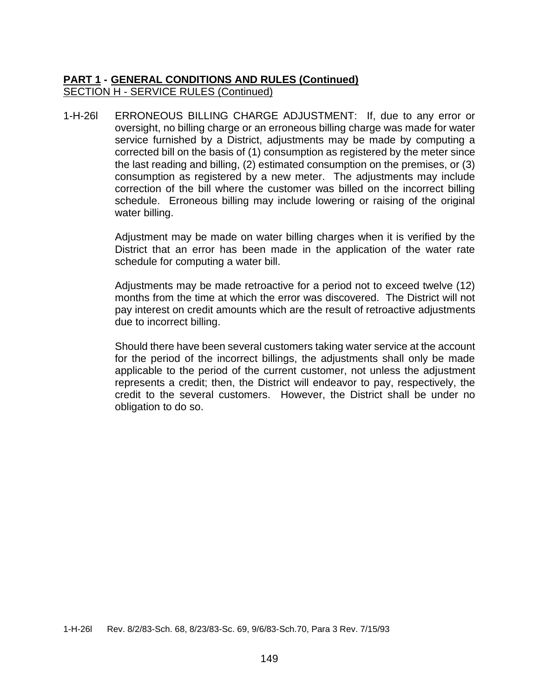1-H-26l ERRONEOUS BILLING CHARGE ADJUSTMENT: If, due to any error or oversight, no billing charge or an erroneous billing charge was made for water service furnished by a District, adjustments may be made by computing a corrected bill on the basis of (1) consumption as registered by the meter since the last reading and billing, (2) estimated consumption on the premises, or (3) consumption as registered by a new meter. The adjustments may include correction of the bill where the customer was billed on the incorrect billing schedule. Erroneous billing may include lowering or raising of the original water billing.

> Adjustment may be made on water billing charges when it is verified by the District that an error has been made in the application of the water rate schedule for computing a water bill.

> Adjustments may be made retroactive for a period not to exceed twelve (12) months from the time at which the error was discovered. The District will not pay interest on credit amounts which are the result of retroactive adjustments due to incorrect billing.

> Should there have been several customers taking water service at the account for the period of the incorrect billings, the adjustments shall only be made applicable to the period of the current customer, not unless the adjustment represents a credit; then, the District will endeavor to pay, respectively, the credit to the several customers. However, the District shall be under no obligation to do so.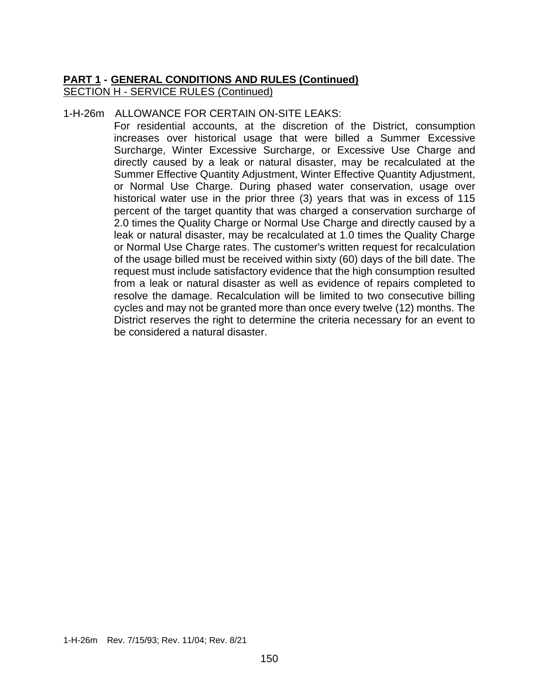#### 1-H-26m ALLOWANCE FOR CERTAIN ON-SITE LEAKS:

For residential accounts, at the discretion of the District, consumption increases over historical usage that were billed a Summer Excessive Surcharge, Winter Excessive Surcharge, or Excessive Use Charge and directly caused by a leak or natural disaster, may be recalculated at the Summer Effective Quantity Adjustment, Winter Effective Quantity Adjustment, or Normal Use Charge. During phased water conservation, usage over historical water use in the prior three (3) years that was in excess of 115 percent of the target quantity that was charged a conservation surcharge of 2.0 times the Quality Charge or Normal Use Charge and directly caused by a leak or natural disaster, may be recalculated at 1.0 times the Quality Charge or Normal Use Charge rates. The customer's written request for recalculation of the usage billed must be received within sixty (60) days of the bill date. The request must include satisfactory evidence that the high consumption resulted from a leak or natural disaster as well as evidence of repairs completed to resolve the damage. Recalculation will be limited to two consecutive billing cycles and may not be granted more than once every twelve (12) months. The District reserves the right to determine the criteria necessary for an event to be considered a natural disaster.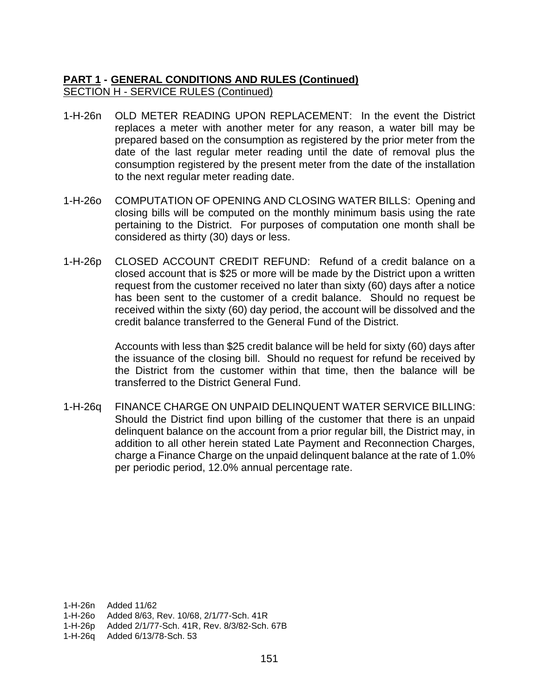- 1-H-26n OLD METER READING UPON REPLACEMENT: In the event the District replaces a meter with another meter for any reason, a water bill may be prepared based on the consumption as registered by the prior meter from the date of the last regular meter reading until the date of removal plus the consumption registered by the present meter from the date of the installation to the next regular meter reading date.
- 1-H-26o COMPUTATION OF OPENING AND CLOSING WATER BILLS: Opening and closing bills will be computed on the monthly minimum basis using the rate pertaining to the District. For purposes of computation one month shall be considered as thirty (30) days or less.
- 1-H-26p CLOSED ACCOUNT CREDIT REFUND: Refund of a credit balance on a closed account that is \$25 or more will be made by the District upon a written request from the customer received no later than sixty (60) days after a notice has been sent to the customer of a credit balance. Should no request be received within the sixty (60) day period, the account will be dissolved and the credit balance transferred to the General Fund of the District.

Accounts with less than \$25 credit balance will be held for sixty (60) days after the issuance of the closing bill. Should no request for refund be received by the District from the customer within that time, then the balance will be transferred to the District General Fund.

1-H-26q FINANCE CHARGE ON UNPAID DELINQUENT WATER SERVICE BILLING: Should the District find upon billing of the customer that there is an unpaid delinquent balance on the account from a prior regular bill, the District may, in addition to all other herein stated Late Payment and Reconnection Charges, charge a Finance Charge on the unpaid delinquent balance at the rate of 1.0% per periodic period, 12.0% annual percentage rate.

1-H-26n Added 11/62

1-H-26o Added 8/63, Rev. 10/68, 2/1/77-Sch. 41R

1-H-26p Added 2/1/77-Sch. 41R, Rev. 8/3/82-Sch. 67B

1-H-26q Added 6/13/78-Sch. 53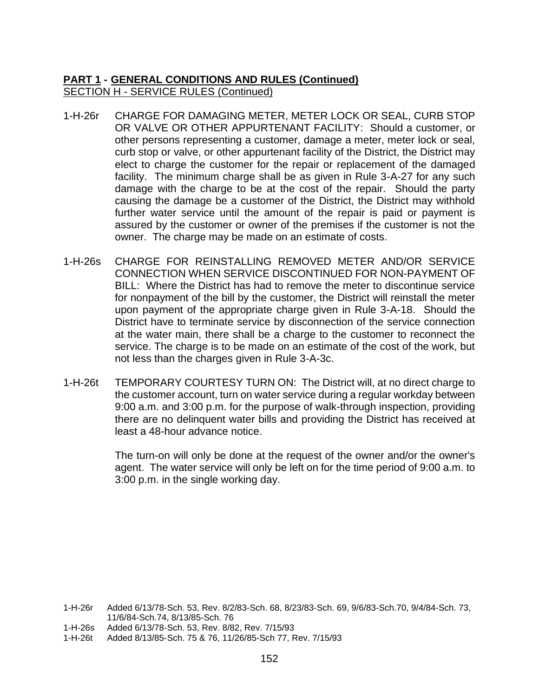- 1-H-26r CHARGE FOR DAMAGING METER, METER LOCK OR SEAL, CURB STOP OR VALVE OR OTHER APPURTENANT FACILITY: Should a customer, or other persons representing a customer, damage a meter, meter lock or seal, curb stop or valve, or other appurtenant facility of the District, the District may elect to charge the customer for the repair or replacement of the damaged facility. The minimum charge shall be as given in Rule 3-A-27 for any such damage with the charge to be at the cost of the repair. Should the party causing the damage be a customer of the District, the District may withhold further water service until the amount of the repair is paid or payment is assured by the customer or owner of the premises if the customer is not the owner. The charge may be made on an estimate of costs.
- 1-H-26s CHARGE FOR REINSTALLING REMOVED METER AND/OR SERVICE CONNECTION WHEN SERVICE DISCONTINUED FOR NON-PAYMENT OF BILL: Where the District has had to remove the meter to discontinue service for nonpayment of the bill by the customer, the District will reinstall the meter upon payment of the appropriate charge given in Rule 3-A-18. Should the District have to terminate service by disconnection of the service connection at the water main, there shall be a charge to the customer to reconnect the service. The charge is to be made on an estimate of the cost of the work, but not less than the charges given in Rule 3-A-3c.
- 1-H-26t TEMPORARY COURTESY TURN ON: The District will, at no direct charge to the customer account, turn on water service during a regular workday between 9:00 a.m. and 3:00 p.m. for the purpose of walk-through inspection, providing there are no delinquent water bills and providing the District has received at least a 48-hour advance notice.

The turn-on will only be done at the request of the owner and/or the owner's agent. The water service will only be left on for the time period of 9:00 a.m. to 3:00 p.m. in the single working day.

1-H-26t Added 8/13/85-Sch. 75 & 76, 11/26/85-Sch 77, Rev. 7/15/93

<sup>1-</sup>H-26r Added 6/13/78-Sch. 53, Rev. 8/2/83-Sch. 68, 8/23/83-Sch. 69, 9/6/83-Sch.70, 9/4/84-Sch. 73, 11/6/84-Sch.74, 8/13/85-Sch. 76

<sup>1-</sup>H-26s Added 6/13/78-Sch. 53, Rev. 8/82, Rev. 7/15/93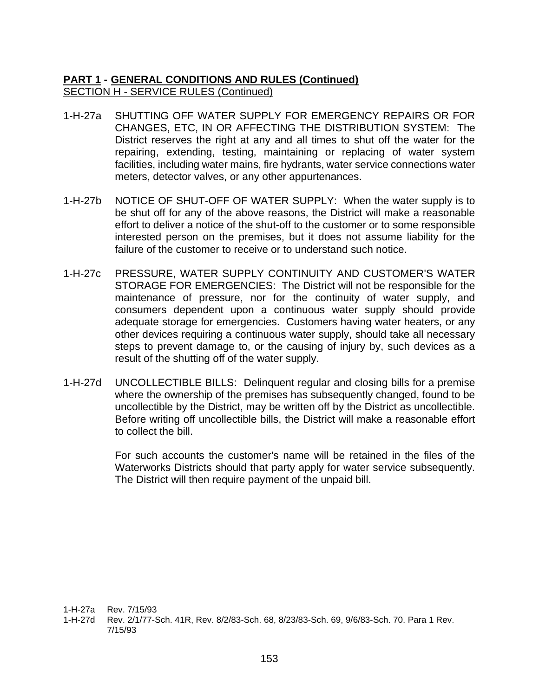- 1-H-27a SHUTTING OFF WATER SUPPLY FOR EMERGENCY REPAIRS OR FOR CHANGES, ETC, IN OR AFFECTING THE DISTRIBUTION SYSTEM: The District reserves the right at any and all times to shut off the water for the repairing, extending, testing, maintaining or replacing of water system facilities, including water mains, fire hydrants, water service connections water meters, detector valves, or any other appurtenances.
- 1-H-27b NOTICE OF SHUT-OFF OF WATER SUPPLY: When the water supply is to be shut off for any of the above reasons, the District will make a reasonable effort to deliver a notice of the shut-off to the customer or to some responsible interested person on the premises, but it does not assume liability for the failure of the customer to receive or to understand such notice.
- 1-H-27c PRESSURE, WATER SUPPLY CONTINUITY AND CUSTOMER'S WATER STORAGE FOR EMERGENCIES: The District will not be responsible for the maintenance of pressure, nor for the continuity of water supply, and consumers dependent upon a continuous water supply should provide adequate storage for emergencies. Customers having water heaters, or any other devices requiring a continuous water supply, should take all necessary steps to prevent damage to, or the causing of injury by, such devices as a result of the shutting off of the water supply.
- 1-H-27d UNCOLLECTIBLE BILLS: Delinquent regular and closing bills for a premise where the ownership of the premises has subsequently changed, found to be uncollectible by the District, may be written off by the District as uncollectible. Before writing off uncollectible bills, the District will make a reasonable effort to collect the bill.

For such accounts the customer's name will be retained in the files of the Waterworks Districts should that party apply for water service subsequently. The District will then require payment of the unpaid bill.

1-H-27a Rev. 7/15/93

1-H-27d Rev. 2/1/77-Sch. 41R, Rev. 8/2/83-Sch. 68, 8/23/83-Sch. 69, 9/6/83-Sch. 70. Para 1 Rev. 7/15/93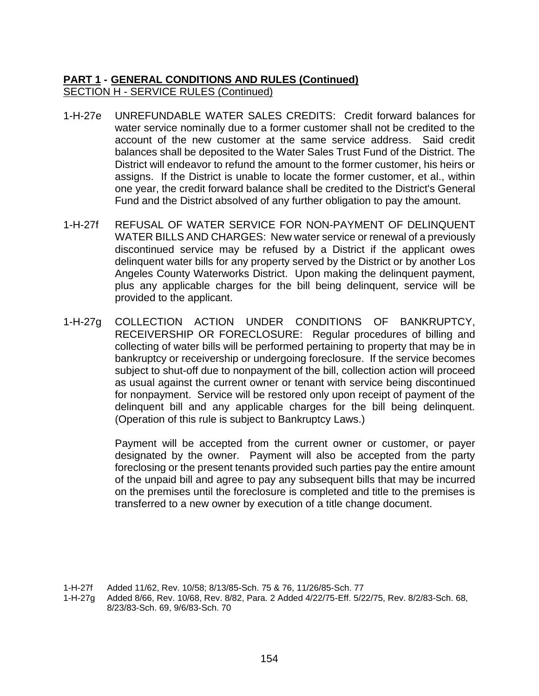- 1-H-27e UNREFUNDABLE WATER SALES CREDITS: Credit forward balances for water service nominally due to a former customer shall not be credited to the account of the new customer at the same service address. Said credit balances shall be deposited to the Water Sales Trust Fund of the District. The District will endeavor to refund the amount to the former customer, his heirs or assigns. If the District is unable to locate the former customer, et al., within one year, the credit forward balance shall be credited to the District's General Fund and the District absolved of any further obligation to pay the amount.
- 1-H-27f REFUSAL OF WATER SERVICE FOR NON-PAYMENT OF DELINQUENT WATER BILLS AND CHARGES: New water service or renewal of a previously discontinued service may be refused by a District if the applicant owes delinquent water bills for any property served by the District or by another Los Angeles County Waterworks District. Upon making the delinquent payment, plus any applicable charges for the bill being delinquent, service will be provided to the applicant.
- 1-H-27g COLLECTION ACTION UNDER CONDITIONS OF BANKRUPTCY, RECEIVERSHIP OR FORECLOSURE: Regular procedures of billing and collecting of water bills will be performed pertaining to property that may be in bankruptcy or receivership or undergoing foreclosure. If the service becomes subject to shut-off due to nonpayment of the bill, collection action will proceed as usual against the current owner or tenant with service being discontinued for nonpayment. Service will be restored only upon receipt of payment of the delinquent bill and any applicable charges for the bill being delinquent. (Operation of this rule is subject to Bankruptcy Laws.)

Payment will be accepted from the current owner or customer, or payer designated by the owner. Payment will also be accepted from the party foreclosing or the present tenants provided such parties pay the entire amount of the unpaid bill and agree to pay any subsequent bills that may be incurred on the premises until the foreclosure is completed and title to the premises is transferred to a new owner by execution of a title change document.

1-H-27f Added 11/62, Rev. 10/58; 8/13/85-Sch. 75 & 76, 11/26/85-Sch. 77

1-H-27g Added 8/66, Rev. 10/68, Rev. 8/82, Para. 2 Added 4/22/75-Eff. 5/22/75, Rev. 8/2/83-Sch. 68, 8/23/83-Sch. 69, 9/6/83-Sch. 70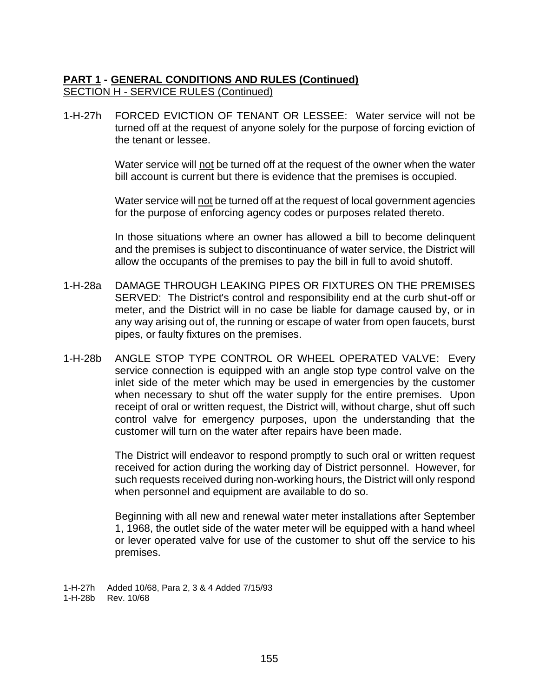1-H-27h FORCED EVICTION OF TENANT OR LESSEE: Water service will not be turned off at the request of anyone solely for the purpose of forcing eviction of the tenant or lessee.

> Water service will not be turned off at the request of the owner when the water bill account is current but there is evidence that the premises is occupied.

> Water service will not be turned off at the request of local government agencies for the purpose of enforcing agency codes or purposes related thereto.

> In those situations where an owner has allowed a bill to become delinquent and the premises is subject to discontinuance of water service, the District will allow the occupants of the premises to pay the bill in full to avoid shutoff.

- 1-H-28a DAMAGE THROUGH LEAKING PIPES OR FIXTURES ON THE PREMISES SERVED: The District's control and responsibility end at the curb shut-off or meter, and the District will in no case be liable for damage caused by, or in any way arising out of, the running or escape of water from open faucets, burst pipes, or faulty fixtures on the premises.
- 1-H-28b ANGLE STOP TYPE CONTROL OR WHEEL OPERATED VALVE: Every service connection is equipped with an angle stop type control valve on the inlet side of the meter which may be used in emergencies by the customer when necessary to shut off the water supply for the entire premises. Upon receipt of oral or written request, the District will, without charge, shut off such control valve for emergency purposes, upon the understanding that the customer will turn on the water after repairs have been made.

The District will endeavor to respond promptly to such oral or written request received for action during the working day of District personnel. However, for such requests received during non-working hours, the District will only respond when personnel and equipment are available to do so.

Beginning with all new and renewal water meter installations after September 1, 1968, the outlet side of the water meter will be equipped with a hand wheel or lever operated valve for use of the customer to shut off the service to his premises.

1-H-27h Added 10/68, Para 2, 3 & 4 Added 7/15/93 1-H-28b Rev. 10/68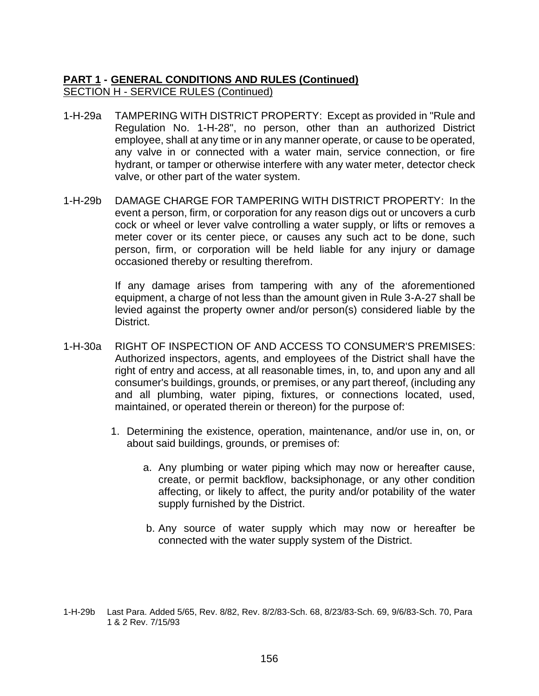- 1-H-29a TAMPERING WITH DISTRICT PROPERTY: Except as provided in "Rule and Regulation No. 1-H-28", no person, other than an authorized District employee, shall at any time or in any manner operate, or cause to be operated, any valve in or connected with a water main, service connection, or fire hydrant, or tamper or otherwise interfere with any water meter, detector check valve, or other part of the water system.
- 1-H-29b DAMAGE CHARGE FOR TAMPERING WITH DISTRICT PROPERTY: In the event a person, firm, or corporation for any reason digs out or uncovers a curb cock or wheel or lever valve controlling a water supply, or lifts or removes a meter cover or its center piece, or causes any such act to be done, such person, firm, or corporation will be held liable for any injury or damage occasioned thereby or resulting therefrom.

If any damage arises from tampering with any of the aforementioned equipment, a charge of not less than the amount given in Rule 3-A-27 shall be levied against the property owner and/or person(s) considered liable by the District.

- 1-H-30a RIGHT OF INSPECTION OF AND ACCESS TO CONSUMER'S PREMISES: Authorized inspectors, agents, and employees of the District shall have the right of entry and access, at all reasonable times, in, to, and upon any and all consumer's buildings, grounds, or premises, or any part thereof, (including any and all plumbing, water piping, fixtures, or connections located, used, maintained, or operated therein or thereon) for the purpose of:
	- 1. Determining the existence, operation, maintenance, and/or use in, on, or about said buildings, grounds, or premises of:
		- a. Any plumbing or water piping which may now or hereafter cause, create, or permit backflow, backsiphonage, or any other condition affecting, or likely to affect, the purity and/or potability of the water supply furnished by the District.
		- b. Any source of water supply which may now or hereafter be connected with the water supply system of the District.

<sup>1-</sup>H-29b Last Para. Added 5/65, Rev. 8/82, Rev. 8/2/83-Sch. 68, 8/23/83-Sch. 69, 9/6/83-Sch. 70, Para 1 & 2 Rev. 7/15/93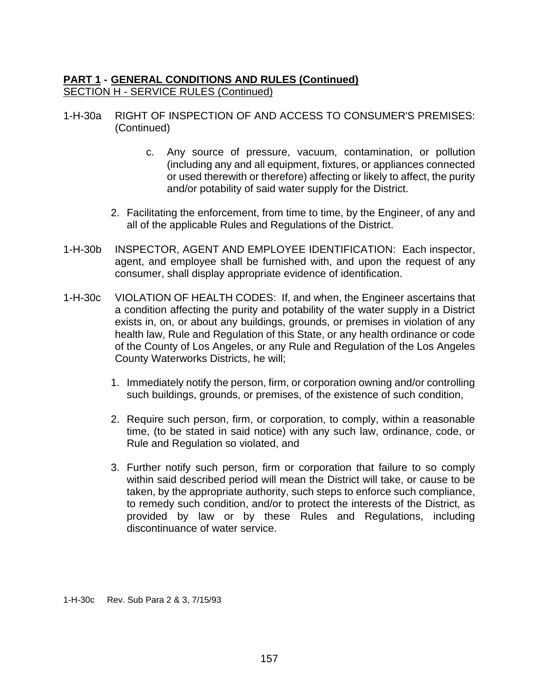- 1-H-30a RIGHT OF INSPECTION OF AND ACCESS TO CONSUMER'S PREMISES: (Continued)
	- c. Any source of pressure, vacuum, contamination, or pollution (including any and all equipment, fixtures, or appliances connected or used therewith or therefore) affecting or likely to affect, the purity and/or potability of said water supply for the District.
	- 2. Facilitating the enforcement, from time to time, by the Engineer, of any and all of the applicable Rules and Regulations of the District.
- 1-H-30b INSPECTOR, AGENT AND EMPLOYEE IDENTIFICATION: Each inspector, agent, and employee shall be furnished with, and upon the request of any consumer, shall display appropriate evidence of identification.
- 1-H-30c VIOLATION OF HEALTH CODES: If, and when, the Engineer ascertains that a condition affecting the purity and potability of the water supply in a District exists in, on, or about any buildings, grounds, or premises in violation of any health law, Rule and Regulation of this State, or any health ordinance or code of the County of Los Angeles, or any Rule and Regulation of the Los Angeles County Waterworks Districts, he will;
	- 1. Immediately notify the person, firm, or corporation owning and/or controlling such buildings, grounds, or premises, of the existence of such condition,
	- 2. Require such person, firm, or corporation, to comply, within a reasonable time, (to be stated in said notice) with any such law, ordinance, code, or Rule and Regulation so violated, and
	- 3. Further notify such person, firm or corporation that failure to so comply within said described period will mean the District will take, or cause to be taken, by the appropriate authority, such steps to enforce such compliance, to remedy such condition, and/or to protect the interests of the District, as provided by law or by these Rules and Regulations, including discontinuance of water service.

1-H-30c Rev. Sub Para 2 & 3, 7/15/93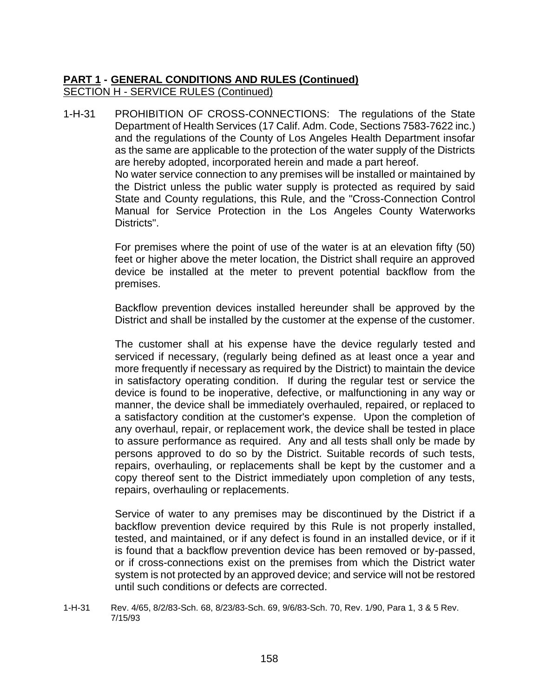1-H-31 PROHIBITION OF CROSS-CONNECTIONS: The regulations of the State Department of Health Services (17 Calif. Adm. Code, Sections 7583-7622 inc.) and the regulations of the County of Los Angeles Health Department insofar as the same are applicable to the protection of the water supply of the Districts are hereby adopted, incorporated herein and made a part hereof. No water service connection to any premises will be installed or maintained by the District unless the public water supply is protected as required by said State and County regulations, this Rule, and the "Cross-Connection Control Manual for Service Protection in the Los Angeles County Waterworks Districts".

> For premises where the point of use of the water is at an elevation fifty (50) feet or higher above the meter location, the District shall require an approved device be installed at the meter to prevent potential backflow from the premises.

> Backflow prevention devices installed hereunder shall be approved by the District and shall be installed by the customer at the expense of the customer.

> The customer shall at his expense have the device regularly tested and serviced if necessary, (regularly being defined as at least once a year and more frequently if necessary as required by the District) to maintain the device in satisfactory operating condition. If during the regular test or service the device is found to be inoperative, defective, or malfunctioning in any way or manner, the device shall be immediately overhauled, repaired, or replaced to a satisfactory condition at the customer's expense. Upon the completion of any overhaul, repair, or replacement work, the device shall be tested in place to assure performance as required. Any and all tests shall only be made by persons approved to do so by the District. Suitable records of such tests, repairs, overhauling, or replacements shall be kept by the customer and a copy thereof sent to the District immediately upon completion of any tests, repairs, overhauling or replacements.

> Service of water to any premises may be discontinued by the District if a backflow prevention device required by this Rule is not properly installed, tested, and maintained, or if any defect is found in an installed device, or if it is found that a backflow prevention device has been removed or by-passed, or if cross-connections exist on the premises from which the District water system is not protected by an approved device; and service will not be restored until such conditions or defects are corrected.

1-H-31 Rev. 4/65, 8/2/83-Sch. 68, 8/23/83-Sch. 69, 9/6/83-Sch. 70, Rev. 1/90, Para 1, 3 & 5 Rev. 7/15/93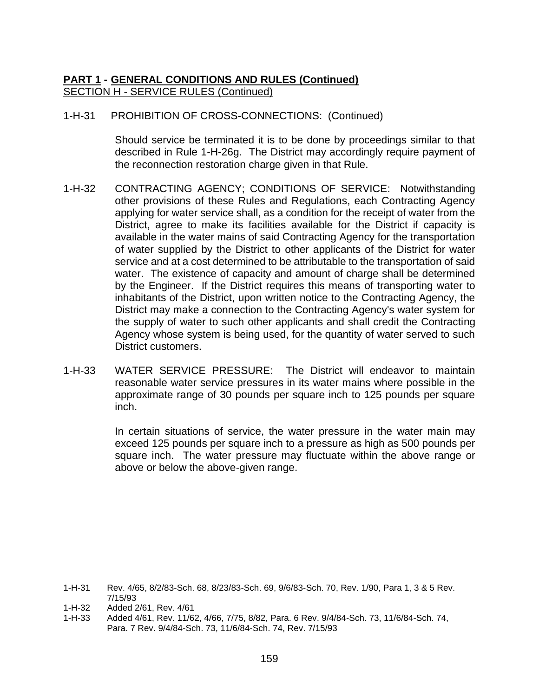1-H-31 PROHIBITION OF CROSS-CONNECTIONS: (Continued)

Should service be terminated it is to be done by proceedings similar to that described in Rule 1-H-26g. The District may accordingly require payment of the reconnection restoration charge given in that Rule.

- 1-H-32 CONTRACTING AGENCY; CONDITIONS OF SERVICE: Notwithstanding other provisions of these Rules and Regulations, each Contracting Agency applying for water service shall, as a condition for the receipt of water from the District, agree to make its facilities available for the District if capacity is available in the water mains of said Contracting Agency for the transportation of water supplied by the District to other applicants of the District for water service and at a cost determined to be attributable to the transportation of said water. The existence of capacity and amount of charge shall be determined by the Engineer. If the District requires this means of transporting water to inhabitants of the District, upon written notice to the Contracting Agency, the District may make a connection to the Contracting Agency's water system for the supply of water to such other applicants and shall credit the Contracting Agency whose system is being used, for the quantity of water served to such District customers.
- 1-H-33 WATER SERVICE PRESSURE: The District will endeavor to maintain reasonable water service pressures in its water mains where possible in the approximate range of 30 pounds per square inch to 125 pounds per square inch.

In certain situations of service, the water pressure in the water main may exceed 125 pounds per square inch to a pressure as high as 500 pounds per square inch. The water pressure may fluctuate within the above range or above or below the above-given range.

1-H-31 Rev. 4/65, 8/2/83-Sch. 68, 8/23/83-Sch. 69, 9/6/83-Sch. 70, Rev. 1/90, Para 1, 3 & 5 Rev. 7/15/93

- 1-H-32 Added 2/61, Rev. 4/61
- 1-H-33 Added 4/61, Rev. 11/62, 4/66, 7/75, 8/82, Para. 6 Rev. 9/4/84-Sch. 73, 11/6/84-Sch. 74, Para. 7 Rev. 9/4/84-Sch. 73, 11/6/84-Sch. 74, Rev. 7/15/93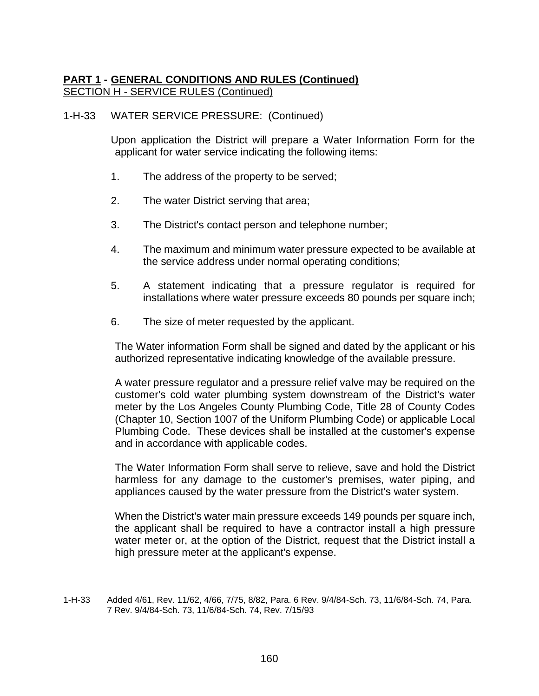#### 1-H-33 WATER SERVICE PRESSURE: (Continued)

Upon application the District will prepare a Water Information Form for the applicant for water service indicating the following items:

- 1. The address of the property to be served;
- 2. The water District serving that area;
- 3. The District's contact person and telephone number;
- 4. The maximum and minimum water pressure expected to be available at the service address under normal operating conditions;
- 5. A statement indicating that a pressure regulator is required for installations where water pressure exceeds 80 pounds per square inch;
- 6. The size of meter requested by the applicant.

The Water information Form shall be signed and dated by the applicant or his authorized representative indicating knowledge of the available pressure.

A water pressure regulator and a pressure relief valve may be required on the customer's cold water plumbing system downstream of the District's water meter by the Los Angeles County Plumbing Code, Title 28 of County Codes (Chapter 10, Section 1007 of the Uniform Plumbing Code) or applicable Local Plumbing Code. These devices shall be installed at the customer's expense and in accordance with applicable codes.

The Water Information Form shall serve to relieve, save and hold the District harmless for any damage to the customer's premises, water piping, and appliances caused by the water pressure from the District's water system.

When the District's water main pressure exceeds 149 pounds per square inch, the applicant shall be required to have a contractor install a high pressure water meter or, at the option of the District, request that the District install a high pressure meter at the applicant's expense.

<sup>1-</sup>H-33 Added 4/61, Rev. 11/62, 4/66, 7/75, 8/82, Para. 6 Rev. 9/4/84-Sch. 73, 11/6/84-Sch. 74, Para. 7 Rev. 9/4/84-Sch. 73, 11/6/84-Sch. 74, Rev. 7/15/93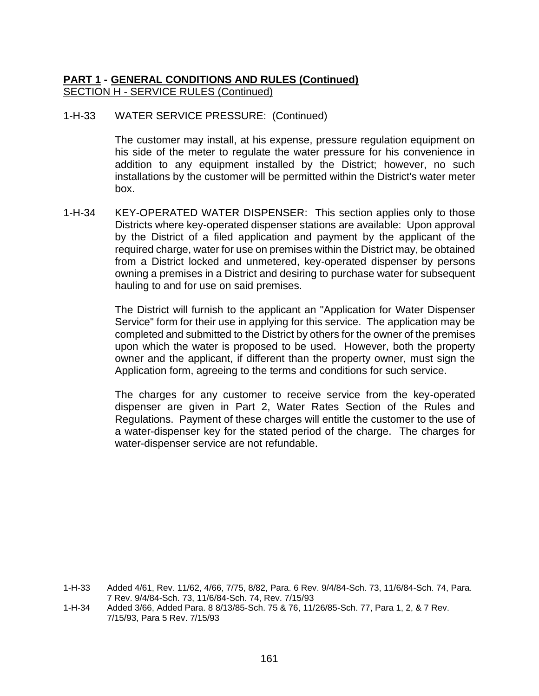#### 1-H-33 WATER SERVICE PRESSURE: (Continued)

The customer may install, at his expense, pressure regulation equipment on his side of the meter to regulate the water pressure for his convenience in addition to any equipment installed by the District; however, no such installations by the customer will be permitted within the District's water meter box.

1-H-34 KEY-OPERATED WATER DISPENSER: This section applies only to those Districts where key-operated dispenser stations are available: Upon approval by the District of a filed application and payment by the applicant of the required charge, water for use on premises within the District may, be obtained from a District locked and unmetered, key-operated dispenser by persons owning a premises in a District and desiring to purchase water for subsequent hauling to and for use on said premises.

> The District will furnish to the applicant an "Application for Water Dispenser Service" form for their use in applying for this service. The application may be completed and submitted to the District by others for the owner of the premises upon which the water is proposed to be used. However, both the property owner and the applicant, if different than the property owner, must sign the Application form, agreeing to the terms and conditions for such service.

> The charges for any customer to receive service from the key-operated dispenser are given in Part 2, Water Rates Section of the Rules and Regulations. Payment of these charges will entitle the customer to the use of a water-dispenser key for the stated period of the charge. The charges for water-dispenser service are not refundable.

1-H-34 Added 3/66, Added Para. 8 8/13/85-Sch. 75 & 76, 11/26/85-Sch. 77, Para 1, 2, & 7 Rev. 7/15/93, Para 5 Rev. 7/15/93

<sup>1-</sup>H-33 Added 4/61, Rev. 11/62, 4/66, 7/75, 8/82, Para. 6 Rev. 9/4/84-Sch. 73, 11/6/84-Sch. 74, Para. 7 Rev. 9/4/84-Sch. 73, 11/6/84-Sch. 74, Rev. 7/15/93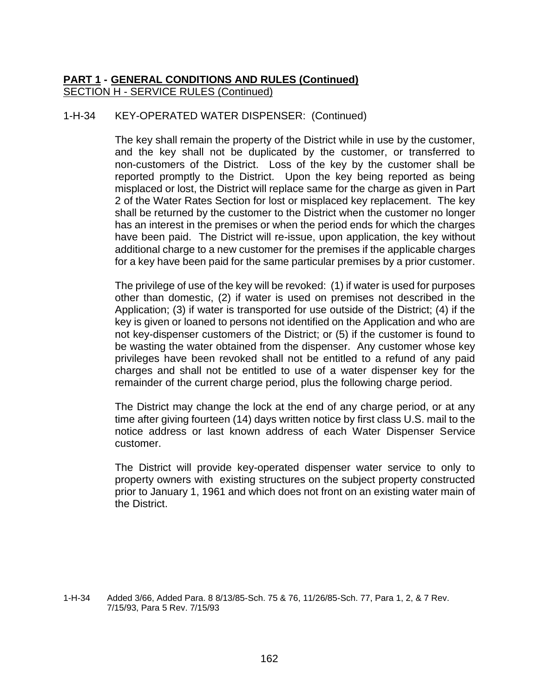### 1-H-34 KEY-OPERATED WATER DISPENSER: (Continued)

The key shall remain the property of the District while in use by the customer, and the key shall not be duplicated by the customer, or transferred to non-customers of the District. Loss of the key by the customer shall be reported promptly to the District. Upon the key being reported as being misplaced or lost, the District will replace same for the charge as given in Part 2 of the Water Rates Section for lost or misplaced key replacement. The key shall be returned by the customer to the District when the customer no longer has an interest in the premises or when the period ends for which the charges have been paid. The District will re-issue, upon application, the key without additional charge to a new customer for the premises if the applicable charges for a key have been paid for the same particular premises by a prior customer.

The privilege of use of the key will be revoked: (1) if water is used for purposes other than domestic, (2) if water is used on premises not described in the Application; (3) if water is transported for use outside of the District; (4) if the key is given or loaned to persons not identified on the Application and who are not key-dispenser customers of the District; or (5) if the customer is found to be wasting the water obtained from the dispenser. Any customer whose key privileges have been revoked shall not be entitled to a refund of any paid charges and shall not be entitled to use of a water dispenser key for the remainder of the current charge period, plus the following charge period.

The District may change the lock at the end of any charge period, or at any time after giving fourteen (14) days written notice by first class U.S. mail to the notice address or last known address of each Water Dispenser Service customer.

The District will provide key-operated dispenser water service to only to property owners with existing structures on the subject property constructed prior to January 1, 1961 and which does not front on an existing water main of the District.

1-H-34 Added 3/66, Added Para. 8 8/13/85-Sch. 75 & 76, 11/26/85-Sch. 77, Para 1, 2, & 7 Rev. 7/15/93, Para 5 Rev. 7/15/93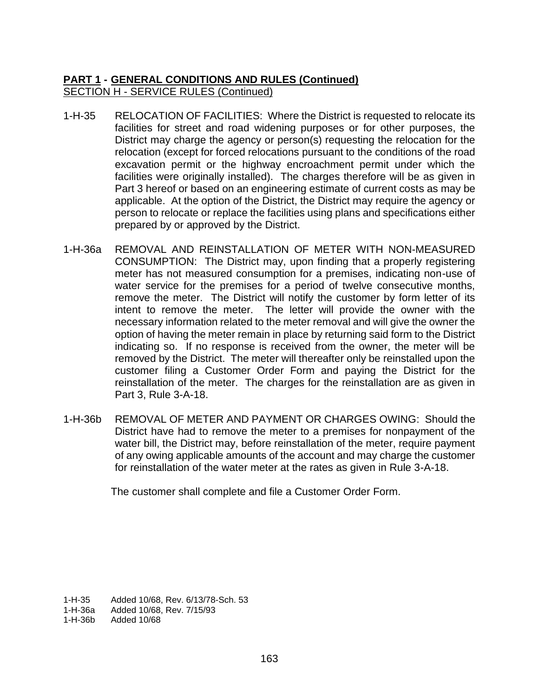- 1-H-35 RELOCATION OF FACILITIES: Where the District is requested to relocate its facilities for street and road widening purposes or for other purposes, the District may charge the agency or person(s) requesting the relocation for the relocation (except for forced relocations pursuant to the conditions of the road excavation permit or the highway encroachment permit under which the facilities were originally installed). The charges therefore will be as given in Part 3 hereof or based on an engineering estimate of current costs as may be applicable. At the option of the District, the District may require the agency or person to relocate or replace the facilities using plans and specifications either prepared by or approved by the District.
- 1-H-36a REMOVAL AND REINSTALLATION OF METER WITH NON-MEASURED CONSUMPTION: The District may, upon finding that a properly registering meter has not measured consumption for a premises, indicating non-use of water service for the premises for a period of twelve consecutive months, remove the meter. The District will notify the customer by form letter of its intent to remove the meter. The letter will provide the owner with the necessary information related to the meter removal and will give the owner the option of having the meter remain in place by returning said form to the District indicating so. If no response is received from the owner, the meter will be removed by the District. The meter will thereafter only be reinstalled upon the customer filing a Customer Order Form and paying the District for the reinstallation of the meter. The charges for the reinstallation are as given in Part 3, Rule 3-A-18.
- 1-H-36b REMOVAL OF METER AND PAYMENT OR CHARGES OWING: Should the District have had to remove the meter to a premises for nonpayment of the water bill, the District may, before reinstallation of the meter, require payment of any owing applicable amounts of the account and may charge the customer for reinstallation of the water meter at the rates as given in Rule 3-A-18.

The customer shall complete and file a Customer Order Form.

1-H-35 Added 10/68, Rev. 6/13/78-Sch. 53<br>1-H-36a Added 10/68, Rev. 7/15/93 Added 10/68, Rev. 7/15/93

1-H-36b Added 10/68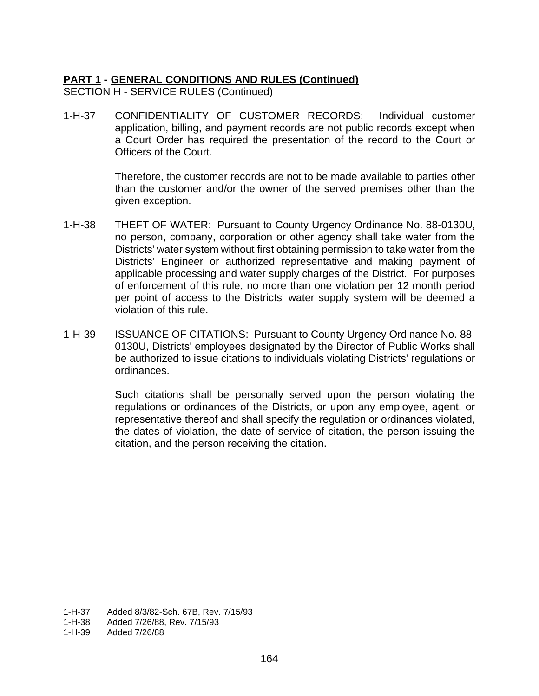1-H-37 CONFIDENTIALITY OF CUSTOMER RECORDS: Individual customer application, billing, and payment records are not public records except when a Court Order has required the presentation of the record to the Court or Officers of the Court.

> Therefore, the customer records are not to be made available to parties other than the customer and/or the owner of the served premises other than the given exception.

- 1-H-38 THEFT OF WATER: Pursuant to County Urgency Ordinance No. 88-0130U, no person, company, corporation or other agency shall take water from the Districts' water system without first obtaining permission to take water from the Districts' Engineer or authorized representative and making payment of applicable processing and water supply charges of the District. For purposes of enforcement of this rule, no more than one violation per 12 month period per point of access to the Districts' water supply system will be deemed a violation of this rule.
- 1-H-39 ISSUANCE OF CITATIONS: Pursuant to County Urgency Ordinance No. 88- 0130U, Districts' employees designated by the Director of Public Works shall be authorized to issue citations to individuals violating Districts' regulations or ordinances.

Such citations shall be personally served upon the person violating the regulations or ordinances of the Districts, or upon any employee, agent, or representative thereof and shall specify the regulation or ordinances violated, the dates of violation, the date of service of citation, the person issuing the citation, and the person receiving the citation.

- 1-H-37 Added 8/3/82-Sch. 67B, Rev. 7/15/93
- 1-H-38 Added 7/26/88, Rev. 7/15/93

1-H-39 Added 7/26/88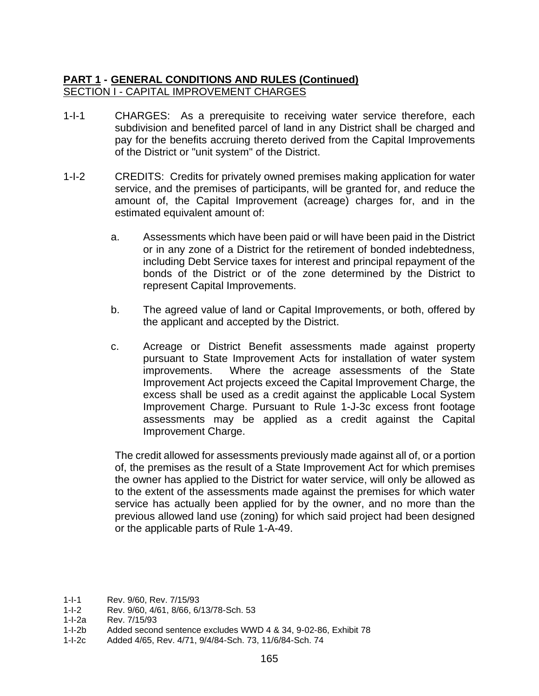## **PART 1 - GENERAL CONDITIONS AND RULES (Continued)** SECTION I - CAPITAL IMPROVEMENT CHARGES

- 1-I-1 CHARGES: As a prerequisite to receiving water service therefore, each subdivision and benefited parcel of land in any District shall be charged and pay for the benefits accruing thereto derived from the Capital Improvements of the District or "unit system" of the District.
- 1-I-2 CREDITS: Credits for privately owned premises making application for water service, and the premises of participants, will be granted for, and reduce the amount of, the Capital Improvement (acreage) charges for, and in the estimated equivalent amount of:
	- a. Assessments which have been paid or will have been paid in the District or in any zone of a District for the retirement of bonded indebtedness, including Debt Service taxes for interest and principal repayment of the bonds of the District or of the zone determined by the District to represent Capital Improvements.
	- b. The agreed value of land or Capital Improvements, or both, offered by the applicant and accepted by the District.
	- c. Acreage or District Benefit assessments made against property pursuant to State Improvement Acts for installation of water system improvements. Where the acreage assessments of the State Improvement Act projects exceed the Capital Improvement Charge, the excess shall be used as a credit against the applicable Local System Improvement Charge. Pursuant to Rule 1-J-3c excess front footage assessments may be applied as a credit against the Capital Improvement Charge.

The credit allowed for assessments previously made against all of, or a portion of, the premises as the result of a State Improvement Act for which premises the owner has applied to the District for water service, will only be allowed as to the extent of the assessments made against the premises for which water service has actually been applied for by the owner, and no more than the previous allowed land use (zoning) for which said project had been designed or the applicable parts of Rule 1-A-49.

<sup>1-</sup>I-1 Rev. 9/60, Rev. 7/15/93

<sup>1-</sup>I-2 Rev. 9/60, 4/61, 8/66, 6/13/78-Sch. 53

<sup>1-</sup>I-2a Rev. 7/15/93

<sup>1-</sup>I-2b Added second sentence excludes WWD 4 & 34, 9-02-86, Exhibit 78

<sup>1-</sup>I-2c Added 4/65, Rev. 4/71, 9/4/84-Sch. 73, 11/6/84-Sch. 74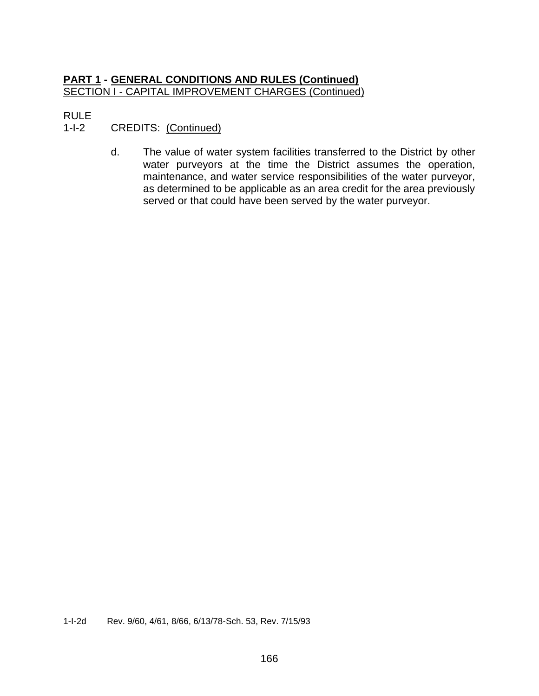## **PART 1 - GENERAL CONDITIONS AND RULES (Continued)** SECTION I - CAPITAL IMPROVEMENT CHARGES (Continued)

# RULE

# 1-I-2 CREDITS: (Continued)

d. The value of water system facilities transferred to the District by other water purveyors at the time the District assumes the operation, maintenance, and water service responsibilities of the water purveyor, as determined to be applicable as an area credit for the area previously served or that could have been served by the water purveyor.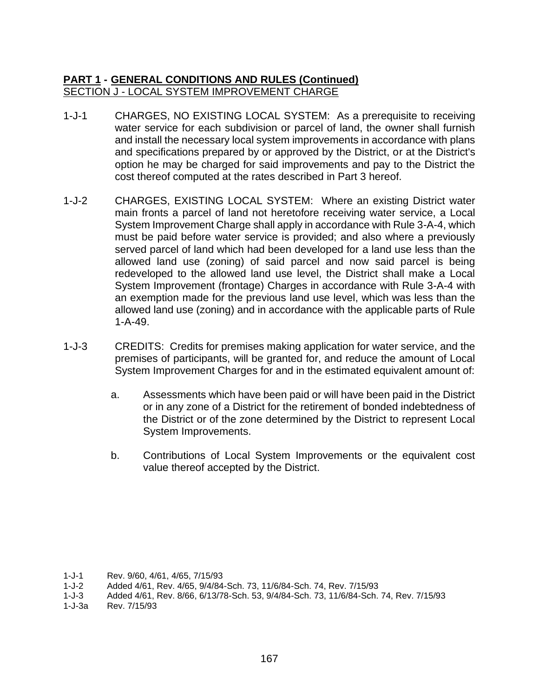# **PART 1 - GENERAL CONDITIONS AND RULES (Continued)** SECTION J - LOCAL SYSTEM IMPROVEMENT CHARGE

- 1-J-1 CHARGES, NO EXISTING LOCAL SYSTEM: As a prerequisite to receiving water service for each subdivision or parcel of land, the owner shall furnish and install the necessary local system improvements in accordance with plans and specifications prepared by or approved by the District, or at the District's option he may be charged for said improvements and pay to the District the cost thereof computed at the rates described in Part 3 hereof.
- 1-J-2 CHARGES, EXISTING LOCAL SYSTEM: Where an existing District water main fronts a parcel of land not heretofore receiving water service, a Local System Improvement Charge shall apply in accordance with Rule 3-A-4, which must be paid before water service is provided; and also where a previously served parcel of land which had been developed for a land use less than the allowed land use (zoning) of said parcel and now said parcel is being redeveloped to the allowed land use level, the District shall make a Local System Improvement (frontage) Charges in accordance with Rule 3-A-4 with an exemption made for the previous land use level, which was less than the allowed land use (zoning) and in accordance with the applicable parts of Rule 1-A-49.
- 1-J-3 CREDITS: Credits for premises making application for water service, and the premises of participants, will be granted for, and reduce the amount of Local System Improvement Charges for and in the estimated equivalent amount of:
	- a. Assessments which have been paid or will have been paid in the District or in any zone of a District for the retirement of bonded indebtedness of the District or of the zone determined by the District to represent Local System Improvements.
	- b. Contributions of Local System Improvements or the equivalent cost value thereof accepted by the District.

<sup>1-</sup>J-1 Rev. 9/60, 4/61, 4/65, 7/15/93<br>1-J-2 Added 4/61. Rev. 4/65, 9/4/84

Added 4/61, Rev. 4/65, 9/4/84-Sch. 73, 11/6/84-Sch. 74, Rev. 7/15/93

<sup>1-</sup>J-3 Added 4/61, Rev. 8/66, 6/13/78-Sch. 53, 9/4/84-Sch. 73, 11/6/84-Sch. 74, Rev. 7/15/93

<sup>1-</sup>J-3a Rev. 7/15/93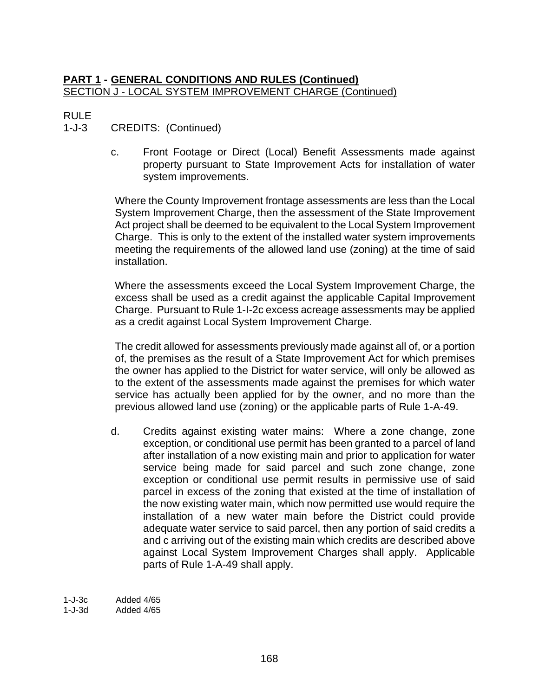## **PART 1 - GENERAL CONDITIONS AND RULES (Continued)** SECTION J - LOCAL SYSTEM IMPROVEMENT CHARGE (Continued)

# RULE

# 1-J-3 CREDITS: (Continued)

c. Front Footage or Direct (Local) Benefit Assessments made against property pursuant to State Improvement Acts for installation of water system improvements.

Where the County Improvement frontage assessments are less than the Local System Improvement Charge, then the assessment of the State Improvement Act project shall be deemed to be equivalent to the Local System Improvement Charge. This is only to the extent of the installed water system improvements meeting the requirements of the allowed land use (zoning) at the time of said installation.

Where the assessments exceed the Local System Improvement Charge, the excess shall be used as a credit against the applicable Capital Improvement Charge. Pursuant to Rule 1-I-2c excess acreage assessments may be applied as a credit against Local System Improvement Charge.

The credit allowed for assessments previously made against all of, or a portion of, the premises as the result of a State Improvement Act for which premises the owner has applied to the District for water service, will only be allowed as to the extent of the assessments made against the premises for which water service has actually been applied for by the owner, and no more than the previous allowed land use (zoning) or the applicable parts of Rule 1-A-49.

d. Credits against existing water mains: Where a zone change, zone exception, or conditional use permit has been granted to a parcel of land after installation of a now existing main and prior to application for water service being made for said parcel and such zone change, zone exception or conditional use permit results in permissive use of said parcel in excess of the zoning that existed at the time of installation of the now existing water main, which now permitted use would require the installation of a new water main before the District could provide adequate water service to said parcel, then any portion of said credits a and c arriving out of the existing main which credits are described above against Local System Improvement Charges shall apply. Applicable parts of Rule 1-A-49 shall apply.

1-J-3c Added 4/65 1-J-3d Added 4/65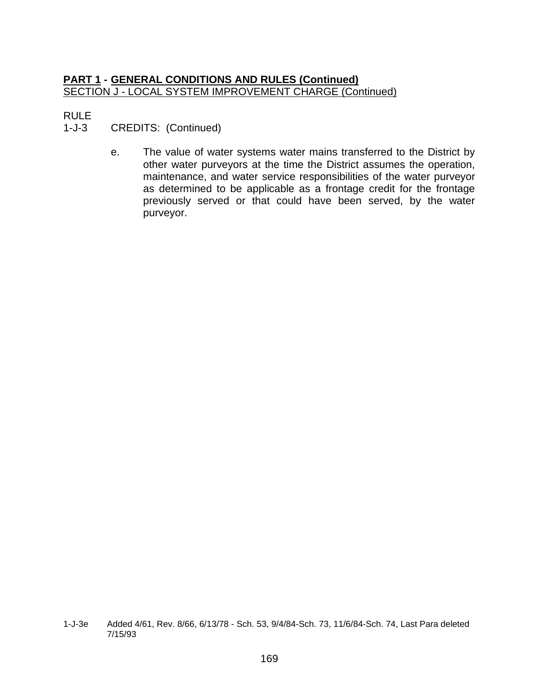## **PART 1 - GENERAL CONDITIONS AND RULES (Continued)** SECTION J - LOCAL SYSTEM IMPROVEMENT CHARGE (Continued)

# RULE

- 1-J-3 CREDITS: (Continued)
	- e. The value of water systems water mains transferred to the District by other water purveyors at the time the District assumes the operation, maintenance, and water service responsibilities of the water purveyor as determined to be applicable as a frontage credit for the frontage previously served or that could have been served, by the water purveyor.

<sup>1-</sup>J-3e Added 4/61, Rev. 8/66, 6/13/78 - Sch. 53, 9/4/84-Sch. 73, 11/6/84-Sch. 74, Last Para deleted 7/15/93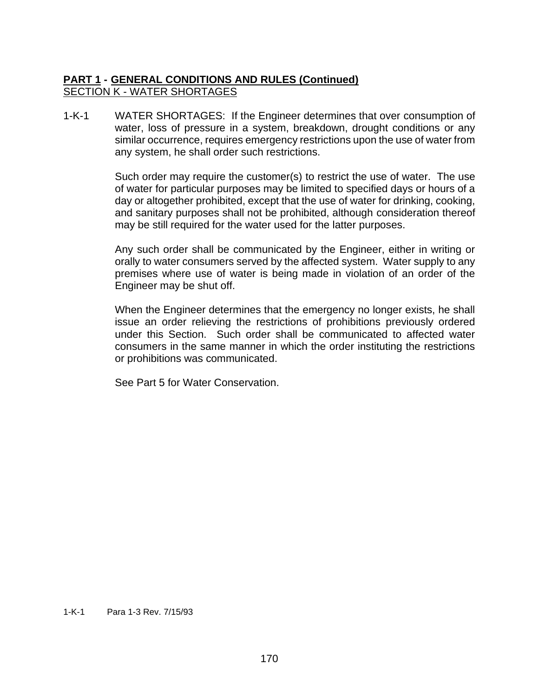# **PART 1 - GENERAL CONDITIONS AND RULES (Continued)** SECTION K - WATER SHORTAGES

1-K-1 WATER SHORTAGES: If the Engineer determines that over consumption of water, loss of pressure in a system, breakdown, drought conditions or any similar occurrence, requires emergency restrictions upon the use of water from any system, he shall order such restrictions.

> Such order may require the customer(s) to restrict the use of water. The use of water for particular purposes may be limited to specified days or hours of a day or altogether prohibited, except that the use of water for drinking, cooking, and sanitary purposes shall not be prohibited, although consideration thereof may be still required for the water used for the latter purposes.

> Any such order shall be communicated by the Engineer, either in writing or orally to water consumers served by the affected system. Water supply to any premises where use of water is being made in violation of an order of the Engineer may be shut off.

> When the Engineer determines that the emergency no longer exists, he shall issue an order relieving the restrictions of prohibitions previously ordered under this Section. Such order shall be communicated to affected water consumers in the same manner in which the order instituting the restrictions or prohibitions was communicated.

See Part 5 for Water Conservation.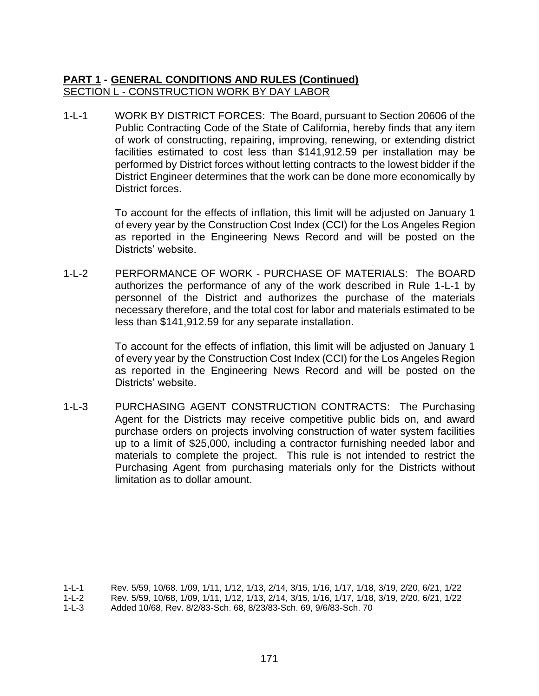# **PART 1 - GENERAL CONDITIONS AND RULES (Continued)** SECTION L - CONSTRUCTION WORK BY DAY LABOR

1-L-1 WORK BY DISTRICT FORCES: The Board, pursuant to Section 20606 of the Public Contracting Code of the State of California, hereby finds that any item of work of constructing, repairing, improving, renewing, or extending district facilities estimated to cost less than \$141,912.59 per installation may be performed by District forces without letting contracts to the lowest bidder if the District Engineer determines that the work can be done more economically by District forces.

> To account for the effects of inflation, this limit will be adjusted on January 1 of every year by the Construction Cost Index (CCI) for the Los Angeles Region as reported in the Engineering News Record and will be posted on the Districts' website.

1-L-2 PERFORMANCE OF WORK - PURCHASE OF MATERIALS: The BOARD authorizes the performance of any of the work described in Rule 1-L-1 by personnel of the District and authorizes the purchase of the materials necessary therefore, and the total cost for labor and materials estimated to be less than \$141,912.59 for any separate installation.

> To account for the effects of inflation, this limit will be adjusted on January 1 of every year by the Construction Cost Index (CCI) for the Los Angeles Region as reported in the Engineering News Record and will be posted on the Districts' website.

1-L-3 PURCHASING AGENT CONSTRUCTION CONTRACTS: The Purchasing Agent for the Districts may receive competitive public bids on, and award purchase orders on projects involving construction of water system facilities up to a limit of \$25,000, including a contractor furnishing needed labor and materials to complete the project. This rule is not intended to restrict the Purchasing Agent from purchasing materials only for the Districts without limitation as to dollar amount.

<sup>1-</sup>L-1 Rev. 5/59, 10/68. 1/09, 1/11, 1/12, 1/13, 2/14, 3/15, 1/16, 1/17, 1/18, 3/19, 2/20, 6/21, 1/22

<sup>1-</sup>L-2 Rev. 5/59, 10/68, 1/09, 1/11, 1/12, 1/13, 2/14, 3/15, 1/16, 1/17, 1/18, 3/19, 2/20, 6/21, 1/22

<sup>1-</sup>L-3 Added 10/68, Rev. 8/2/83-Sch. 68, 8/23/83-Sch. 69, 9/6/83-Sch. 70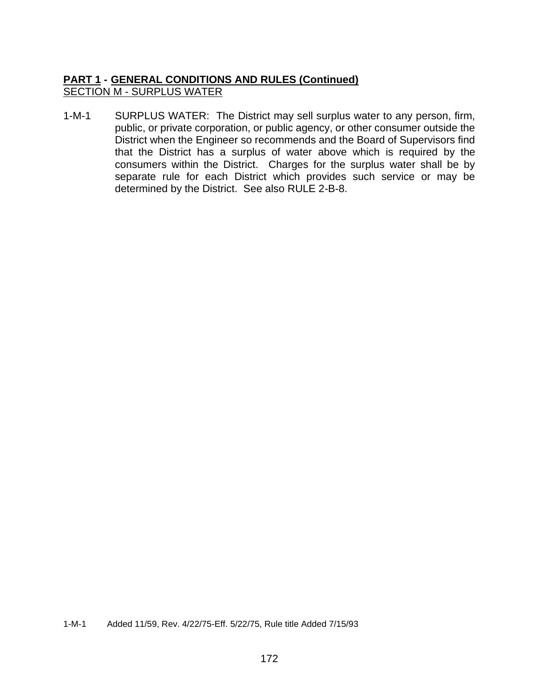## **PART 1 - GENERAL CONDITIONS AND RULES (Continued)** SECTION M - SURPLUS WATER

1-M-1 SURPLUS WATER: The District may sell surplus water to any person, firm, public, or private corporation, or public agency, or other consumer outside the District when the Engineer so recommends and the Board of Supervisors find that the District has a surplus of water above which is required by the consumers within the District. Charges for the surplus water shall be by separate rule for each District which provides such service or may be determined by the District. See also RULE 2-B-8.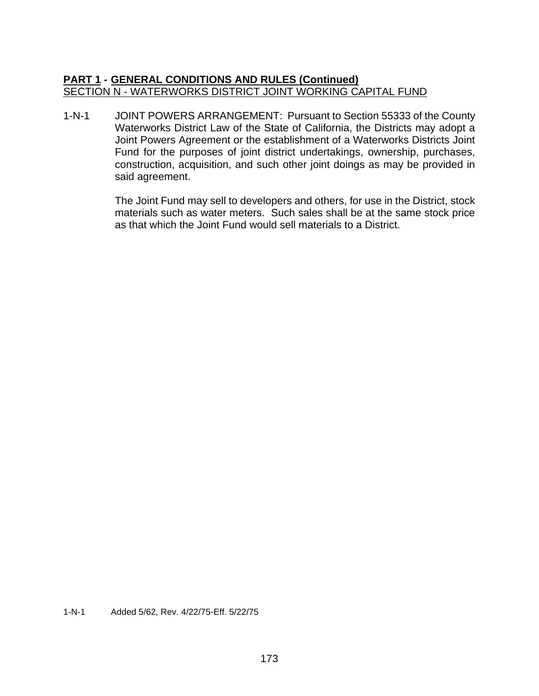### **PART 1 - GENERAL CONDITIONS AND RULES (Continued)** SECTION N - WATERWORKS DISTRICT JOINT WORKING CAPITAL FUND

1-N-1 JOINT POWERS ARRANGEMENT: Pursuant to Section 55333 of the County Waterworks District Law of the State of California, the Districts may adopt a Joint Powers Agreement or the establishment of a Waterworks Districts Joint Fund for the purposes of joint district undertakings, ownership, purchases, construction, acquisition, and such other joint doings as may be provided in said agreement.

> The Joint Fund may sell to developers and others, for use in the District, stock materials such as water meters. Such sales shall be at the same stock price as that which the Joint Fund would sell materials to a District.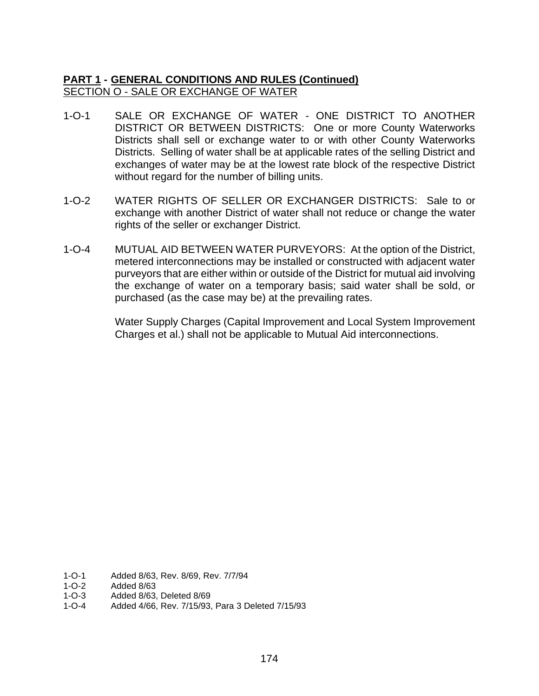# **PART 1 - GENERAL CONDITIONS AND RULES (Continued)** SECTION O - SALE OR EXCHANGE OF WATER

- 1-O-1 SALE OR EXCHANGE OF WATER ONE DISTRICT TO ANOTHER DISTRICT OR BETWEEN DISTRICTS: One or more County Waterworks Districts shall sell or exchange water to or with other County Waterworks Districts. Selling of water shall be at applicable rates of the selling District and exchanges of water may be at the lowest rate block of the respective District without regard for the number of billing units.
- 1-O-2 WATER RIGHTS OF SELLER OR EXCHANGER DISTRICTS: Sale to or exchange with another District of water shall not reduce or change the water rights of the seller or exchanger District.
- 1-O-4 MUTUAL AID BETWEEN WATER PURVEYORS: At the option of the District, metered interconnections may be installed or constructed with adjacent water purveyors that are either within or outside of the District for mutual aid involving the exchange of water on a temporary basis; said water shall be sold, or purchased (as the case may be) at the prevailing rates.

Water Supply Charges (Capital Improvement and Local System Improvement Charges et al.) shall not be applicable to Mutual Aid interconnections.

- 1-O-1 Added 8/63, Rev. 8/69, Rev. 7/7/94<br>1-O-2 Added 8/63
- Added 8/63
- 1-O-3 Added 8/63, Deleted 8/69
- 1-O-4 Added 4/66, Rev. 7/15/93, Para 3 Deleted 7/15/93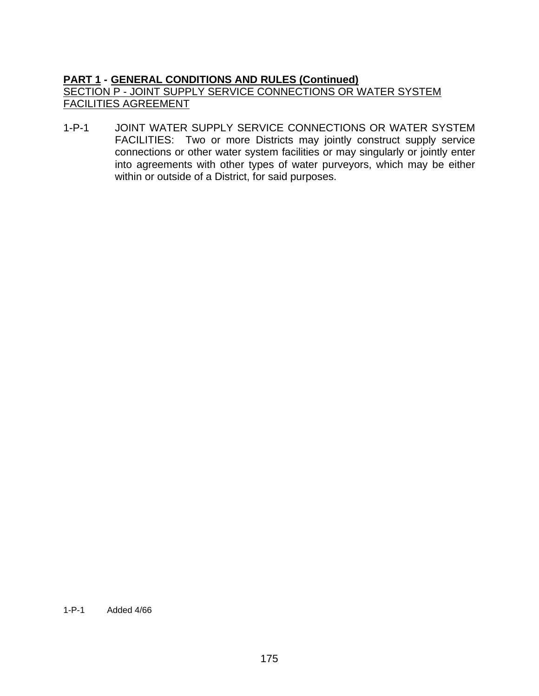# **PART 1 - GENERAL CONDITIONS AND RULES (Continued)** SECTION P - JOINT SUPPLY SERVICE CONNECTIONS OR WATER SYSTEM FACILITIES AGREEMENT

1-P-1 JOINT WATER SUPPLY SERVICE CONNECTIONS OR WATER SYSTEM FACILITIES: Two or more Districts may jointly construct supply service connections or other water system facilities or may singularly or jointly enter into agreements with other types of water purveyors, which may be either within or outside of a District, for said purposes.

#### 1-P-1 Added 4/66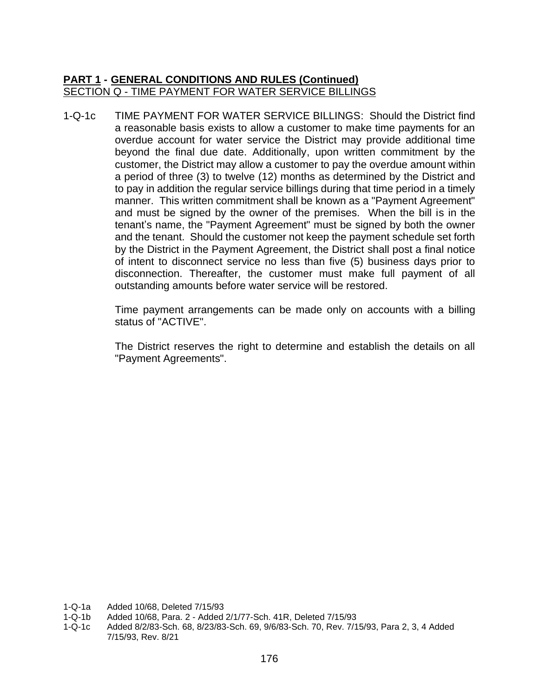### **PART 1 - GENERAL CONDITIONS AND RULES (Continued)** SECTION Q - TIME PAYMENT FOR WATER SERVICE BILLINGS

1-Q-1c TIME PAYMENT FOR WATER SERVICE BILLINGS: Should the District find a reasonable basis exists to allow a customer to make time payments for an overdue account for water service the District may provide additional time beyond the final due date. Additionally, upon written commitment by the customer, the District may allow a customer to pay the overdue amount within a period of three (3) to twelve (12) months as determined by the District and to pay in addition the regular service billings during that time period in a timely manner. This written commitment shall be known as a "Payment Agreement" and must be signed by the owner of the premises. When the bill is in the tenant's name, the "Payment Agreement" must be signed by both the owner and the tenant. Should the customer not keep the payment schedule set forth by the District in the Payment Agreement, the District shall post a final notice of intent to disconnect service no less than five (5) business days prior to disconnection. Thereafter, the customer must make full payment of all outstanding amounts before water service will be restored.

> Time payment arrangements can be made only on accounts with a billing status of "ACTIVE".

> The District reserves the right to determine and establish the details on all "Payment Agreements".

- 1-Q-1a Added 10/68, Deleted 7/15/93
- 1-Q-1b Added 10/68, Para. 2 Added 2/1/77-Sch. 41R, Deleted 7/15/93
- 1-Q-1c Added 8/2/83-Sch. 68, 8/23/83-Sch. 69, 9/6/83-Sch. 70, Rev. 7/15/93, Para 2, 3, 4 Added 7/15/93, Rev. 8/21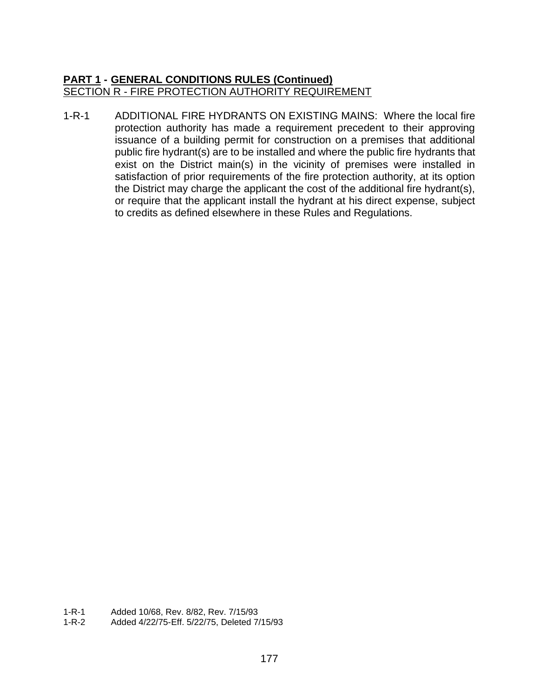#### **PART 1 - GENERAL CONDITIONS RULES (Continued)** SECTION R - FIRE PROTECTION AUTHORITY REQUIREMENT

1-R-1 ADDITIONAL FIRE HYDRANTS ON EXISTING MAINS: Where the local fire protection authority has made a requirement precedent to their approving issuance of a building permit for construction on a premises that additional public fire hydrant(s) are to be installed and where the public fire hydrants that exist on the District main(s) in the vicinity of premises were installed in satisfaction of prior requirements of the fire protection authority, at its option the District may charge the applicant the cost of the additional fire hydrant(s), or require that the applicant install the hydrant at his direct expense, subject to credits as defined elsewhere in these Rules and Regulations.

1-R-2 Added 4/22/75-Eff. 5/22/75, Deleted 7/15/93

<sup>1-</sup>R-1 Added 10/68, Rev. 8/82, Rev. 7/15/93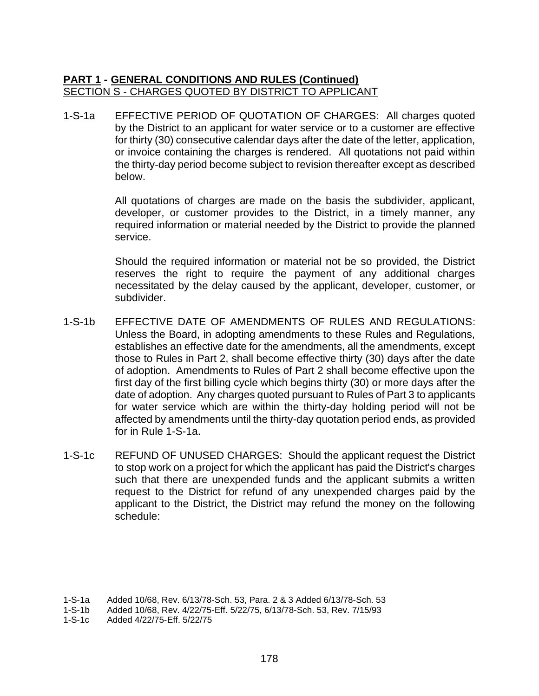#### **PART 1 - GENERAL CONDITIONS AND RULES (Continued)** SECTION S - CHARGES QUOTED BY DISTRICT TO APPLICANT

1-S-1a EFFECTIVE PERIOD OF QUOTATION OF CHARGES: All charges quoted by the District to an applicant for water service or to a customer are effective for thirty (30) consecutive calendar days after the date of the letter, application, or invoice containing the charges is rendered. All quotations not paid within the thirty-day period become subject to revision thereafter except as described below.

> All quotations of charges are made on the basis the subdivider, applicant, developer, or customer provides to the District, in a timely manner, any required information or material needed by the District to provide the planned service.

> Should the required information or material not be so provided, the District reserves the right to require the payment of any additional charges necessitated by the delay caused by the applicant, developer, customer, or subdivider.

- 1-S-1b EFFECTIVE DATE OF AMENDMENTS OF RULES AND REGULATIONS: Unless the Board, in adopting amendments to these Rules and Regulations, establishes an effective date for the amendments, all the amendments, except those to Rules in Part 2, shall become effective thirty (30) days after the date of adoption. Amendments to Rules of Part 2 shall become effective upon the first day of the first billing cycle which begins thirty (30) or more days after the date of adoption. Any charges quoted pursuant to Rules of Part 3 to applicants for water service which are within the thirty-day holding period will not be affected by amendments until the thirty-day quotation period ends, as provided for in Rule 1-S-1a.
- 1-S-1c REFUND OF UNUSED CHARGES: Should the applicant request the District to stop work on a project for which the applicant has paid the District's charges such that there are unexpended funds and the applicant submits a written request to the District for refund of any unexpended charges paid by the applicant to the District, the District may refund the money on the following schedule:

<sup>1-</sup>S-1a Added 10/68, Rev. 6/13/78-Sch. 53, Para. 2 & 3 Added 6/13/78-Sch. 53

Added 10/68, Rev. 4/22/75-Eff. 5/22/75, 6/13/78-Sch. 53, Rev. 7/15/93

<sup>1-</sup>S-1c Added 4/22/75-Eff. 5/22/75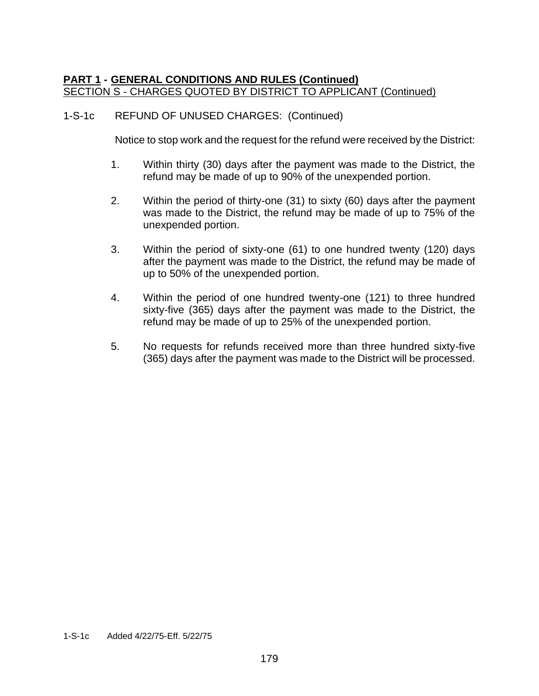### **PART 1 - GENERAL CONDITIONS AND RULES (Continued)** SECTION S - CHARGES QUOTED BY DISTRICT TO APPLICANT (Continued)

#### 1-S-1c REFUND OF UNUSED CHARGES: (Continued)

Notice to stop work and the request for the refund were received by the District:

- 1. Within thirty (30) days after the payment was made to the District, the refund may be made of up to 90% of the unexpended portion.
- 2. Within the period of thirty-one (31) to sixty (60) days after the payment was made to the District, the refund may be made of up to 75% of the unexpended portion.
- 3. Within the period of sixty-one (61) to one hundred twenty (120) days after the payment was made to the District, the refund may be made of up to 50% of the unexpended portion.
- 4. Within the period of one hundred twenty-one (121) to three hundred sixty-five (365) days after the payment was made to the District, the refund may be made of up to 25% of the unexpended portion.
- 5. No requests for refunds received more than three hundred sixty-five (365) days after the payment was made to the District will be processed.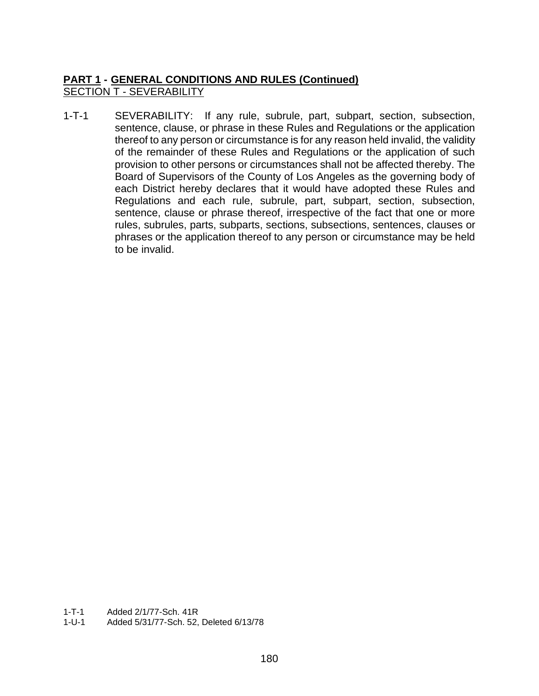# **PART 1 - GENERAL CONDITIONS AND RULES (Continued)** SECTION T - SEVERABILITY

1-T-1 SEVERABILITY: If any rule, subrule, part, subpart, section, subsection, sentence, clause, or phrase in these Rules and Regulations or the application thereof to any person or circumstance is for any reason held invalid, the validity of the remainder of these Rules and Regulations or the application of such provision to other persons or circumstances shall not be affected thereby. The Board of Supervisors of the County of Los Angeles as the governing body of each District hereby declares that it would have adopted these Rules and Regulations and each rule, subrule, part, subpart, section, subsection, sentence, clause or phrase thereof, irrespective of the fact that one or more rules, subrules, parts, subparts, sections, subsections, sentences, clauses or phrases or the application thereof to any person or circumstance may be held to be invalid.

1-T-1 Added 2/1/77-Sch. 41R

1-U-1 Added 5/31/77-Sch. 52, Deleted 6/13/78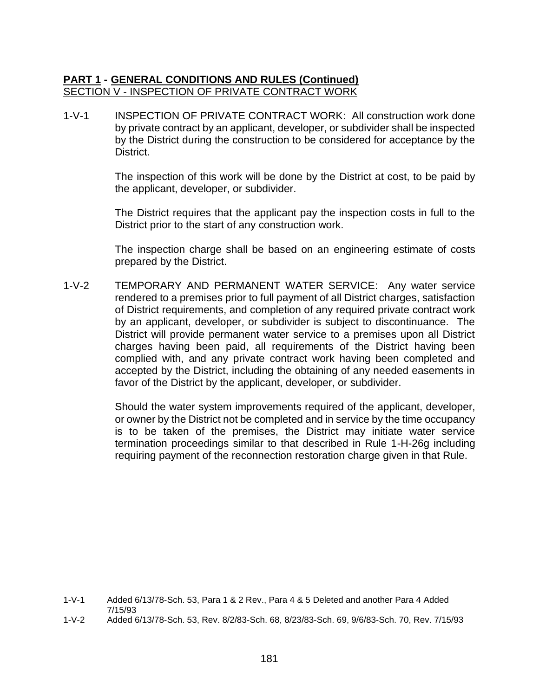#### **PART 1 - GENERAL CONDITIONS AND RULES (Continued)** SECTION V - INSPECTION OF PRIVATE CONTRACT WORK

1-V-1 INSPECTION OF PRIVATE CONTRACT WORK: All construction work done by private contract by an applicant, developer, or subdivider shall be inspected by the District during the construction to be considered for acceptance by the District.

> The inspection of this work will be done by the District at cost, to be paid by the applicant, developer, or subdivider.

> The District requires that the applicant pay the inspection costs in full to the District prior to the start of any construction work.

> The inspection charge shall be based on an engineering estimate of costs prepared by the District.

1-V-2 TEMPORARY AND PERMANENT WATER SERVICE: Any water service rendered to a premises prior to full payment of all District charges, satisfaction of District requirements, and completion of any required private contract work by an applicant, developer, or subdivider is subject to discontinuance. The District will provide permanent water service to a premises upon all District charges having been paid, all requirements of the District having been complied with, and any private contract work having been completed and accepted by the District, including the obtaining of any needed easements in favor of the District by the applicant, developer, or subdivider.

> Should the water system improvements required of the applicant, developer, or owner by the District not be completed and in service by the time occupancy is to be taken of the premises, the District may initiate water service termination proceedings similar to that described in Rule 1-H-26g including requiring payment of the reconnection restoration charge given in that Rule.

<sup>1-</sup>V-1 Added 6/13/78-Sch. 53, Para 1 & 2 Rev., Para 4 & 5 Deleted and another Para 4 Added 7/15/93

<sup>1-</sup>V-2 Added 6/13/78-Sch. 53, Rev. 8/2/83-Sch. 68, 8/23/83-Sch. 69, 9/6/83-Sch. 70, Rev. 7/15/93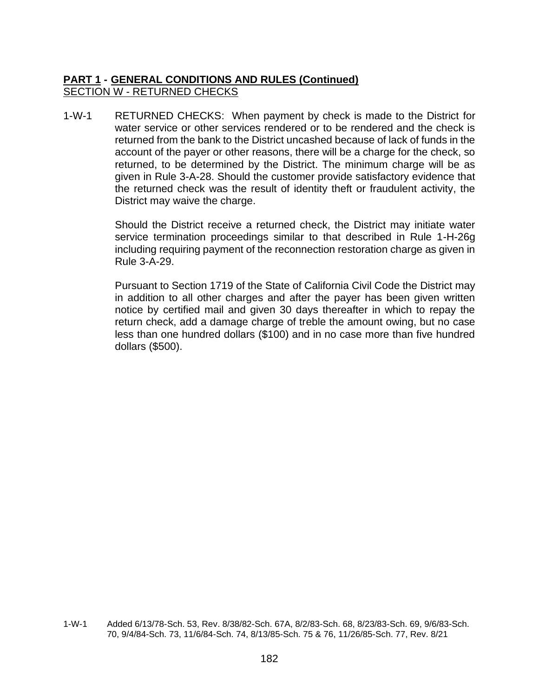## **PART 1 - GENERAL CONDITIONS AND RULES (Continued)** SECTION W - RETURNED CHECKS

1-W-1 RETURNED CHECKS: When payment by check is made to the District for water service or other services rendered or to be rendered and the check is returned from the bank to the District uncashed because of lack of funds in the account of the payer or other reasons, there will be a charge for the check, so returned, to be determined by the District. The minimum charge will be as given in Rule 3-A-28. Should the customer provide satisfactory evidence that the returned check was the result of identity theft or fraudulent activity, the District may waive the charge.

> Should the District receive a returned check, the District may initiate water service termination proceedings similar to that described in Rule 1-H-26g including requiring payment of the reconnection restoration charge as given in Rule 3-A-29.

> Pursuant to Section 1719 of the State of California Civil Code the District may in addition to all other charges and after the payer has been given written notice by certified mail and given 30 days thereafter in which to repay the return check, add a damage charge of treble the amount owing, but no case less than one hundred dollars (\$100) and in no case more than five hundred dollars (\$500).

1-W-1 Added 6/13/78-Sch. 53, Rev. 8/38/82-Sch. 67A, 8/2/83-Sch. 68, 8/23/83-Sch. 69, 9/6/83-Sch. 70, 9/4/84-Sch. 73, 11/6/84-Sch. 74, 8/13/85-Sch. 75 & 76, 11/26/85-Sch. 77, Rev. 8/21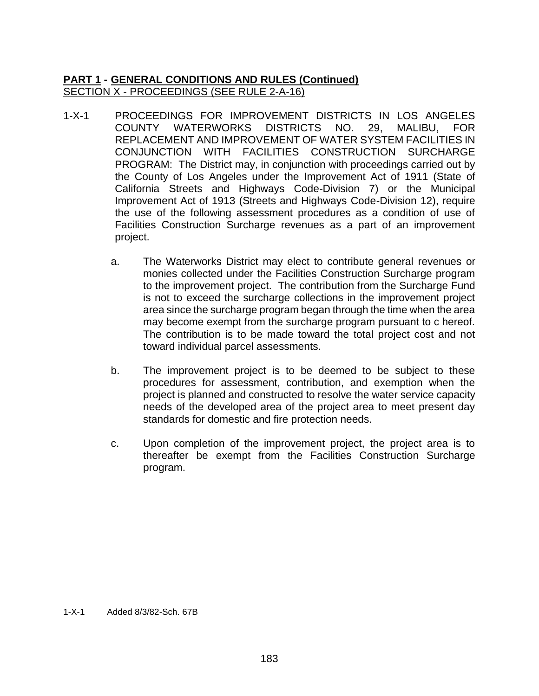## **PART 1 - GENERAL CONDITIONS AND RULES (Continued)** SECTION X - PROCEEDINGS (SEE RULE 2-A-16)

- 1-X-1 PROCEEDINGS FOR IMPROVEMENT DISTRICTS IN LOS ANGELES COUNTY WATERWORKS DISTRICTS NO. 29, MALIBU, FOR REPLACEMENT AND IMPROVEMENT OF WATER SYSTEM FACILITIES IN CONJUNCTION WITH FACILITIES CONSTRUCTION SURCHARGE PROGRAM: The District may, in conjunction with proceedings carried out by the County of Los Angeles under the Improvement Act of 1911 (State of California Streets and Highways Code-Division 7) or the Municipal Improvement Act of 1913 (Streets and Highways Code-Division 12), require the use of the following assessment procedures as a condition of use of Facilities Construction Surcharge revenues as a part of an improvement project.
	- a. The Waterworks District may elect to contribute general revenues or monies collected under the Facilities Construction Surcharge program to the improvement project. The contribution from the Surcharge Fund is not to exceed the surcharge collections in the improvement project area since the surcharge program began through the time when the area may become exempt from the surcharge program pursuant to c hereof. The contribution is to be made toward the total project cost and not toward individual parcel assessments.
	- b. The improvement project is to be deemed to be subject to these procedures for assessment, contribution, and exemption when the project is planned and constructed to resolve the water service capacity needs of the developed area of the project area to meet present day standards for domestic and fire protection needs.
	- c. Upon completion of the improvement project, the project area is to thereafter be exempt from the Facilities Construction Surcharge program.

1-X-1 Added 8/3/82-Sch. 67B